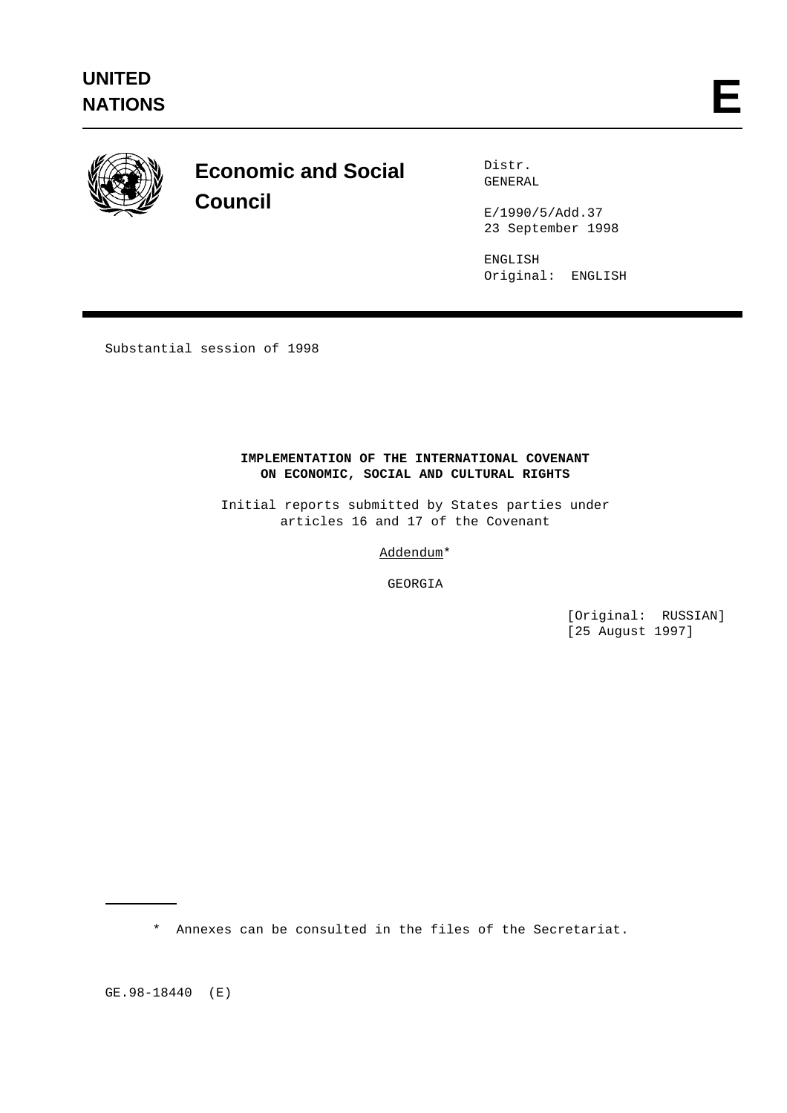

# **Economic and Social Council**

Distr. GENERAL

E/1990/5/Add.37 23 September 1998

ENGLISH Original: ENGLISH

Substantial session of 1998

# **IMPLEMENTATION OF THE INTERNATIONAL COVENANT ON ECONOMIC, SOCIAL AND CULTURAL RIGHTS**

Initial reports submitted by States parties under articles 16 and 17 of the Covenant

Addendum\*

GEORGIA

[Original: RUSSIAN] [25 August 1997]

\* Annexes can be consulted in the files of the Secretariat.

GE.98-18440 (E)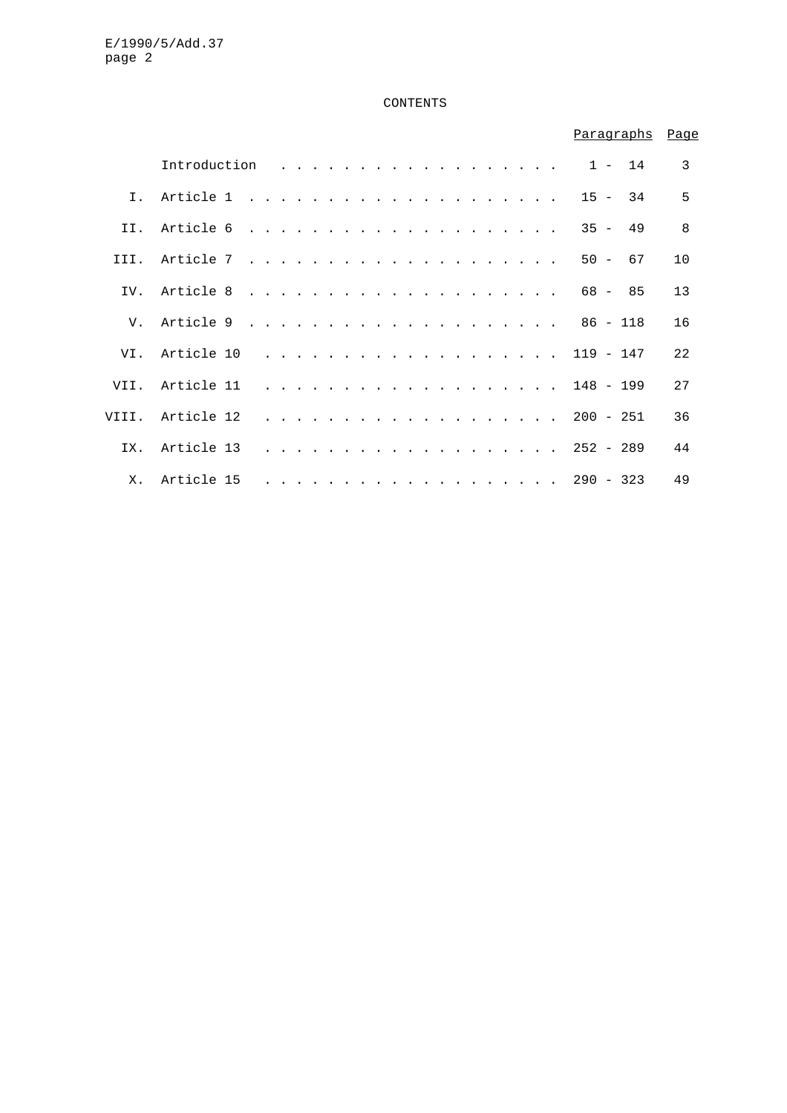# CONTENTS

|                |                                |  |  |  |  |  |  |  |  |  |  |             |           | Paragraphs Page |  |
|----------------|--------------------------------|--|--|--|--|--|--|--|--|--|--|-------------|-----------|-----------------|--|
|                | Introduction $\ldots$ , 1 - 14 |  |  |  |  |  |  |  |  |  |  |             |           | 3               |  |
| $\mathbf{I}$ . |                                |  |  |  |  |  |  |  |  |  |  | $15 - 34$   |           | 5               |  |
| TT.            |                                |  |  |  |  |  |  |  |  |  |  | $35 - 49$   |           | 8               |  |
| III.           |                                |  |  |  |  |  |  |  |  |  |  |             | $50 - 67$ | 10              |  |
| TV.            |                                |  |  |  |  |  |  |  |  |  |  |             |           | 13              |  |
| V.             |                                |  |  |  |  |  |  |  |  |  |  |             |           | 16              |  |
| VI.            | Article 10                     |  |  |  |  |  |  |  |  |  |  | . 119 - 147 |           | 22              |  |
| VII.           | Article 11                     |  |  |  |  |  |  |  |  |  |  | . 148 - 199 |           | 27              |  |
|                | VIII. Article 12               |  |  |  |  |  |  |  |  |  |  | . 200 - 251 |           | 36              |  |
| TX.            | Article 13                     |  |  |  |  |  |  |  |  |  |  | . 252 - 289 |           | 44              |  |
| $X_{-}$        | Article 15                     |  |  |  |  |  |  |  |  |  |  | . 290 - 323 |           | 49              |  |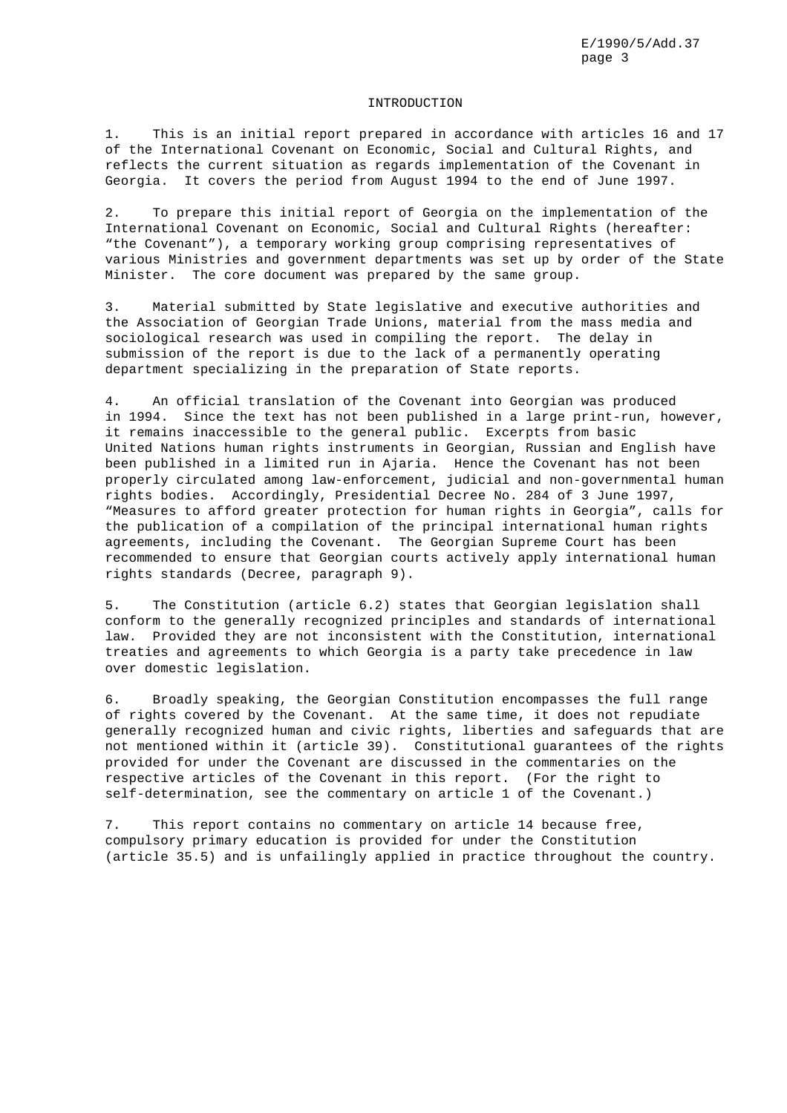#### INTRODUCTION

1. This is an initial report prepared in accordance with articles 16 and 17 of the International Covenant on Economic, Social and Cultural Rights, and reflects the current situation as regards implementation of the Covenant in Georgia. It covers the period from August 1994 to the end of June 1997.

2. To prepare this initial report of Georgia on the implementation of the International Covenant on Economic, Social and Cultural Rights (hereafter: "the Covenant"), a temporary working group comprising representatives of various Ministries and government departments was set up by order of the State Minister. The core document was prepared by the same group.

3. Material submitted by State legislative and executive authorities and the Association of Georgian Trade Unions, material from the mass media and sociological research was used in compiling the report. The delay in submission of the report is due to the lack of a permanently operating department specializing in the preparation of State reports.

4. An official translation of the Covenant into Georgian was produced in 1994. Since the text has not been published in a large print-run, however, it remains inaccessible to the general public. Excerpts from basic United Nations human rights instruments in Georgian, Russian and English have been published in a limited run in Ajaria. Hence the Covenant has not been properly circulated among law-enforcement, judicial and non-governmental human rights bodies. Accordingly, Presidential Decree No. 284 of 3 June 1997, "Measures to afford greater protection for human rights in Georgia", calls for the publication of a compilation of the principal international human rights agreements, including the Covenant. The Georgian Supreme Court has been recommended to ensure that Georgian courts actively apply international human rights standards (Decree, paragraph 9).

5. The Constitution (article 6.2) states that Georgian legislation shall conform to the generally recognized principles and standards of international law. Provided they are not inconsistent with the Constitution, international treaties and agreements to which Georgia is a party take precedence in law over domestic legislation.

6. Broadly speaking, the Georgian Constitution encompasses the full range of rights covered by the Covenant. At the same time, it does not repudiate generally recognized human and civic rights, liberties and safeguards that are not mentioned within it (article 39). Constitutional guarantees of the rights provided for under the Covenant are discussed in the commentaries on the respective articles of the Covenant in this report. (For the right to self-determination, see the commentary on article 1 of the Covenant.)

7. This report contains no commentary on article 14 because free, compulsory primary education is provided for under the Constitution (article 35.5) and is unfailingly applied in practice throughout the country.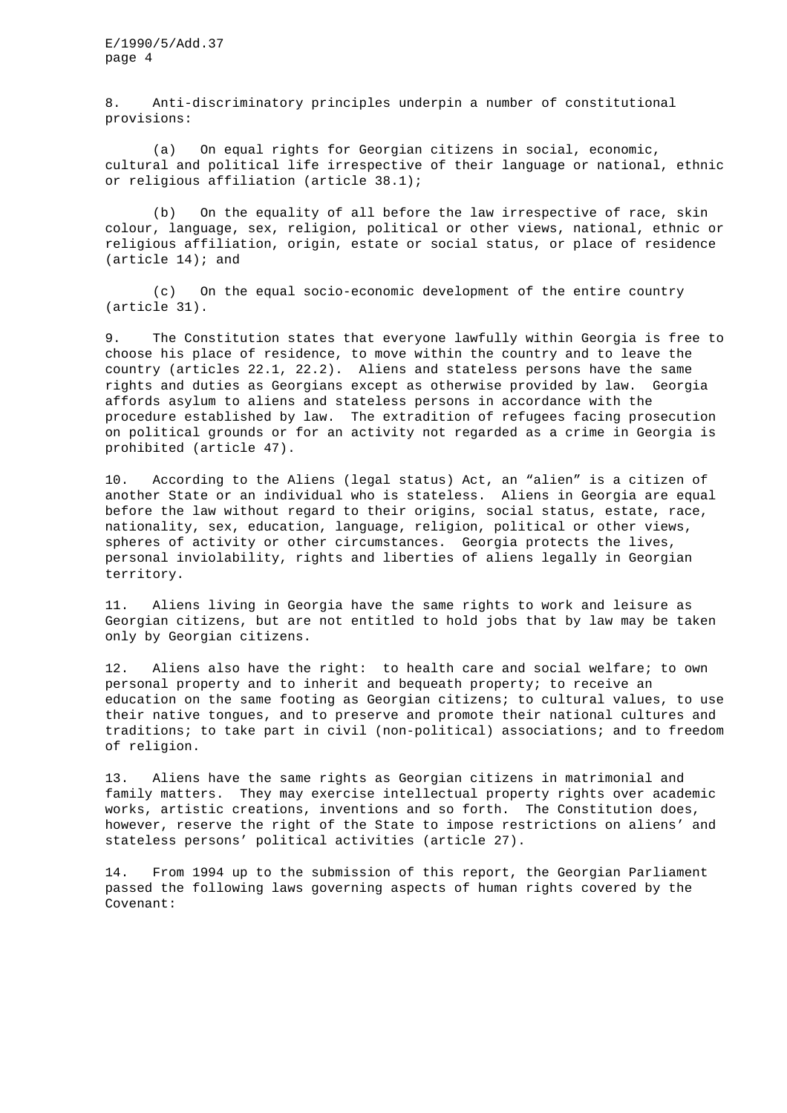8. Anti-discriminatory principles underpin a number of constitutional provisions:

(a) On equal rights for Georgian citizens in social, economic, cultural and political life irrespective of their language or national, ethnic or religious affiliation (article 38.1);

(b) On the equality of all before the law irrespective of race, skin colour, language, sex, religion, political or other views, national, ethnic or religious affiliation, origin, estate or social status, or place of residence (article 14); and

(c) On the equal socio-economic development of the entire country (article 31).

9. The Constitution states that everyone lawfully within Georgia is free to choose his place of residence, to move within the country and to leave the country (articles 22.1, 22.2). Aliens and stateless persons have the same rights and duties as Georgians except as otherwise provided by law. Georgia affords asylum to aliens and stateless persons in accordance with the procedure established by law. The extradition of refugees facing prosecution on political grounds or for an activity not regarded as a crime in Georgia is prohibited (article 47).

10. According to the Aliens (legal status) Act, an "alien" is a citizen of another State or an individual who is stateless. Aliens in Georgia are equal before the law without regard to their origins, social status, estate, race, nationality, sex, education, language, religion, political or other views, spheres of activity or other circumstances. Georgia protects the lives, personal inviolability, rights and liberties of aliens legally in Georgian territory.

11. Aliens living in Georgia have the same rights to work and leisure as Georgian citizens, but are not entitled to hold jobs that by law may be taken only by Georgian citizens.

12. Aliens also have the right: to health care and social welfare; to own personal property and to inherit and bequeath property; to receive an education on the same footing as Georgian citizens; to cultural values, to use their native tongues, and to preserve and promote their national cultures and traditions; to take part in civil (non-political) associations; and to freedom of religion.

13. Aliens have the same rights as Georgian citizens in matrimonial and family matters. They may exercise intellectual property rights over academic works, artistic creations, inventions and so forth. The Constitution does, however, reserve the right of the State to impose restrictions on aliens' and stateless persons' political activities (article 27).

14. From 1994 up to the submission of this report, the Georgian Parliament passed the following laws governing aspects of human rights covered by the Covenant: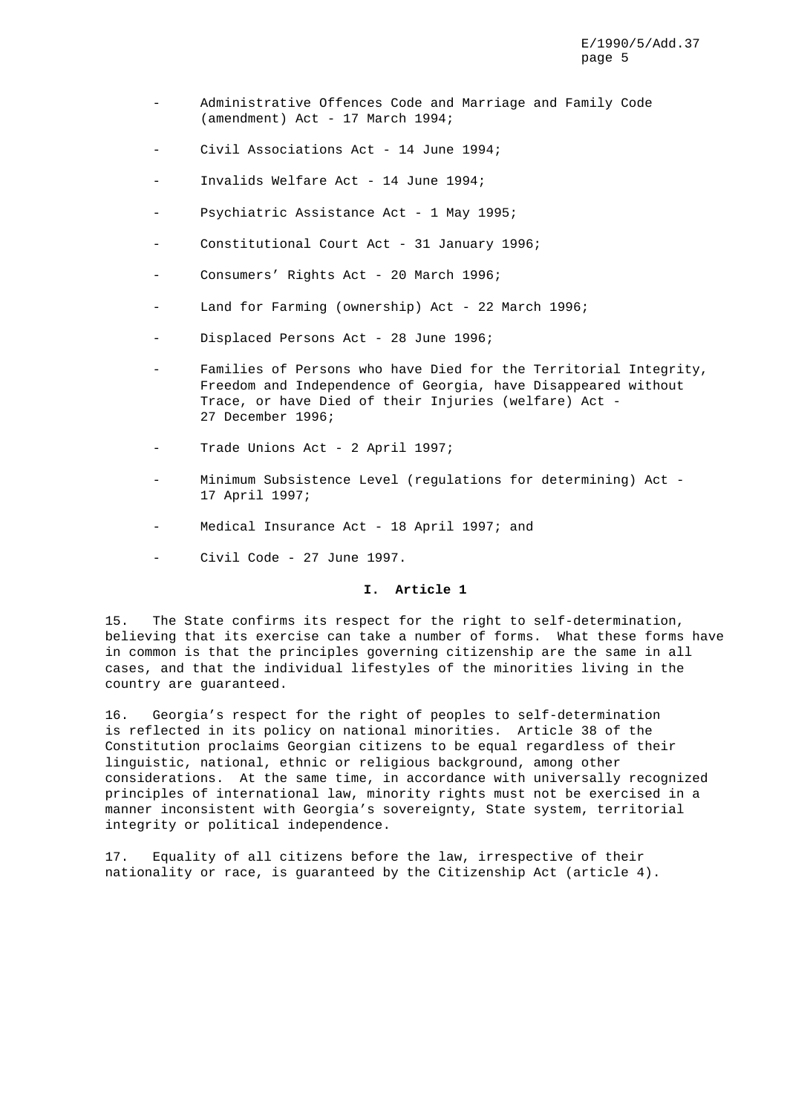- Administrative Offences Code and Marriage and Family Code (amendment) Act - 17 March 1994;
- Civil Associations Act 14 June 1994;
- Invalids Welfare Act 14 June 1994;
- Psychiatric Assistance Act 1 May 1995;
- Constitutional Court Act 31 January 1996;
- Consumers' Rights Act 20 March 1996;
- Land for Farming (ownership) Act 22 March 1996;
- Displaced Persons Act 28 June 1996;
- Families of Persons who have Died for the Territorial Integrity, Freedom and Independence of Georgia, have Disappeared without Trace, or have Died of their Injuries (welfare) Act - 27 December 1996;
- Trade Unions Act 2 April 1997;
- Minimum Subsistence Level (requlations for determining) Act -17 April 1997;
- Medical Insurance Act 18 April 1997; and
- Civil Code 27 June 1997.

# **I. Article 1**

15. The State confirms its respect for the right to self-determination, believing that its exercise can take a number of forms. What these forms have in common is that the principles governing citizenship are the same in all cases, and that the individual lifestyles of the minorities living in the country are guaranteed.

16. Georgia's respect for the right of peoples to self-determination is reflected in its policy on national minorities. Article 38 of the Constitution proclaims Georgian citizens to be equal regardless of their linguistic, national, ethnic or religious background, among other considerations. At the same time, in accordance with universally recognized principles of international law, minority rights must not be exercised in a manner inconsistent with Georgia's sovereignty, State system, territorial integrity or political independence.

17. Equality of all citizens before the law, irrespective of their nationality or race, is guaranteed by the Citizenship Act (article 4).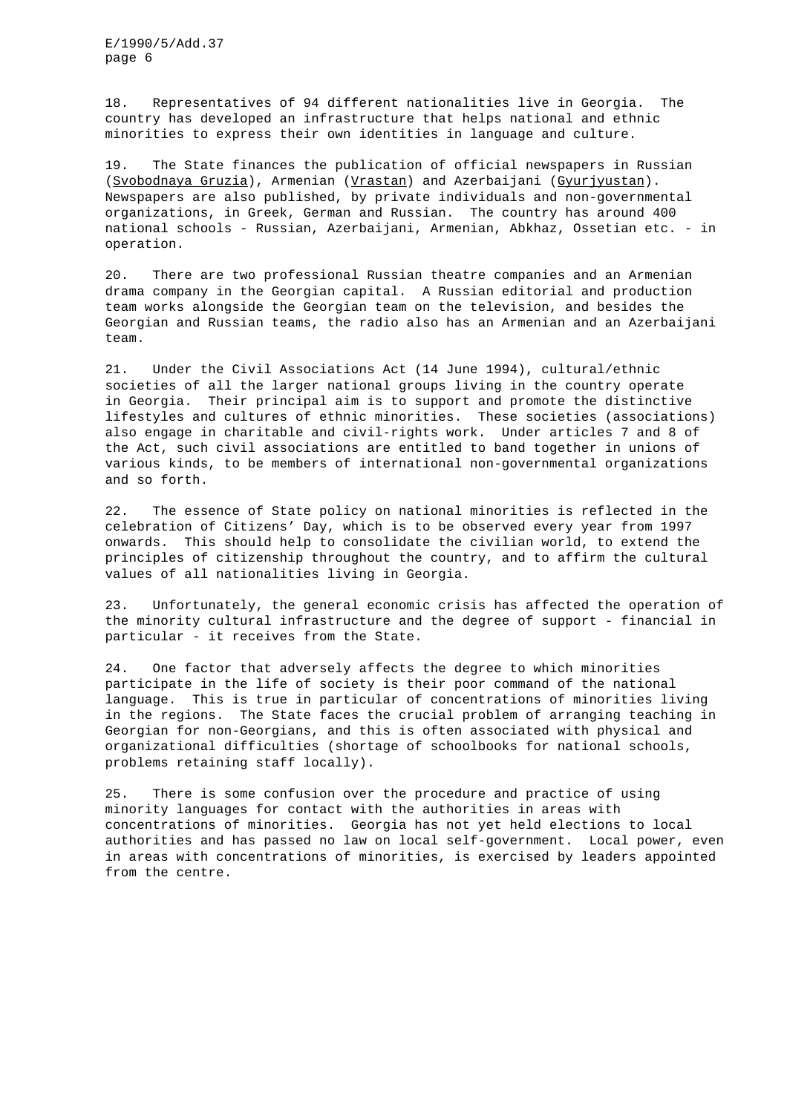18. Representatives of 94 different nationalities live in Georgia. The country has developed an infrastructure that helps national and ethnic minorities to express their own identities in language and culture.

19. The State finances the publication of official newspapers in Russian (Svobodnaya Gruzia), Armenian (Vrastan) and Azerbaijani (Gyurjyustan). Newspapers are also published, by private individuals and non-governmental organizations, in Greek, German and Russian. The country has around 400 national schools - Russian, Azerbaijani, Armenian, Abkhaz, Ossetian etc. - in operation.

20. There are two professional Russian theatre companies and an Armenian drama company in the Georgian capital. A Russian editorial and production team works alongside the Georgian team on the television, and besides the Georgian and Russian teams, the radio also has an Armenian and an Azerbaijani team.

21. Under the Civil Associations Act (14 June 1994), cultural/ethnic societies of all the larger national groups living in the country operate in Georgia. Their principal aim is to support and promote the distinctive lifestyles and cultures of ethnic minorities. These societies (associations) also engage in charitable and civil-rights work. Under articles 7 and 8 of the Act, such civil associations are entitled to band together in unions of various kinds, to be members of international non-governmental organizations and so forth.

22. The essence of State policy on national minorities is reflected in the celebration of Citizens' Day, which is to be observed every year from 1997 onwards. This should help to consolidate the civilian world, to extend the principles of citizenship throughout the country, and to affirm the cultural values of all nationalities living in Georgia.

23. Unfortunately, the general economic crisis has affected the operation of the minority cultural infrastructure and the degree of support - financial in particular - it receives from the State.

24. One factor that adversely affects the degree to which minorities participate in the life of society is their poor command of the national language. This is true in particular of concentrations of minorities living in the regions. The State faces the crucial problem of arranging teaching in Georgian for non-Georgians, and this is often associated with physical and organizational difficulties (shortage of schoolbooks for national schools, problems retaining staff locally).

25. There is some confusion over the procedure and practice of using minority languages for contact with the authorities in areas with concentrations of minorities. Georgia has not yet held elections to local authorities and has passed no law on local self-government. Local power, even in areas with concentrations of minorities, is exercised by leaders appointed from the centre.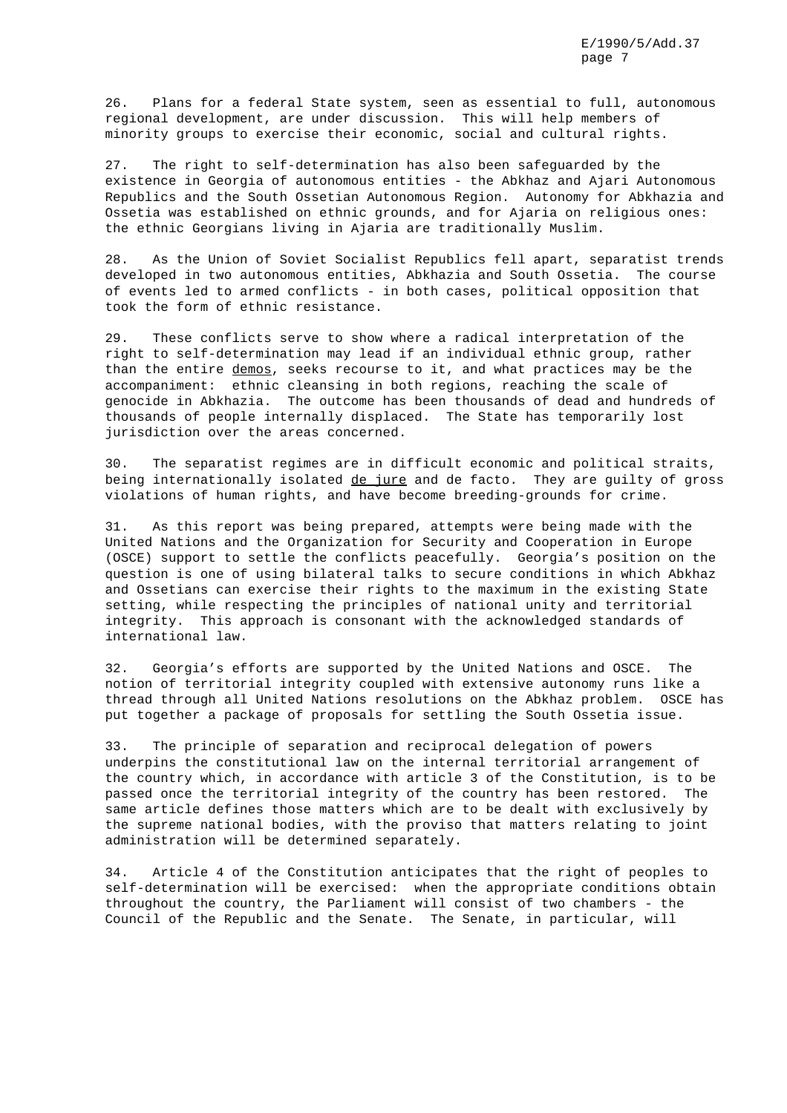26. Plans for a federal State system, seen as essential to full, autonomous regional development, are under discussion. This will help members of minority groups to exercise their economic, social and cultural rights.

27. The right to self-determination has also been safeguarded by the existence in Georgia of autonomous entities - the Abkhaz and Ajari Autonomous Republics and the South Ossetian Autonomous Region. Autonomy for Abkhazia and Ossetia was established on ethnic grounds, and for Ajaria on religious ones: the ethnic Georgians living in Ajaria are traditionally Muslim.

28. As the Union of Soviet Socialist Republics fell apart, separatist trends developed in two autonomous entities, Abkhazia and South Ossetia. The course of events led to armed conflicts - in both cases, political opposition that took the form of ethnic resistance.

29. These conflicts serve to show where a radical interpretation of the right to self-determination may lead if an individual ethnic group, rather than the entire demos, seeks recourse to it, and what practices may be the accompaniment: ethnic cleansing in both regions, reaching the scale of genocide in Abkhazia. The outcome has been thousands of dead and hundreds of thousands of people internally displaced. The State has temporarily lost jurisdiction over the areas concerned.

30. The separatist regimes are in difficult economic and political straits, being internationally isolated de jure and de facto. They are guilty of gross violations of human rights, and have become breeding-grounds for crime.

31. As this report was being prepared, attempts were being made with the United Nations and the Organization for Security and Cooperation in Europe (OSCE) support to settle the conflicts peacefully. Georgia's position on the question is one of using bilateral talks to secure conditions in which Abkhaz and Ossetians can exercise their rights to the maximum in the existing State setting, while respecting the principles of national unity and territorial integrity. This approach is consonant with the acknowledged standards of international law.

32. Georgia's efforts are supported by the United Nations and OSCE. The notion of territorial integrity coupled with extensive autonomy runs like a thread through all United Nations resolutions on the Abkhaz problem. OSCE has put together a package of proposals for settling the South Ossetia issue.

33. The principle of separation and reciprocal delegation of powers underpins the constitutional law on the internal territorial arrangement of the country which, in accordance with article 3 of the Constitution, is to be passed once the territorial integrity of the country has been restored. The same article defines those matters which are to be dealt with exclusively by the supreme national bodies, with the proviso that matters relating to joint administration will be determined separately.

34. Article 4 of the Constitution anticipates that the right of peoples to self-determination will be exercised: when the appropriate conditions obtain throughout the country, the Parliament will consist of two chambers - the Council of the Republic and the Senate. The Senate, in particular, will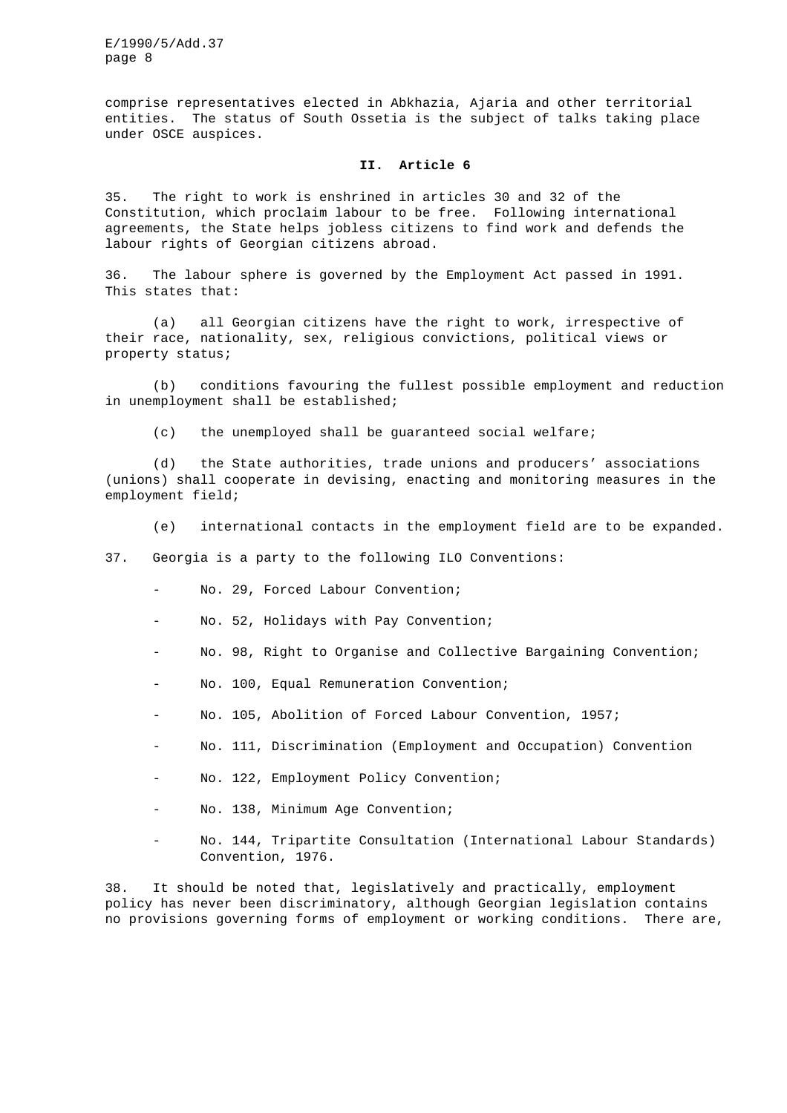comprise representatives elected in Abkhazia, Ajaria and other territorial entities. The status of South Ossetia is the subject of talks taking place under OSCE auspices.

## **II. Article 6**

35. The right to work is enshrined in articles 30 and 32 of the Constitution, which proclaim labour to be free. Following international agreements, the State helps jobless citizens to find work and defends the labour rights of Georgian citizens abroad.

36. The labour sphere is governed by the Employment Act passed in 1991. This states that:

(a) all Georgian citizens have the right to work, irrespective of their race, nationality, sex, religious convictions, political views or property status;

(b) conditions favouring the fullest possible employment and reduction in unemployment shall be established;

(c) the unemployed shall be guaranteed social welfare;

(d) the State authorities, trade unions and producers' associations (unions) shall cooperate in devising, enacting and monitoring measures in the employment field;

(e) international contacts in the employment field are to be expanded.

37. Georgia is a party to the following ILO Conventions:

- No. 29, Forced Labour Convention;
- No. 52, Holidays with Pay Convention;
- No. 98, Right to Organise and Collective Bargaining Convention;
- No. 100, Equal Remuneration Convention;
- No. 105, Abolition of Forced Labour Convention, 1957;
- No. 111, Discrimination (Employment and Occupation) Convention
- No. 122, Employment Policy Convention;
- No. 138, Minimum Age Convention;
- No. 144, Tripartite Consultation (International Labour Standards) Convention, 1976.

38. It should be noted that, legislatively and practically, employment policy has never been discriminatory, although Georgian legislation contains no provisions governing forms of employment or working conditions. There are,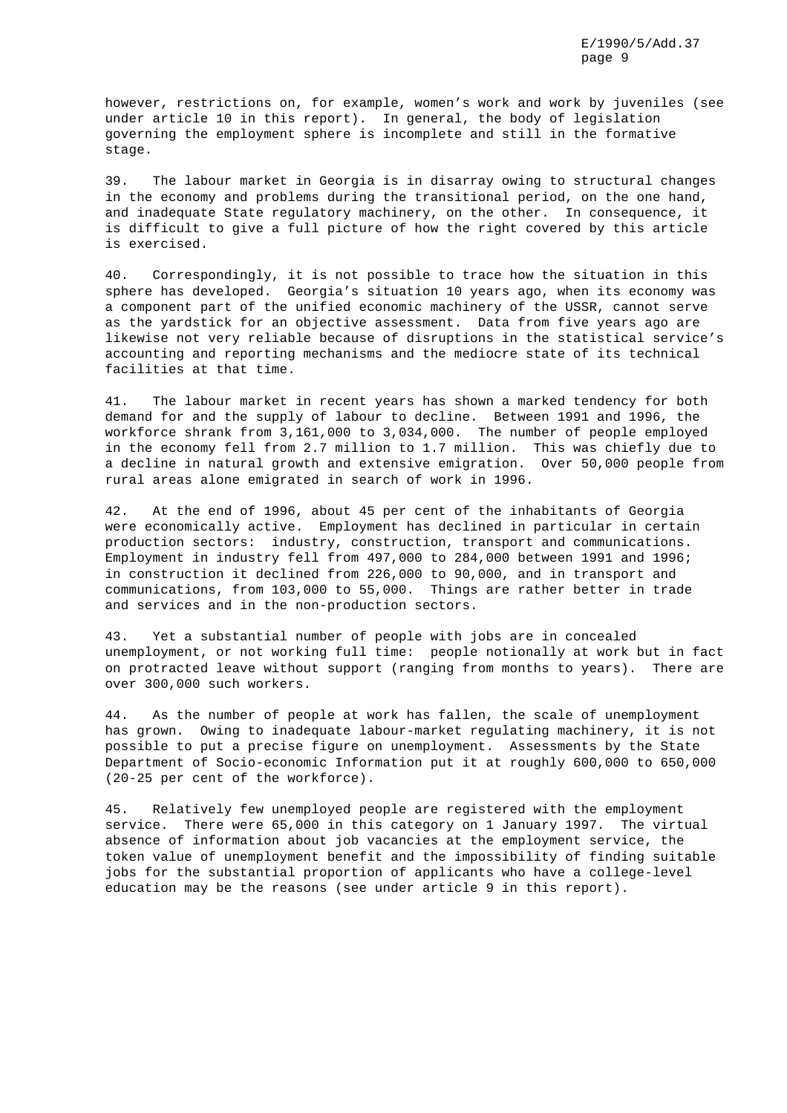however, restrictions on, for example, women's work and work by juveniles (see under article 10 in this report). In general, the body of legislation governing the employment sphere is incomplete and still in the formative stage.

39. The labour market in Georgia is in disarray owing to structural changes in the economy and problems during the transitional period, on the one hand, and inadequate State regulatory machinery, on the other. In consequence, it is difficult to give a full picture of how the right covered by this article is exercised.

40. Correspondingly, it is not possible to trace how the situation in this sphere has developed. Georgia's situation 10 years ago, when its economy was a component part of the unified economic machinery of the USSR, cannot serve as the yardstick for an objective assessment. Data from five years ago are likewise not very reliable because of disruptions in the statistical service's accounting and reporting mechanisms and the mediocre state of its technical facilities at that time.

41. The labour market in recent years has shown a marked tendency for both demand for and the supply of labour to decline. Between 1991 and 1996, the workforce shrank from 3,161,000 to 3,034,000. The number of people employed in the economy fell from 2.7 million to 1.7 million. This was chiefly due to a decline in natural growth and extensive emigration. Over 50,000 people from rural areas alone emigrated in search of work in 1996.

42. At the end of 1996, about 45 per cent of the inhabitants of Georgia were economically active. Employment has declined in particular in certain production sectors: industry, construction, transport and communications. Employment in industry fell from 497,000 to 284,000 between 1991 and 1996; in construction it declined from 226,000 to 90,000, and in transport and communications, from 103,000 to 55,000. Things are rather better in trade and services and in the non-production sectors.

43. Yet a substantial number of people with jobs are in concealed unemployment, or not working full time: people notionally at work but in fact on protracted leave without support (ranging from months to years). There are over 300,000 such workers.

44. As the number of people at work has fallen, the scale of unemployment has grown. Owing to inadequate labour-market regulating machinery, it is not possible to put a precise figure on unemployment. Assessments by the State Department of Socio-economic Information put it at roughly 600,000 to 650,000 (20-25 per cent of the workforce).

45. Relatively few unemployed people are registered with the employment service. There were 65,000 in this category on 1 January 1997. The virtual absence of information about job vacancies at the employment service, the token value of unemployment benefit and the impossibility of finding suitable jobs for the substantial proportion of applicants who have a college-level education may be the reasons (see under article 9 in this report).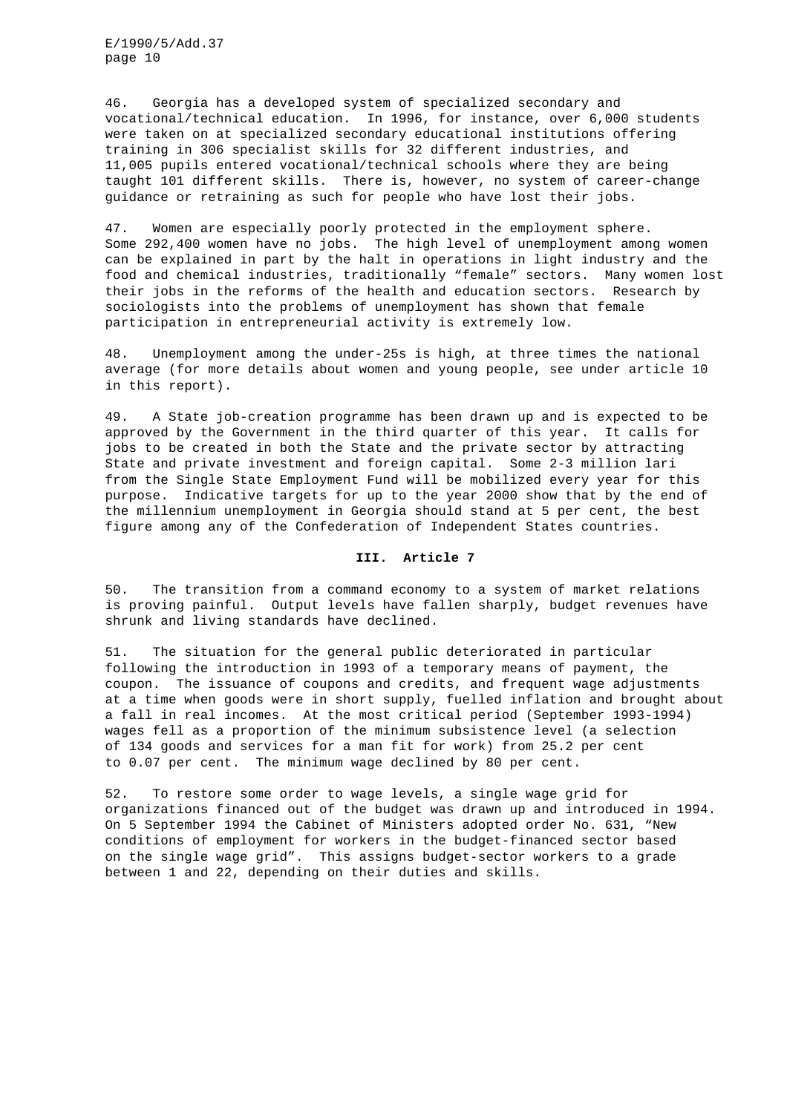46. Georgia has a developed system of specialized secondary and vocational/technical education. In 1996, for instance, over 6,000 students were taken on at specialized secondary educational institutions offering training in 306 specialist skills for 32 different industries, and 11,005 pupils entered vocational/technical schools where they are being taught 101 different skills. There is, however, no system of career-change guidance or retraining as such for people who have lost their jobs.

47. Women are especially poorly protected in the employment sphere. Some 292,400 women have no jobs. The high level of unemployment among women can be explained in part by the halt in operations in light industry and the food and chemical industries, traditionally "female" sectors. Many women lost their jobs in the reforms of the health and education sectors. Research by sociologists into the problems of unemployment has shown that female participation in entrepreneurial activity is extremely low.

48. Unemployment among the under-25s is high, at three times the national average (for more details about women and young people, see under article 10 in this report).

49. A State job-creation programme has been drawn up and is expected to be approved by the Government in the third quarter of this year. It calls for jobs to be created in both the State and the private sector by attracting State and private investment and foreign capital. Some 2-3 million lari from the Single State Employment Fund will be mobilized every year for this purpose. Indicative targets for up to the year 2000 show that by the end of the millennium unemployment in Georgia should stand at 5 per cent, the best figure among any of the Confederation of Independent States countries.

# **III. Article 7**

50. The transition from a command economy to a system of market relations is proving painful. Output levels have fallen sharply, budget revenues have shrunk and living standards have declined.

51. The situation for the general public deteriorated in particular following the introduction in 1993 of a temporary means of payment, the coupon. The issuance of coupons and credits, and frequent wage adjustments at a time when goods were in short supply, fuelled inflation and brought about a fall in real incomes. At the most critical period (September 1993-1994) wages fell as a proportion of the minimum subsistence level (a selection of 134 goods and services for a man fit for work) from 25.2 per cent to 0.07 per cent. The minimum wage declined by 80 per cent.

52. To restore some order to wage levels, a single wage grid for organizations financed out of the budget was drawn up and introduced in 1994. On 5 September 1994 the Cabinet of Ministers adopted order No. 631, "New conditions of employment for workers in the budget-financed sector based on the single wage grid". This assigns budget-sector workers to a grade between 1 and 22, depending on their duties and skills.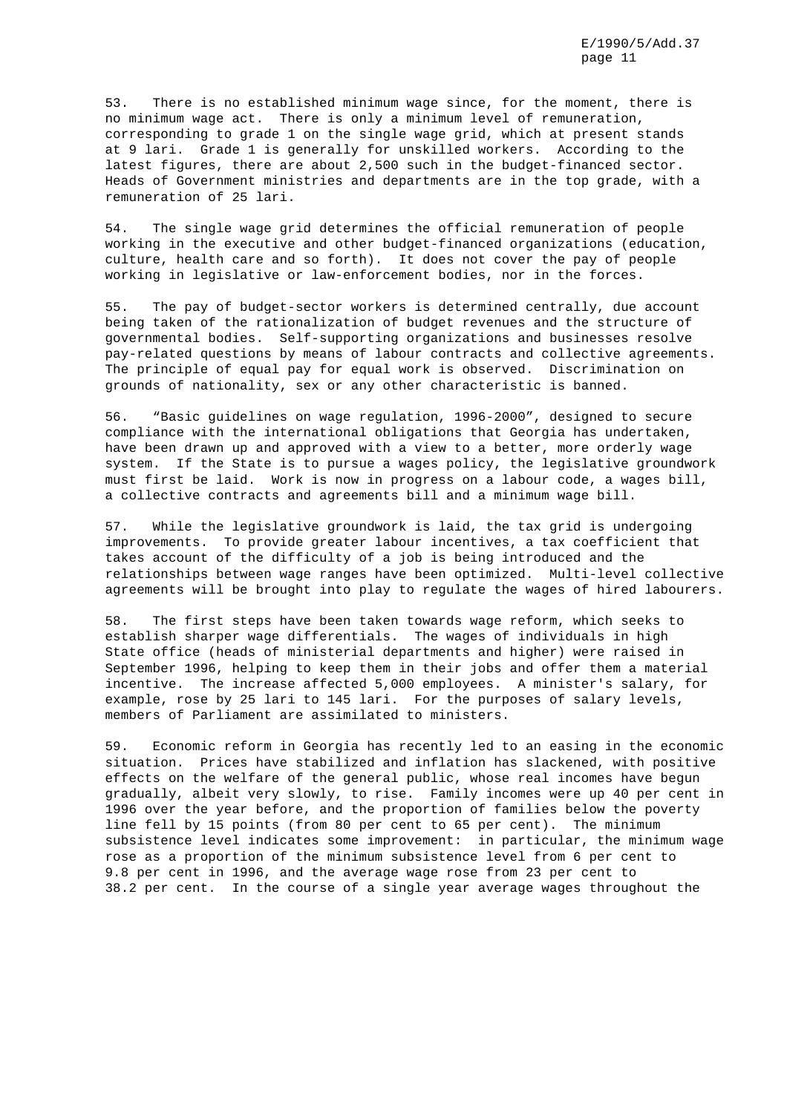53. There is no established minimum wage since, for the moment, there is no minimum wage act. There is only a minimum level of remuneration, corresponding to grade 1 on the single wage grid, which at present stands at 9 lari. Grade 1 is generally for unskilled workers. According to the latest figures, there are about 2,500 such in the budget-financed sector. Heads of Government ministries and departments are in the top grade, with a remuneration of 25 lari.

54. The single wage grid determines the official remuneration of people working in the executive and other budget-financed organizations (education, culture, health care and so forth). It does not cover the pay of people working in legislative or law-enforcement bodies, nor in the forces.

55. The pay of budget-sector workers is determined centrally, due account being taken of the rationalization of budget revenues and the structure of governmental bodies. Self-supporting organizations and businesses resolve pay-related questions by means of labour contracts and collective agreements. The principle of equal pay for equal work is observed. Discrimination on grounds of nationality, sex or any other characteristic is banned.

56. "Basic guidelines on wage regulation, 1996-2000", designed to secure compliance with the international obligations that Georgia has undertaken, have been drawn up and approved with a view to a better, more orderly wage system. If the State is to pursue a wages policy, the legislative groundwork must first be laid. Work is now in progress on a labour code, a wages bill, a collective contracts and agreements bill and a minimum wage bill.

57. While the legislative groundwork is laid, the tax grid is undergoing improvements. To provide greater labour incentives, a tax coefficient that takes account of the difficulty of a job is being introduced and the relationships between wage ranges have been optimized. Multi-level collective agreements will be brought into play to regulate the wages of hired labourers.

58. The first steps have been taken towards wage reform, which seeks to establish sharper wage differentials. The wages of individuals in high State office (heads of ministerial departments and higher) were raised in September 1996, helping to keep them in their jobs and offer them a material incentive. The increase affected 5,000 employees. A minister's salary, for example, rose by 25 lari to 145 lari. For the purposes of salary levels, members of Parliament are assimilated to ministers.

59. Economic reform in Georgia has recently led to an easing in the economic situation. Prices have stabilized and inflation has slackened, with positive effects on the welfare of the general public, whose real incomes have begun gradually, albeit very slowly, to rise. Family incomes were up 40 per cent in 1996 over the year before, and the proportion of families below the poverty line fell by 15 points (from 80 per cent to 65 per cent). The minimum subsistence level indicates some improvement: in particular, the minimum wage rose as a proportion of the minimum subsistence level from 6 per cent to 9.8 per cent in 1996, and the average wage rose from 23 per cent to 38.2 per cent. In the course of a single year average wages throughout the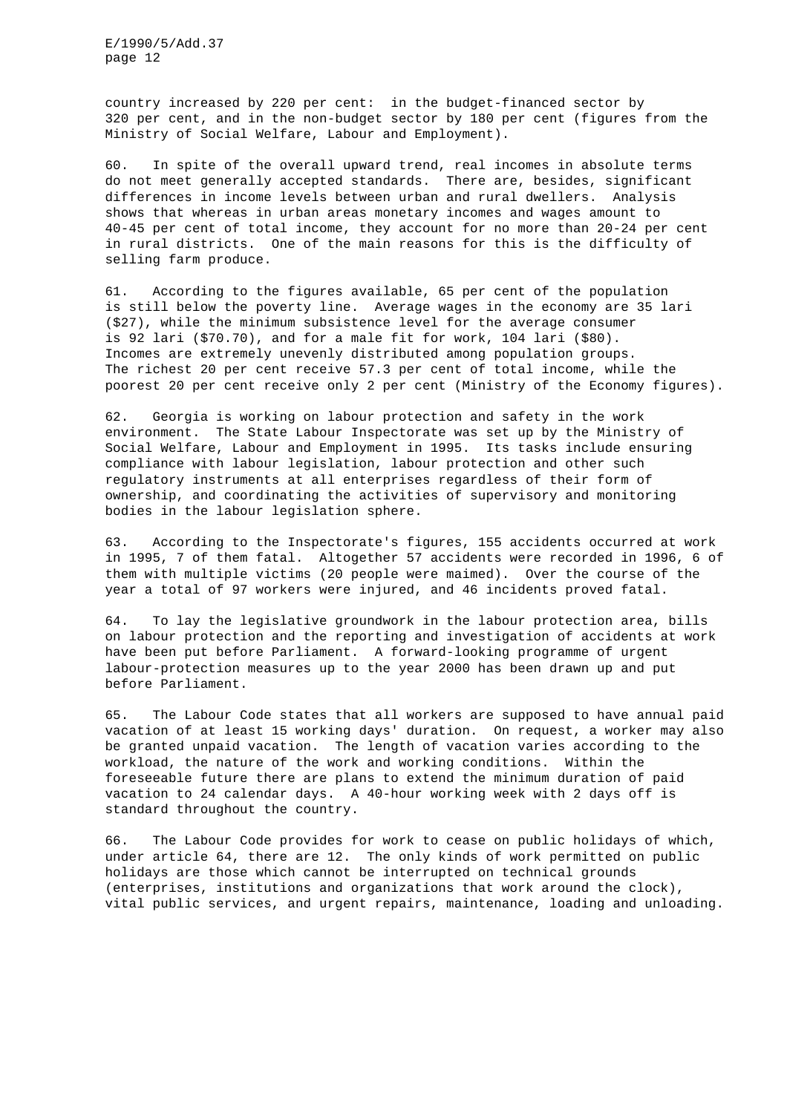country increased by 220 per cent: in the budget-financed sector by 320 per cent, and in the non-budget sector by 180 per cent (figures from the Ministry of Social Welfare, Labour and Employment).

60. In spite of the overall upward trend, real incomes in absolute terms do not meet generally accepted standards. There are, besides, significant differences in income levels between urban and rural dwellers. Analysis shows that whereas in urban areas monetary incomes and wages amount to 40-45 per cent of total income, they account for no more than 20-24 per cent in rural districts. One of the main reasons for this is the difficulty of selling farm produce.

61. According to the figures available, 65 per cent of the population is still below the poverty line. Average wages in the economy are 35 lari (\$27), while the minimum subsistence level for the average consumer is 92 lari (\$70.70), and for a male fit for work, 104 lari (\$80). Incomes are extremely unevenly distributed among population groups. The richest 20 per cent receive 57.3 per cent of total income, while the poorest 20 per cent receive only 2 per cent (Ministry of the Economy figures).

62. Georgia is working on labour protection and safety in the work environment. The State Labour Inspectorate was set up by the Ministry of Social Welfare, Labour and Employment in 1995. Its tasks include ensuring compliance with labour legislation, labour protection and other such regulatory instruments at all enterprises regardless of their form of ownership, and coordinating the activities of supervisory and monitoring bodies in the labour legislation sphere.

63. According to the Inspectorate's figures, 155 accidents occurred at work in 1995, 7 of them fatal. Altogether 57 accidents were recorded in 1996, 6 of them with multiple victims (20 people were maimed). Over the course of the year a total of 97 workers were injured, and 46 incidents proved fatal.

64. To lay the legislative groundwork in the labour protection area, bills on labour protection and the reporting and investigation of accidents at work have been put before Parliament. A forward-looking programme of urgent labour-protection measures up to the year 2000 has been drawn up and put before Parliament.

65. The Labour Code states that all workers are supposed to have annual paid vacation of at least 15 working days' duration. On request, a worker may also be granted unpaid vacation. The length of vacation varies according to the workload, the nature of the work and working conditions. Within the foreseeable future there are plans to extend the minimum duration of paid vacation to 24 calendar days. A 40-hour working week with 2 days off is standard throughout the country.

66. The Labour Code provides for work to cease on public holidays of which, under article 64, there are 12. The only kinds of work permitted on public holidays are those which cannot be interrupted on technical grounds (enterprises, institutions and organizations that work around the clock), vital public services, and urgent repairs, maintenance, loading and unloading.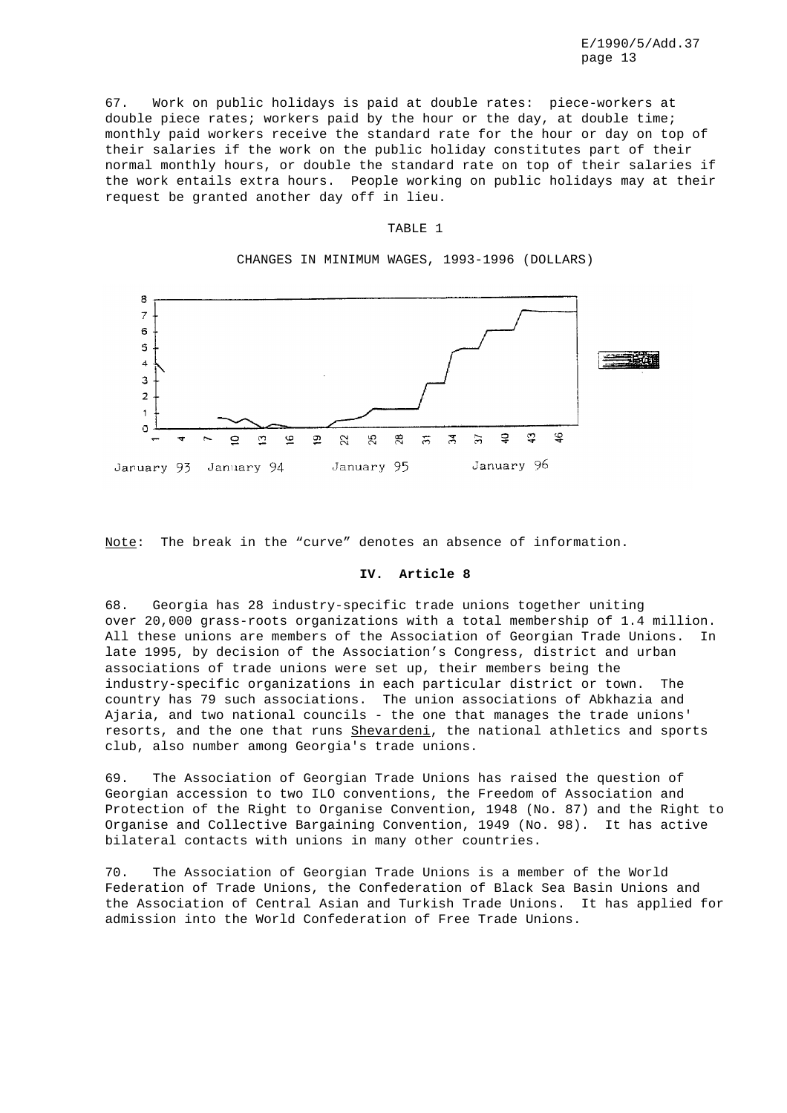67. Work on public holidays is paid at double rates: piece-workers at double piece rates; workers paid by the hour or the day, at double time; monthly paid workers receive the standard rate for the hour or day on top of their salaries if the work on the public holiday constitutes part of their normal monthly hours, or double the standard rate on top of their salaries if the work entails extra hours. People working on public holidays may at their request be granted another day off in lieu.

#### TABLE 1

CHANGES IN MINIMUM WAGES, 1993-1996 (DOLLARS)



Note: The break in the "curve" denotes an absence of information.

## **IV. Article 8**

68. Georgia has 28 industry-specific trade unions together uniting over 20,000 grass-roots organizations with a total membership of 1.4 million. All these unions are members of the Association of Georgian Trade Unions. In late 1995, by decision of the Association's Congress, district and urban associations of trade unions were set up, their members being the industry-specific organizations in each particular district or town. The country has 79 such associations. The union associations of Abkhazia and Ajaria, and two national councils - the one that manages the trade unions' resorts, and the one that runs Shevardeni, the national athletics and sports club, also number among Georgia's trade unions.

69. The Association of Georgian Trade Unions has raised the question of Georgian accession to two ILO conventions, the Freedom of Association and Protection of the Right to Organise Convention, 1948 (No. 87) and the Right to Organise and Collective Bargaining Convention, 1949 (No. 98). It has active bilateral contacts with unions in many other countries.

70. The Association of Georgian Trade Unions is a member of the World Federation of Trade Unions, the Confederation of Black Sea Basin Unions and the Association of Central Asian and Turkish Trade Unions. It has applied for admission into the World Confederation of Free Trade Unions.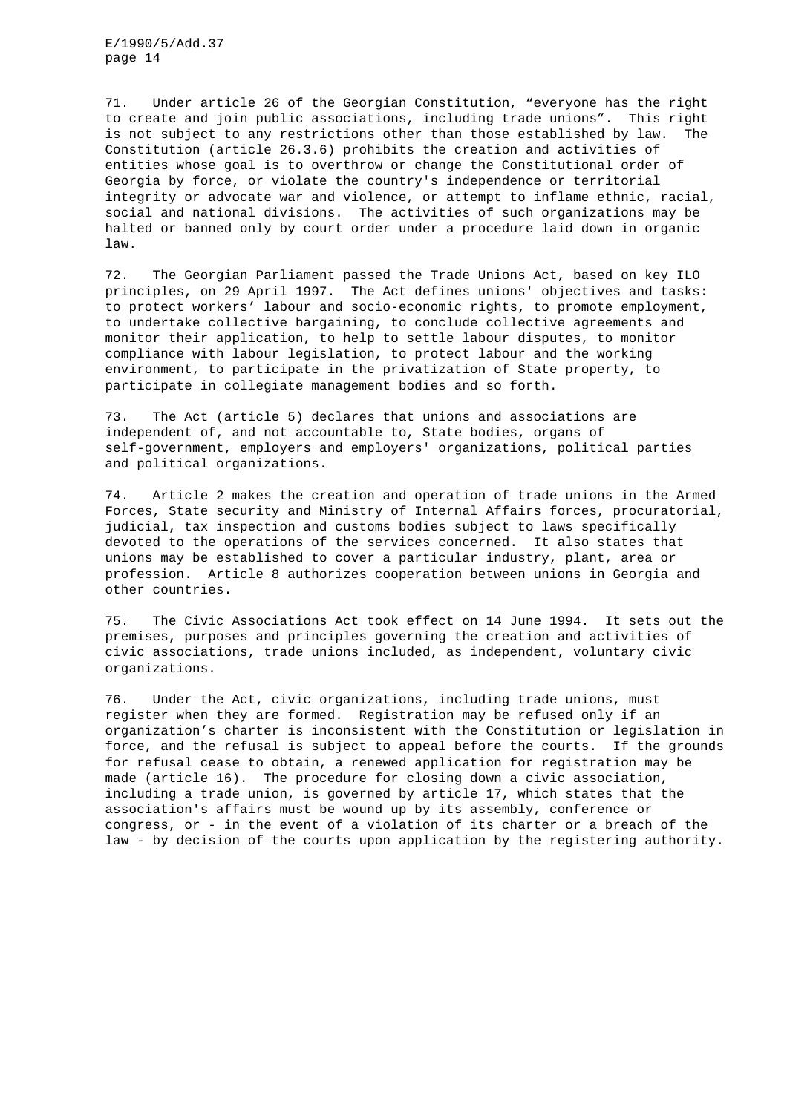71. Under article 26 of the Georgian Constitution, "everyone has the right to create and join public associations, including trade unions". This right is not subject to any restrictions other than those established by law. The Constitution (article 26.3.6) prohibits the creation and activities of entities whose goal is to overthrow or change the Constitutional order of Georgia by force, or violate the country's independence or territorial integrity or advocate war and violence, or attempt to inflame ethnic, racial, social and national divisions. The activities of such organizations may be halted or banned only by court order under a procedure laid down in organic law.

72. The Georgian Parliament passed the Trade Unions Act, based on key ILO principles, on 29 April 1997. The Act defines unions' objectives and tasks: to protect workers' labour and socio-economic rights, to promote employment, to undertake collective bargaining, to conclude collective agreements and monitor their application, to help to settle labour disputes, to monitor compliance with labour legislation, to protect labour and the working environment, to participate in the privatization of State property, to participate in collegiate management bodies and so forth.

73. The Act (article 5) declares that unions and associations are independent of, and not accountable to, State bodies, organs of self-government, employers and employers' organizations, political parties and political organizations.

74. Article 2 makes the creation and operation of trade unions in the Armed Forces, State security and Ministry of Internal Affairs forces, procuratorial, judicial, tax inspection and customs bodies subject to laws specifically devoted to the operations of the services concerned. It also states that unions may be established to cover a particular industry, plant, area or profession. Article 8 authorizes cooperation between unions in Georgia and other countries.

75. The Civic Associations Act took effect on 14 June 1994. It sets out the premises, purposes and principles governing the creation and activities of civic associations, trade unions included, as independent, voluntary civic organizations.

76. Under the Act, civic organizations, including trade unions, must register when they are formed. Registration may be refused only if an organization's charter is inconsistent with the Constitution or legislation in force, and the refusal is subject to appeal before the courts. If the grounds for refusal cease to obtain, a renewed application for registration may be made (article 16). The procedure for closing down a civic association, including a trade union, is governed by article 17, which states that the association's affairs must be wound up by its assembly, conference or congress, or - in the event of a violation of its charter or a breach of the law - by decision of the courts upon application by the registering authority.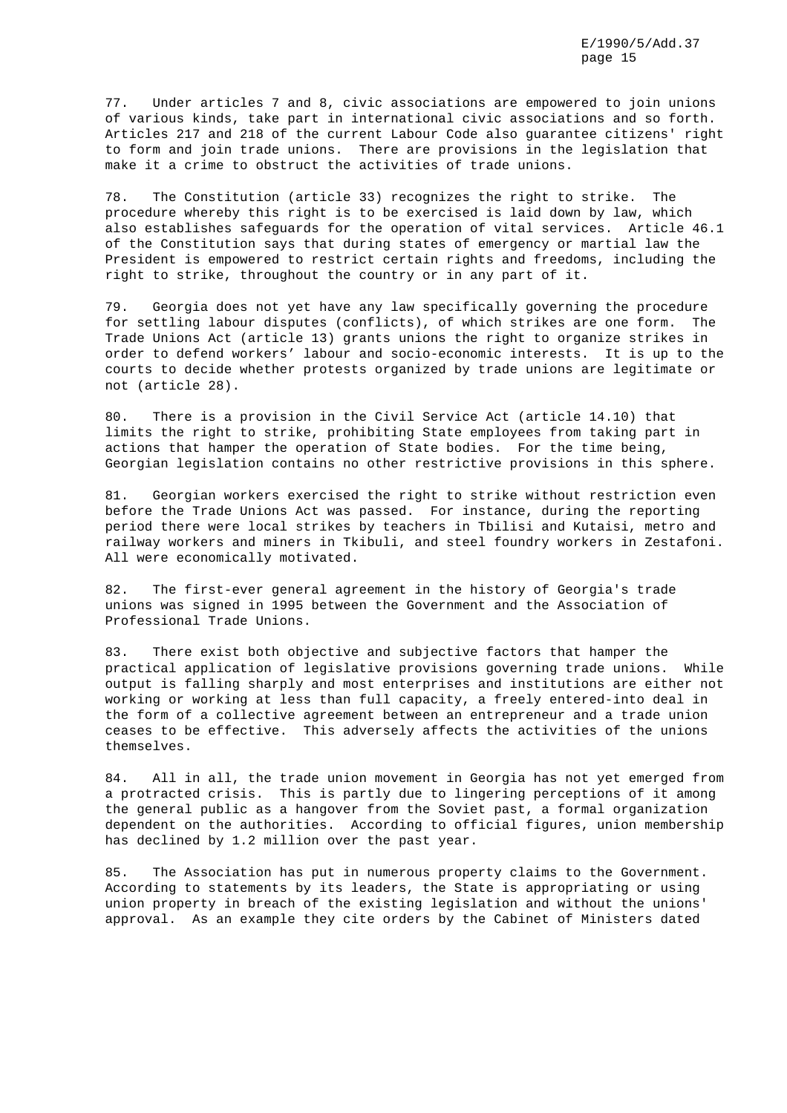77. Under articles 7 and 8, civic associations are empowered to join unions of various kinds, take part in international civic associations and so forth. Articles 217 and 218 of the current Labour Code also guarantee citizens' right to form and join trade unions. There are provisions in the legislation that make it a crime to obstruct the activities of trade unions.

78. The Constitution (article 33) recognizes the right to strike. The procedure whereby this right is to be exercised is laid down by law, which also establishes safeguards for the operation of vital services. Article 46.1 of the Constitution says that during states of emergency or martial law the President is empowered to restrict certain rights and freedoms, including the right to strike, throughout the country or in any part of it.

79. Georgia does not yet have any law specifically governing the procedure for settling labour disputes (conflicts), of which strikes are one form. The Trade Unions Act (article 13) grants unions the right to organize strikes in order to defend workers' labour and socio-economic interests. It is up to the courts to decide whether protests organized by trade unions are legitimate or not (article 28).

80. There is a provision in the Civil Service Act (article 14.10) that limits the right to strike, prohibiting State employees from taking part in actions that hamper the operation of State bodies. For the time being, Georgian legislation contains no other restrictive provisions in this sphere.

81. Georgian workers exercised the right to strike without restriction even before the Trade Unions Act was passed. For instance, during the reporting period there were local strikes by teachers in Tbilisi and Kutaisi, metro and railway workers and miners in Tkibuli, and steel foundry workers in Zestafoni. All were economically motivated.

82. The first-ever general agreement in the history of Georgia's trade unions was signed in 1995 between the Government and the Association of Professional Trade Unions.

83. There exist both objective and subjective factors that hamper the practical application of legislative provisions governing trade unions. While output is falling sharply and most enterprises and institutions are either not working or working at less than full capacity, a freely entered-into deal in the form of a collective agreement between an entrepreneur and a trade union ceases to be effective. This adversely affects the activities of the unions themselves.

84. All in all, the trade union movement in Georgia has not yet emerged from a protracted crisis. This is partly due to lingering perceptions of it among the general public as a hangover from the Soviet past, a formal organization dependent on the authorities. According to official figures, union membership has declined by 1.2 million over the past year.

85. The Association has put in numerous property claims to the Government. According to statements by its leaders, the State is appropriating or using union property in breach of the existing legislation and without the unions' approval. As an example they cite orders by the Cabinet of Ministers dated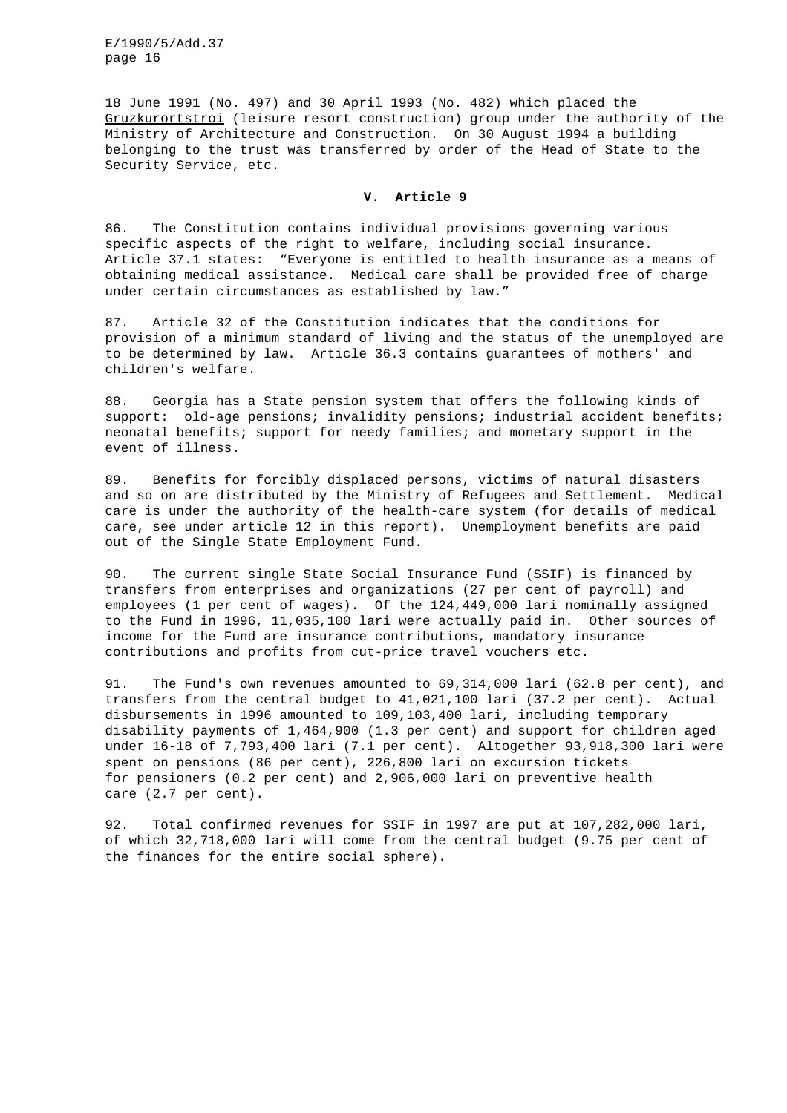18 June 1991 (No. 497) and 30 April 1993 (No. 482) which placed the Gruzkurortstroi (leisure resort construction) group under the authority of the Ministry of Architecture and Construction. On 30 August 1994 a building belonging to the trust was transferred by order of the Head of State to the Security Service, etc.

# **V. Article 9**

86. The Constitution contains individual provisions governing various specific aspects of the right to welfare, including social insurance. Article 37.1 states: "Everyone is entitled to health insurance as a means of obtaining medical assistance. Medical care shall be provided free of charge under certain circumstances as established by law."

87. Article 32 of the Constitution indicates that the conditions for provision of a minimum standard of living and the status of the unemployed are to be determined by law. Article 36.3 contains guarantees of mothers' and children's welfare.

88. Georgia has a State pension system that offers the following kinds of support: old-age pensions; invalidity pensions; industrial accident benefits; neonatal benefits; support for needy families; and monetary support in the event of illness.

89. Benefits for forcibly displaced persons, victims of natural disasters and so on are distributed by the Ministry of Refugees and Settlement. Medical care is under the authority of the health-care system (for details of medical care, see under article 12 in this report). Unemployment benefits are paid out of the Single State Employment Fund.

90. The current single State Social Insurance Fund (SSIF) is financed by transfers from enterprises and organizations (27 per cent of payroll) and employees (1 per cent of wages). Of the 124,449,000 lari nominally assigned to the Fund in 1996, 11,035,100 lari were actually paid in. Other sources of income for the Fund are insurance contributions, mandatory insurance contributions and profits from cut-price travel vouchers etc.

91. The Fund's own revenues amounted to 69,314,000 lari (62.8 per cent), and transfers from the central budget to 41,021,100 lari (37.2 per cent). Actual disbursements in 1996 amounted to 109,103,400 lari, including temporary disability payments of 1,464,900 (1.3 per cent) and support for children aged under 16-18 of 7,793,400 lari (7.1 per cent). Altogether 93,918,300 lari were spent on pensions (86 per cent), 226,800 lari on excursion tickets for pensioners (0.2 per cent) and 2,906,000 lari on preventive health care (2.7 per cent).

92. Total confirmed revenues for SSIF in 1997 are put at 107,282,000 lari, of which 32,718,000 lari will come from the central budget (9.75 per cent of the finances for the entire social sphere).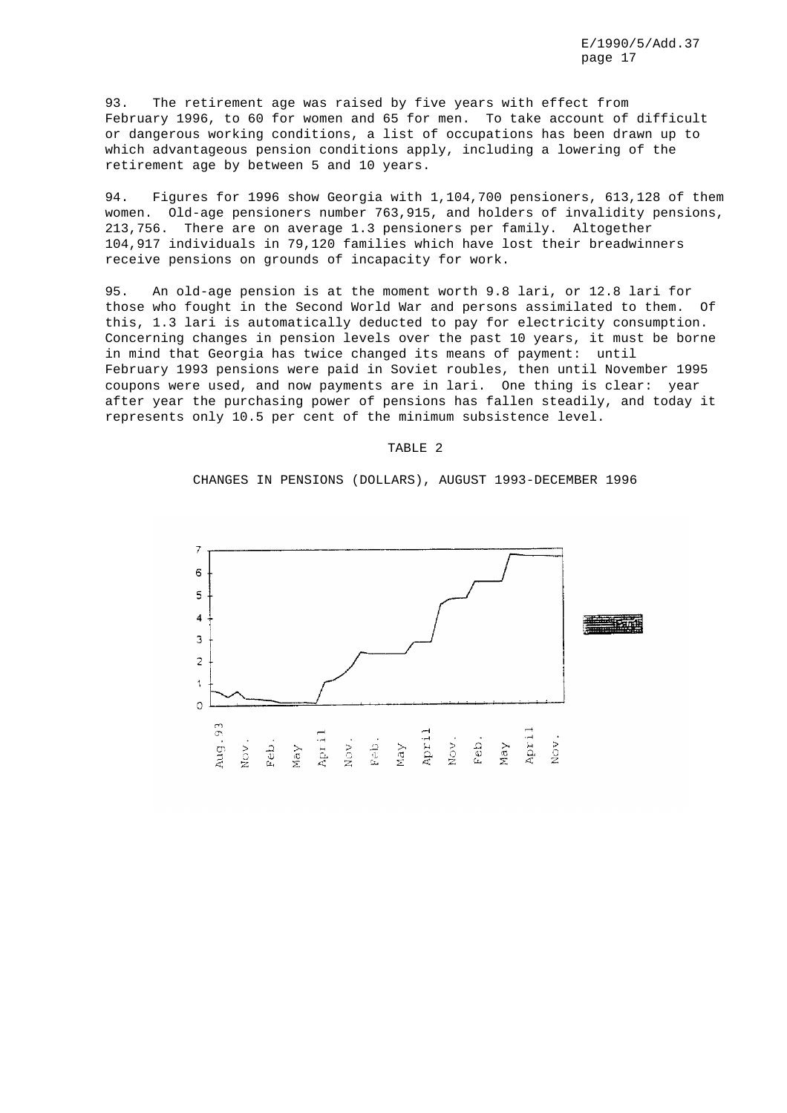93. The retirement age was raised by five years with effect from February 1996, to 60 for women and 65 for men. To take account of difficult or dangerous working conditions, a list of occupations has been drawn up to which advantageous pension conditions apply, including a lowering of the retirement age by between 5 and 10 years.

94. Figures for 1996 show Georgia with 1,104,700 pensioners, 613,128 of them women. Old-age pensioners number 763,915, and holders of invalidity pensions, 213,756. There are on average 1.3 pensioners per family. Altogether 104,917 individuals in 79,120 families which have lost their breadwinners receive pensions on grounds of incapacity for work.

95. An old-age pension is at the moment worth 9.8 lari, or 12.8 lari for those who fought in the Second World War and persons assimilated to them. Of this, 1.3 lari is automatically deducted to pay for electricity consumption. Concerning changes in pension levels over the past 10 years, it must be borne in mind that Georgia has twice changed its means of payment: until February 1993 pensions were paid in Soviet roubles, then until November 1995 coupons were used, and now payments are in lari. One thing is clear: year after year the purchasing power of pensions has fallen steadily, and today it represents only 10.5 per cent of the minimum subsistence level.

## TABLE 2

CHANGES IN PENSIONS (DOLLARS), AUGUST 1993-DECEMBER 1996

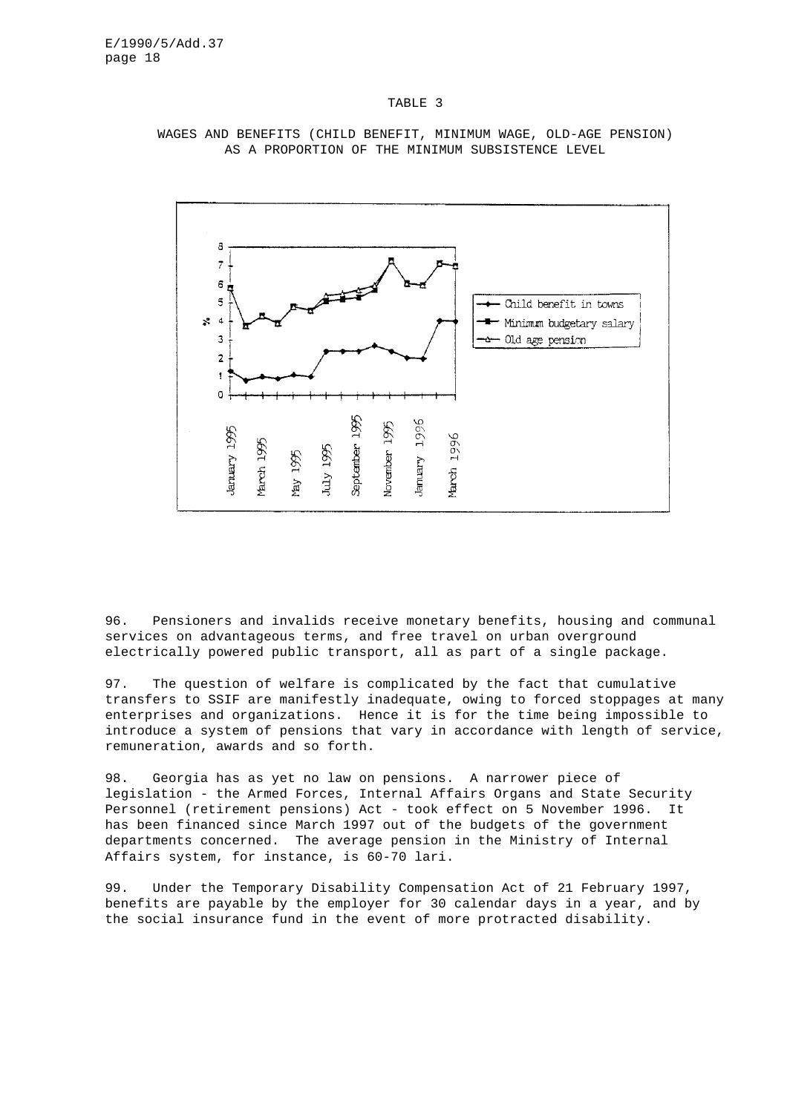#### TABLE 3



WAGES AND BENEFITS (CHILD BENEFIT, MINIMUM WAGE, OLD-AGE PENSION) AS A PROPORTION OF THE MINIMUM SUBSISTENCE LEVEL

96. Pensioners and invalids receive monetary benefits, housing and communal services on advantageous terms, and free travel on urban overground electrically powered public transport, all as part of a single package.

97. The question of welfare is complicated by the fact that cumulative transfers to SSIF are manifestly inadequate, owing to forced stoppages at many enterprises and organizations. Hence it is for the time being impossible to introduce a system of pensions that vary in accordance with length of service, remuneration, awards and so forth.

98. Georgia has as yet no law on pensions. A narrower piece of legislation - the Armed Forces, Internal Affairs Organs and State Security Personnel (retirement pensions) Act - took effect on 5 November 1996. It has been financed since March 1997 out of the budgets of the government departments concerned. The average pension in the Ministry of Internal Affairs system, for instance, is 60-70 lari.

99. Under the Temporary Disability Compensation Act of 21 February 1997, benefits are payable by the employer for 30 calendar days in a year, and by the social insurance fund in the event of more protracted disability.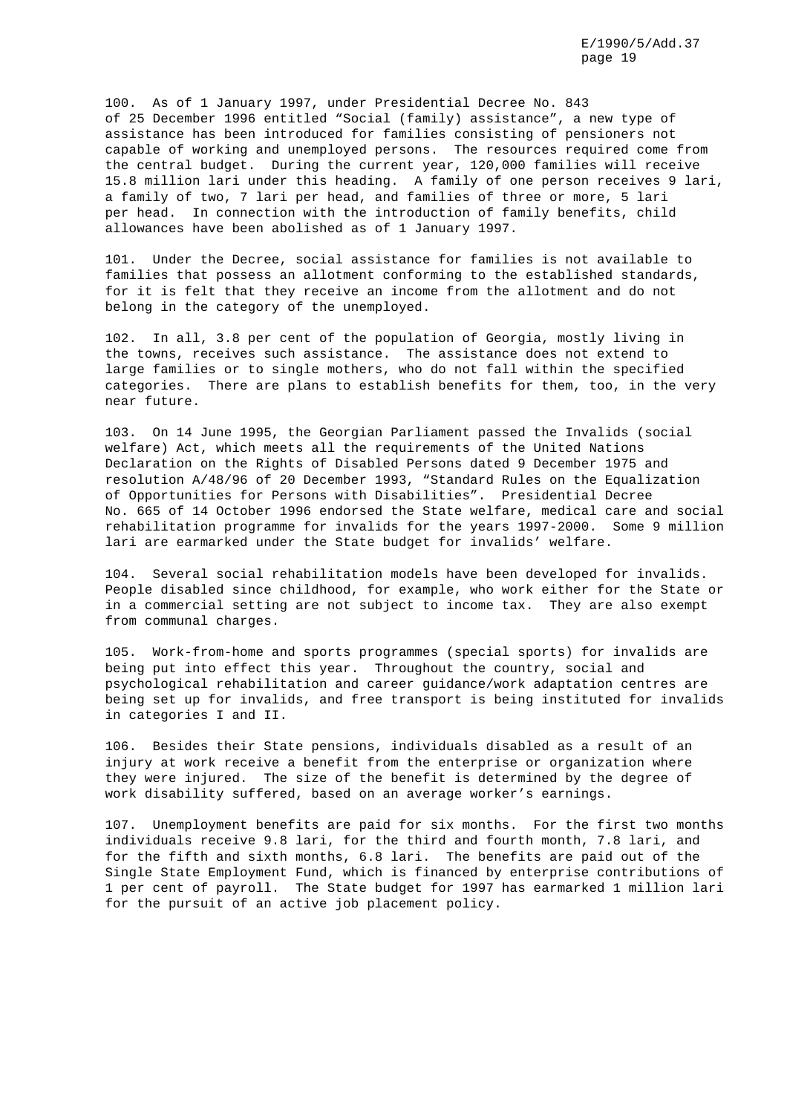100. As of 1 January 1997, under Presidential Decree No. 843 of 25 December 1996 entitled "Social (family) assistance", a new type of assistance has been introduced for families consisting of pensioners not capable of working and unemployed persons. The resources required come from the central budget. During the current year, 120,000 families will receive 15.8 million lari under this heading. A family of one person receives 9 lari, a family of two, 7 lari per head, and families of three or more, 5 lari per head. In connection with the introduction of family benefits, child allowances have been abolished as of 1 January 1997.

101. Under the Decree, social assistance for families is not available to families that possess an allotment conforming to the established standards, for it is felt that they receive an income from the allotment and do not belong in the category of the unemployed.

102. In all, 3.8 per cent of the population of Georgia, mostly living in the towns, receives such assistance. The assistance does not extend to large families or to single mothers, who do not fall within the specified categories. There are plans to establish benefits for them, too, in the very near future.

103. On 14 June 1995, the Georgian Parliament passed the Invalids (social welfare) Act, which meets all the requirements of the United Nations Declaration on the Rights of Disabled Persons dated 9 December 1975 and resolution A/48/96 of 20 December 1993, "Standard Rules on the Equalization of Opportunities for Persons with Disabilities". Presidential Decree No. 665 of 14 October 1996 endorsed the State welfare, medical care and social rehabilitation programme for invalids for the years 1997-2000. Some 9 million lari are earmarked under the State budget for invalids' welfare.

104. Several social rehabilitation models have been developed for invalids. People disabled since childhood, for example, who work either for the State or in a commercial setting are not subject to income tax. They are also exempt from communal charges.

105. Work-from-home and sports programmes (special sports) for invalids are being put into effect this year. Throughout the country, social and psychological rehabilitation and career guidance/work adaptation centres are being set up for invalids, and free transport is being instituted for invalids in categories I and II.

106. Besides their State pensions, individuals disabled as a result of an injury at work receive a benefit from the enterprise or organization where they were injured. The size of the benefit is determined by the degree of work disability suffered, based on an average worker's earnings.

107. Unemployment benefits are paid for six months. For the first two months individuals receive 9.8 lari, for the third and fourth month, 7.8 lari, and for the fifth and sixth months, 6.8 lari. The benefits are paid out of the Single State Employment Fund, which is financed by enterprise contributions of 1 per cent of payroll. The State budget for 1997 has earmarked 1 million lari for the pursuit of an active job placement policy.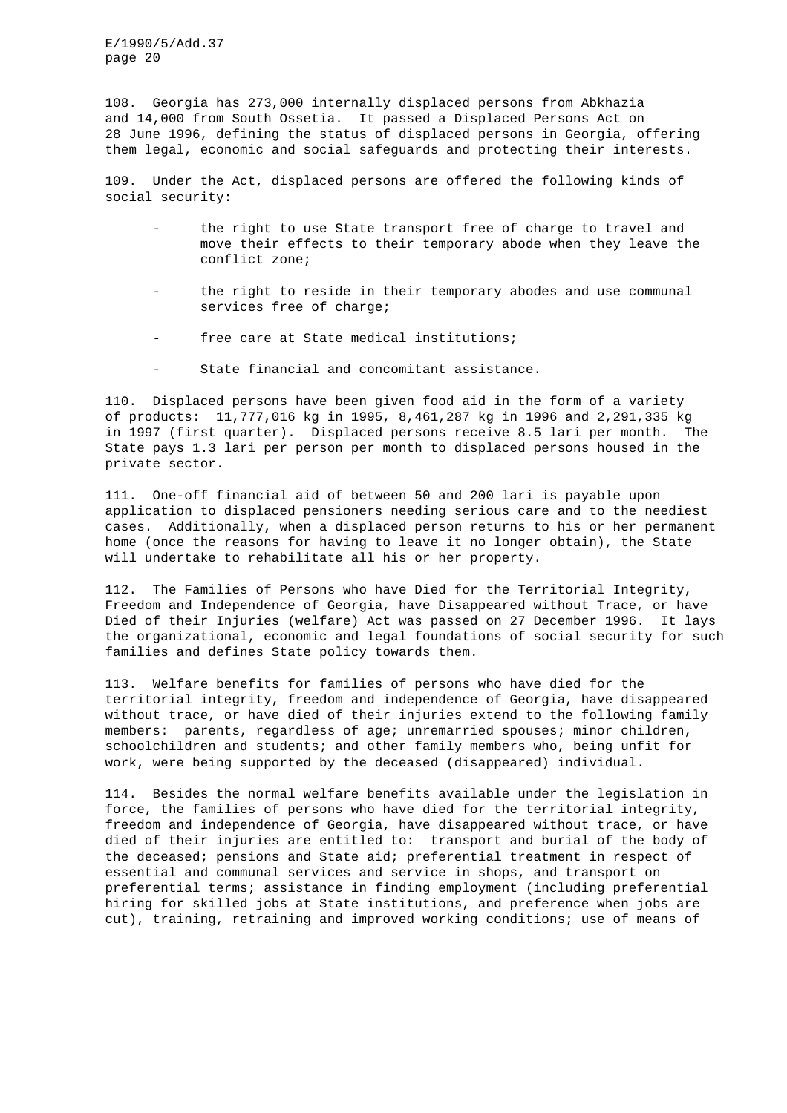108. Georgia has 273,000 internally displaced persons from Abkhazia and 14,000 from South Ossetia. It passed a Displaced Persons Act on 28 June 1996, defining the status of displaced persons in Georgia, offering them legal, economic and social safeguards and protecting their interests.

109. Under the Act, displaced persons are offered the following kinds of social security:

- the right to use State transport free of charge to travel and move their effects to their temporary abode when they leave the conflict zone;
- the right to reside in their temporary abodes and use communal services free of charge;
- free care at State medical institutions;
- State financial and concomitant assistance.

110. Displaced persons have been given food aid in the form of a variety of products: 11,777,016 kg in 1995, 8,461,287 kg in 1996 and 2,291,335 kg in 1997 (first quarter). Displaced persons receive 8.5 lari per month. The State pays 1.3 lari per person per month to displaced persons housed in the private sector.

111. One-off financial aid of between 50 and 200 lari is payable upon application to displaced pensioners needing serious care and to the neediest cases. Additionally, when a displaced person returns to his or her permanent home (once the reasons for having to leave it no longer obtain), the State will undertake to rehabilitate all his or her property.

112. The Families of Persons who have Died for the Territorial Integrity, Freedom and Independence of Georgia, have Disappeared without Trace, or have Died of their Injuries (welfare) Act was passed on 27 December 1996. It lays the organizational, economic and legal foundations of social security for such families and defines State policy towards them.

113. Welfare benefits for families of persons who have died for the territorial integrity, freedom and independence of Georgia, have disappeared without trace, or have died of their injuries extend to the following family members: parents, regardless of age; unremarried spouses; minor children, schoolchildren and students; and other family members who, being unfit for work, were being supported by the deceased (disappeared) individual.

114. Besides the normal welfare benefits available under the legislation in force, the families of persons who have died for the territorial integrity, freedom and independence of Georgia, have disappeared without trace, or have died of their injuries are entitled to: transport and burial of the body of the deceased; pensions and State aid; preferential treatment in respect of essential and communal services and service in shops, and transport on preferential terms; assistance in finding employment (including preferential hiring for skilled jobs at State institutions, and preference when jobs are cut), training, retraining and improved working conditions; use of means of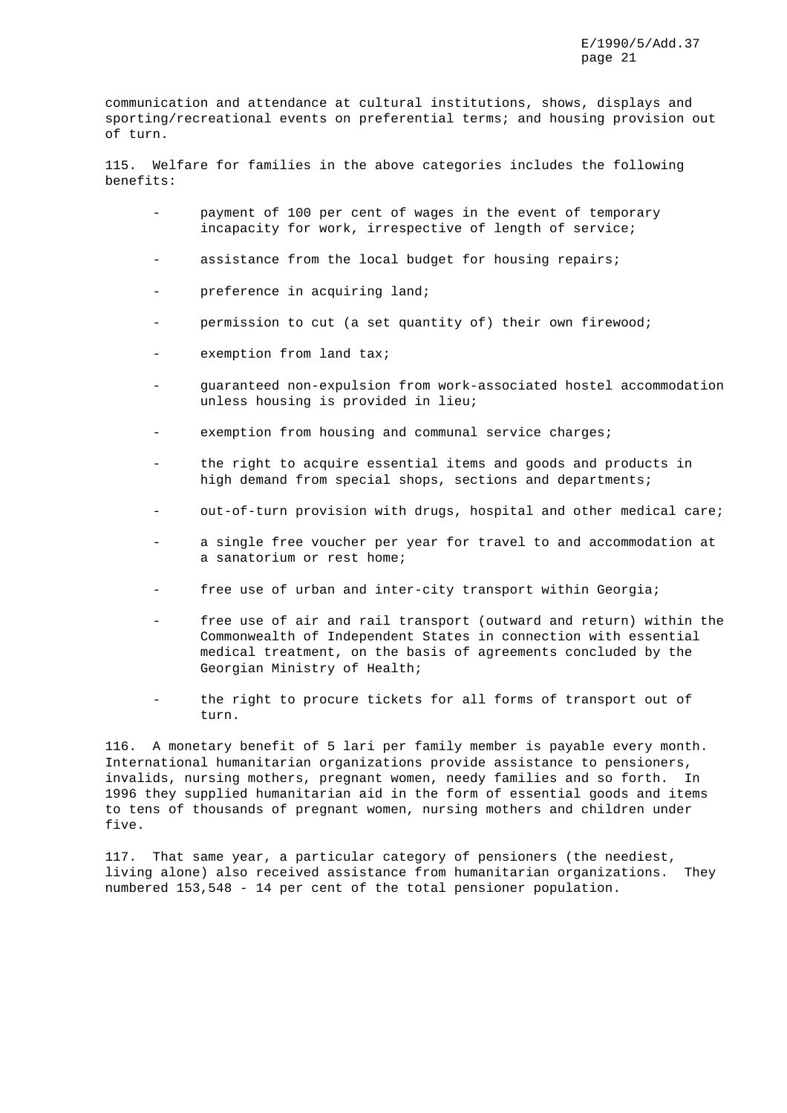communication and attendance at cultural institutions, shows, displays and sporting/recreational events on preferential terms; and housing provision out of turn.

115. Welfare for families in the above categories includes the following benefits:

- payment of 100 per cent of wages in the event of temporary incapacity for work, irrespective of length of service;
- assistance from the local budget for housing repairs;
- preference in acquiring land;
- permission to cut (a set quantity of) their own firewood;
- exemption from land tax;
- guaranteed non-expulsion from work-associated hostel accommodation unless housing is provided in lieu;
- exemption from housing and communal service charges;
- the right to acquire essential items and goods and products in high demand from special shops, sections and departments;
- out-of-turn provision with drugs, hospital and other medical care;
- a single free voucher per year for travel to and accommodation at a sanatorium or rest home;
- free use of urban and inter-city transport within Georgia;
- free use of air and rail transport (outward and return) within the Commonwealth of Independent States in connection with essential medical treatment, on the basis of agreements concluded by the Georgian Ministry of Health;
- the right to procure tickets for all forms of transport out of turn.

116. A monetary benefit of 5 lari per family member is payable every month. International humanitarian organizations provide assistance to pensioners, invalids, nursing mothers, pregnant women, needy families and so forth. In 1996 they supplied humanitarian aid in the form of essential goods and items to tens of thousands of pregnant women, nursing mothers and children under five.

117. That same year, a particular category of pensioners (the neediest, living alone) also received assistance from humanitarian organizations. They numbered 153,548 - 14 per cent of the total pensioner population.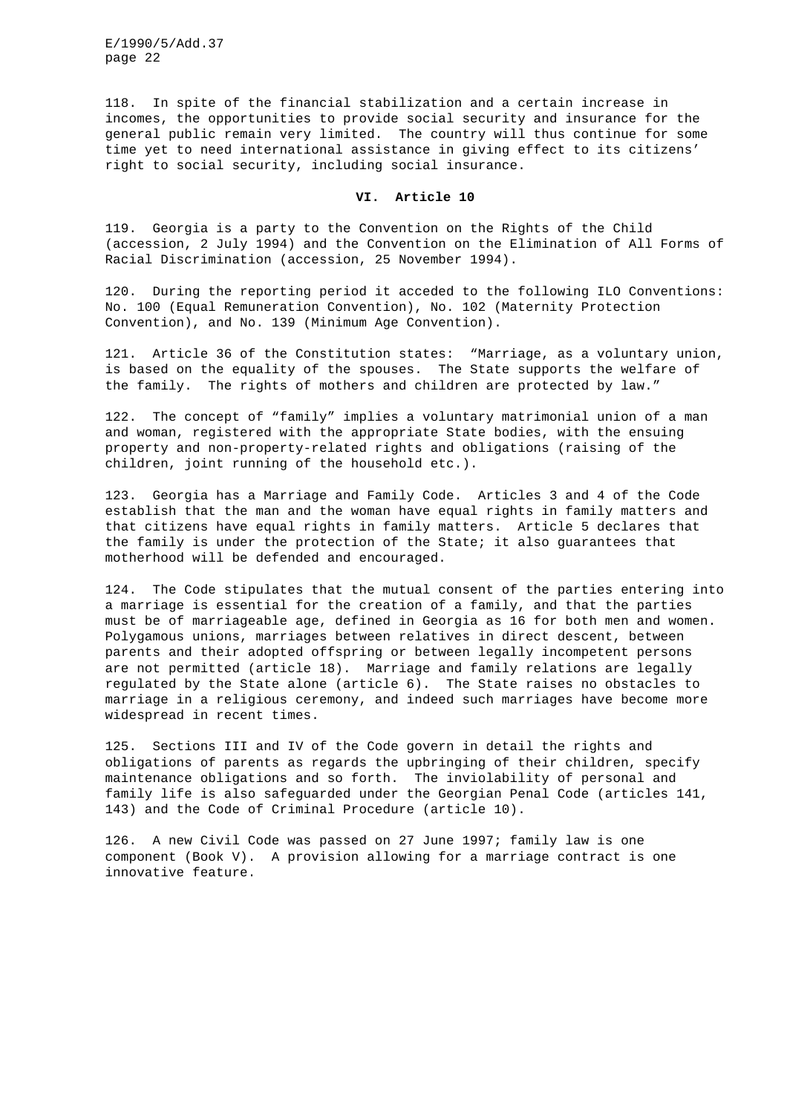118. In spite of the financial stabilization and a certain increase in incomes, the opportunities to provide social security and insurance for the general public remain very limited. The country will thus continue for some time yet to need international assistance in giving effect to its citizens' right to social security, including social insurance.

## **VI. Article 10**

119. Georgia is a party to the Convention on the Rights of the Child (accession, 2 July 1994) and the Convention on the Elimination of All Forms of Racial Discrimination (accession, 25 November 1994).

120. During the reporting period it acceded to the following ILO Conventions: No. 100 (Equal Remuneration Convention), No. 102 (Maternity Protection Convention), and No. 139 (Minimum Age Convention).

121. Article 36 of the Constitution states: "Marriage, as a voluntary union, is based on the equality of the spouses. The State supports the welfare of the family. The rights of mothers and children are protected by law."

122. The concept of "family" implies a voluntary matrimonial union of a man and woman, registered with the appropriate State bodies, with the ensuing property and non-property-related rights and obligations (raising of the children, joint running of the household etc.).

123. Georgia has a Marriage and Family Code. Articles 3 and 4 of the Code establish that the man and the woman have equal rights in family matters and that citizens have equal rights in family matters. Article 5 declares that the family is under the protection of the State; it also guarantees that motherhood will be defended and encouraged.

124. The Code stipulates that the mutual consent of the parties entering into a marriage is essential for the creation of a family, and that the parties must be of marriageable age, defined in Georgia as 16 for both men and women. Polygamous unions, marriages between relatives in direct descent, between parents and their adopted offspring or between legally incompetent persons are not permitted (article 18). Marriage and family relations are legally regulated by the State alone (article 6). The State raises no obstacles to marriage in a religious ceremony, and indeed such marriages have become more widespread in recent times.

125. Sections III and IV of the Code govern in detail the rights and obligations of parents as regards the upbringing of their children, specify maintenance obligations and so forth. The inviolability of personal and family life is also safeguarded under the Georgian Penal Code (articles 141, 143) and the Code of Criminal Procedure (article 10).

126. A new Civil Code was passed on 27 June 1997; family law is one component (Book V). A provision allowing for a marriage contract is one innovative feature.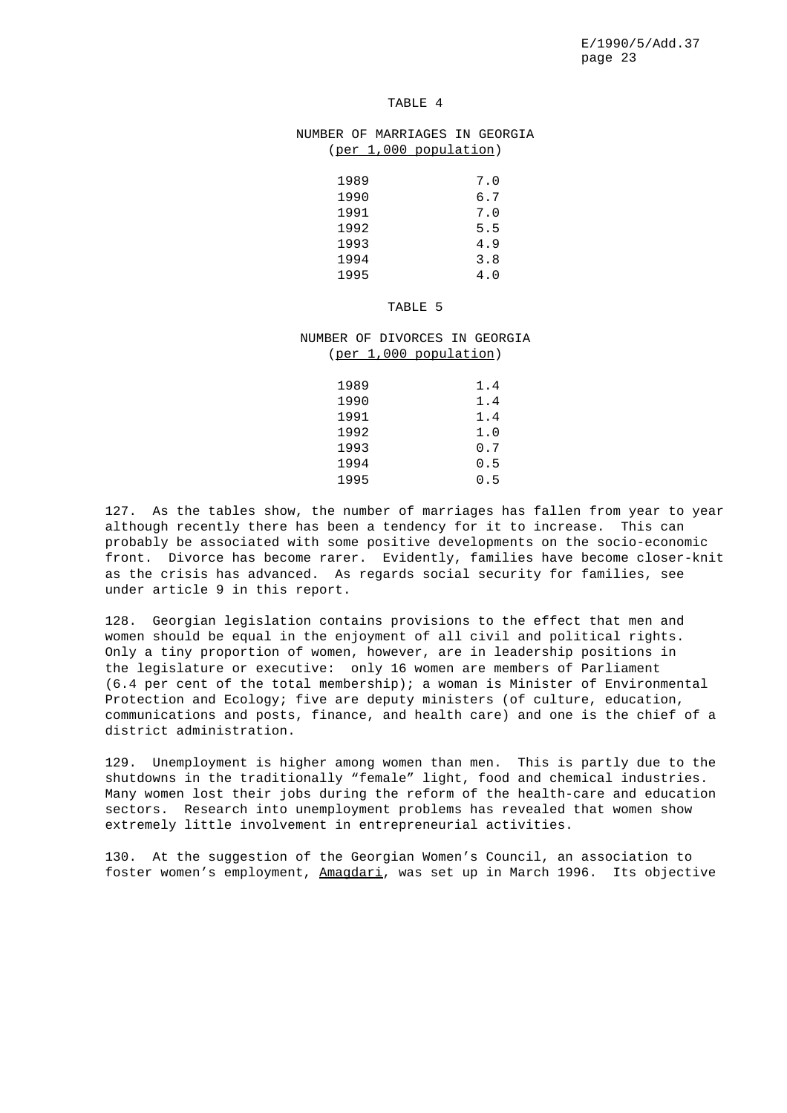## TABLE 4

# NUMBER OF MARRIAGES IN GEORGIA (per 1,000 population)

| 1989 | 7.0  |
|------|------|
| 1990 | 6.7  |
| 1991 | 7.0  |
| 1992 | 5.5  |
| 1993 | 4.9  |
| 1994 | 3.8  |
| 1995 | 4. N |

#### TABLE 5

# NUMBER OF DIVORCES IN GEORGIA (per 1,000 population)

| 1989 | 1.4   |
|------|-------|
| 1990 | 1.4   |
| 1991 | 1.4   |
| 1992 | 1.0   |
| 1993 | ი. 7  |
| 1994 | 0.5   |
| 1995 | ი . 5 |

127. As the tables show, the number of marriages has fallen from year to year although recently there has been a tendency for it to increase. This can probably be associated with some positive developments on the socio-economic front. Divorce has become rarer. Evidently, families have become closer-knit as the crisis has advanced. As regards social security for families, see under article 9 in this report.

128. Georgian legislation contains provisions to the effect that men and women should be equal in the enjoyment of all civil and political rights. Only a tiny proportion of women, however, are in leadership positions in the legislature or executive: only 16 women are members of Parliament (6.4 per cent of the total membership); a woman is Minister of Environmental Protection and Ecology; five are deputy ministers (of culture, education, communications and posts, finance, and health care) and one is the chief of a district administration.

129. Unemployment is higher among women than men. This is partly due to the shutdowns in the traditionally "female" light, food and chemical industries. Many women lost their jobs during the reform of the health-care and education sectors. Research into unemployment problems has revealed that women show extremely little involvement in entrepreneurial activities.

130. At the suggestion of the Georgian Women's Council, an association to foster women's employment, Amagdari, was set up in March 1996. Its objective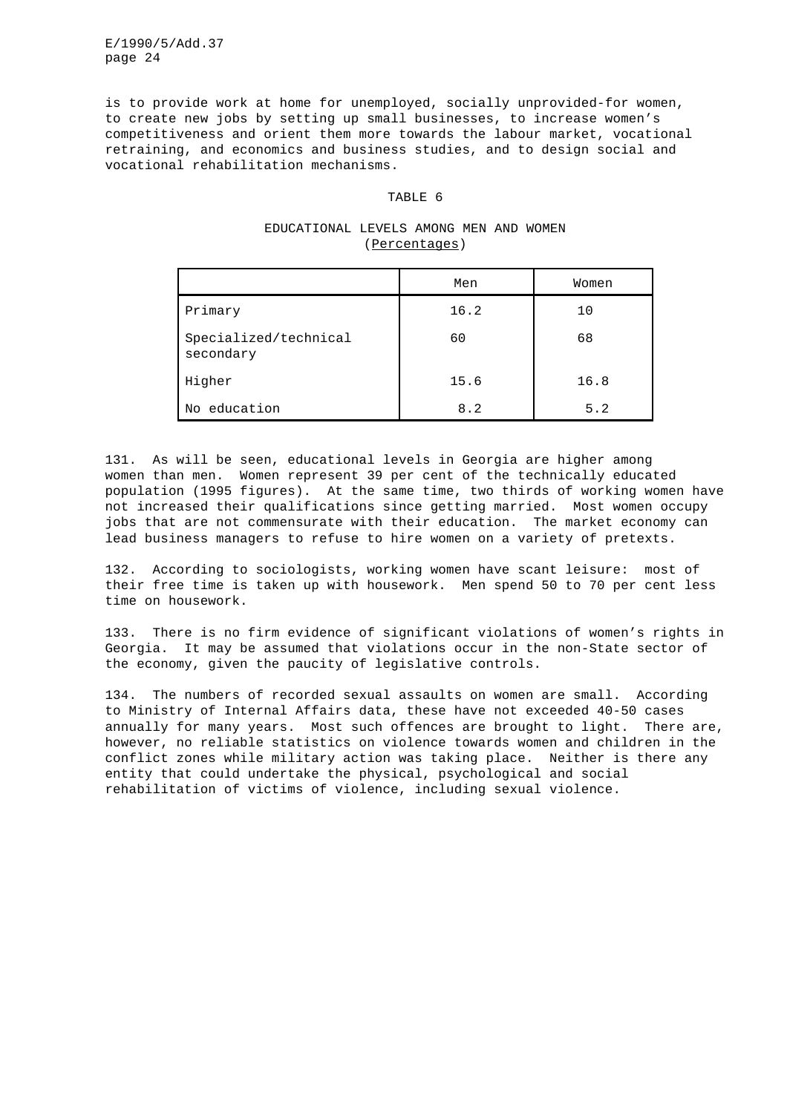is to provide work at home for unemployed, socially unprovided-for women, to create new jobs by setting up small businesses, to increase women's competitiveness and orient them more towards the labour market, vocational retraining, and economics and business studies, and to design social and vocational rehabilitation mechanisms.

#### TABLE 6

# EDUCATIONAL LEVELS AMONG MEN AND WOMEN (Percentages)

|                                    | Men  | Women |
|------------------------------------|------|-------|
| Primary                            | 16.2 | 10    |
| Specialized/technical<br>secondary | 60   | 68    |
| Higher                             | 15.6 | 16.8  |
| education<br>No                    | 8.2  | 5.2   |

131. As will be seen, educational levels in Georgia are higher among women than men. Women represent 39 per cent of the technically educated population (1995 figures). At the same time, two thirds of working women have not increased their qualifications since getting married. Most women occupy jobs that are not commensurate with their education. The market economy can lead business managers to refuse to hire women on a variety of pretexts.

132. According to sociologists, working women have scant leisure: most of their free time is taken up with housework. Men spend 50 to 70 per cent less time on housework.

133. There is no firm evidence of significant violations of women's rights in Georgia. It may be assumed that violations occur in the non-State sector of the economy, given the paucity of legislative controls.

134. The numbers of recorded sexual assaults on women are small. According to Ministry of Internal Affairs data, these have not exceeded 40-50 cases annually for many years. Most such offences are brought to light. There are, however, no reliable statistics on violence towards women and children in the conflict zones while military action was taking place. Neither is there any entity that could undertake the physical, psychological and social rehabilitation of victims of violence, including sexual violence.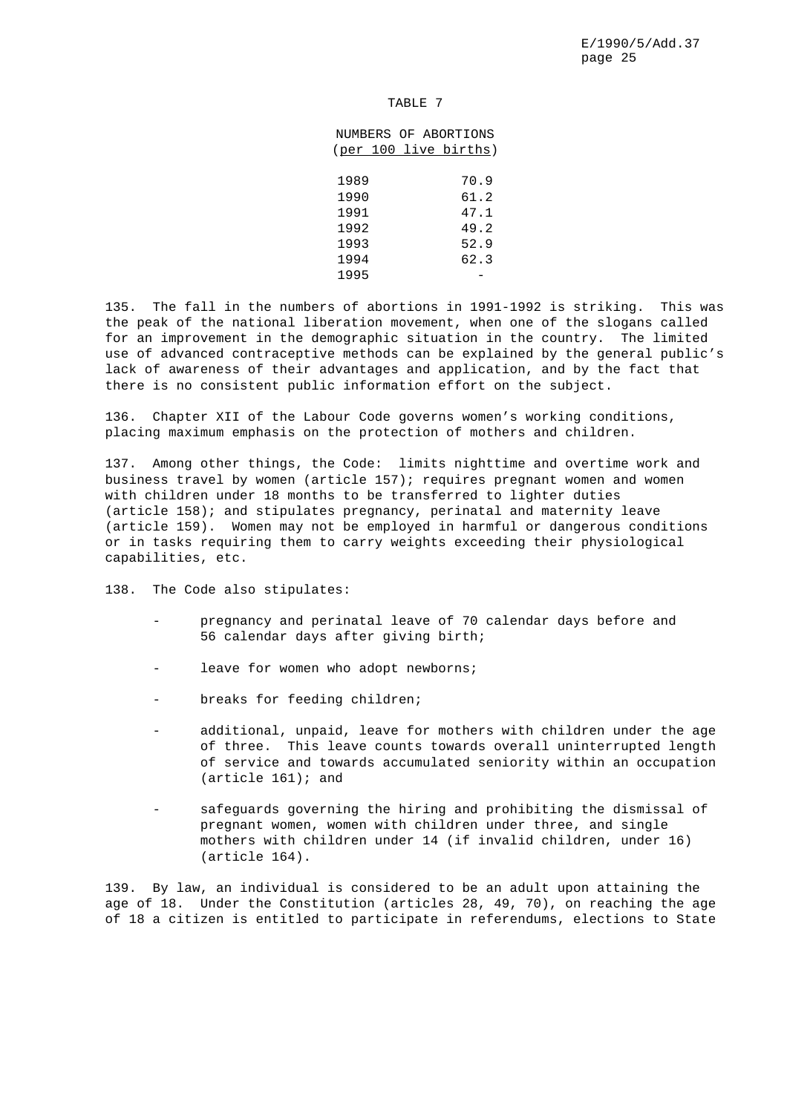## TABLE 7

|      |  | NUMBERS OF ABORTIONS  |
|------|--|-----------------------|
|      |  | (per 100 live births) |
|      |  |                       |
| 1989 |  | 70.9                  |
| 1990 |  | 61.2                  |
| 1991 |  | 47.1                  |
| 1992 |  | 49.2                  |
| 1993 |  | 52.9                  |
| 1994 |  | 62.3                  |
| 1995 |  |                       |

135. The fall in the numbers of abortions in 1991-1992 is striking. This was the peak of the national liberation movement, when one of the slogans called for an improvement in the demographic situation in the country. The limited use of advanced contraceptive methods can be explained by the general public's lack of awareness of their advantages and application, and by the fact that there is no consistent public information effort on the subject.

136. Chapter XII of the Labour Code governs women's working conditions, placing maximum emphasis on the protection of mothers and children.

137. Among other things, the Code: limits nighttime and overtime work and business travel by women (article 157); requires pregnant women and women with children under 18 months to be transferred to lighter duties (article 158); and stipulates pregnancy, perinatal and maternity leave (article 159). Women may not be employed in harmful or dangerous conditions or in tasks requiring them to carry weights exceeding their physiological capabilities, etc.

138. The Code also stipulates:

- pregnancy and perinatal leave of 70 calendar days before and 56 calendar days after giving birth;
- leave for women who adopt newborns;
- breaks for feeding children;
- additional, unpaid, leave for mothers with children under the age of three. This leave counts towards overall uninterrupted length of service and towards accumulated seniority within an occupation (article 161); and
- safeguards governing the hiring and prohibiting the dismissal of pregnant women, women with children under three, and single mothers with children under 14 (if invalid children, under 16) (article 164).

139. By law, an individual is considered to be an adult upon attaining the age of 18. Under the Constitution (articles 28, 49, 70), on reaching the age of 18 a citizen is entitled to participate in referendums, elections to State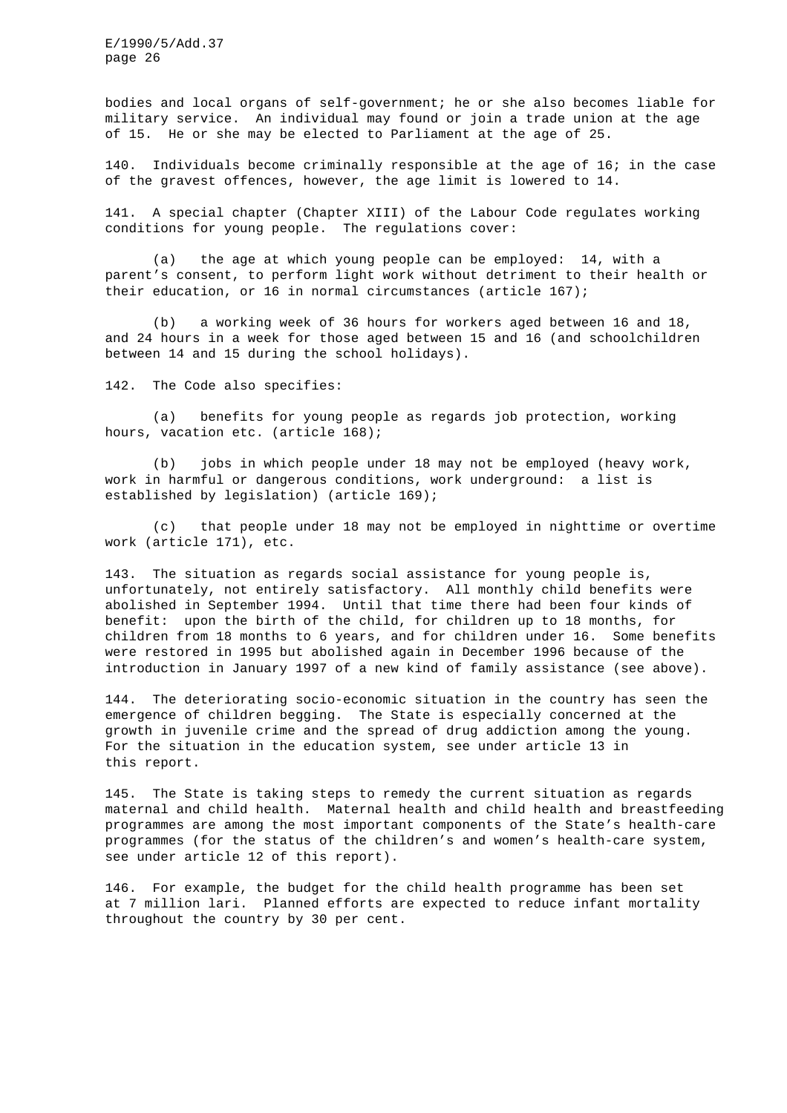bodies and local organs of self-government; he or she also becomes liable for military service. An individual may found or join a trade union at the age of 15. He or she may be elected to Parliament at the age of 25.

140. Individuals become criminally responsible at the age of 16; in the case of the gravest offences, however, the age limit is lowered to 14.

141. A special chapter (Chapter XIII) of the Labour Code regulates working conditions for young people. The regulations cover:

(a) the age at which young people can be employed: 14, with a parent's consent, to perform light work without detriment to their health or their education, or 16 in normal circumstances (article 167);

(b) a working week of 36 hours for workers aged between 16 and 18, and 24 hours in a week for those aged between 15 and 16 (and schoolchildren between 14 and 15 during the school holidays).

142. The Code also specifies:

(a) benefits for young people as regards job protection, working hours, vacation etc. (article 168);

(b) jobs in which people under 18 may not be employed (heavy work, work in harmful or dangerous conditions, work underground: a list is established by legislation) (article 169);

(c) that people under 18 may not be employed in nighttime or overtime work (article 171), etc.

143. The situation as regards social assistance for young people is, unfortunately, not entirely satisfactory. All monthly child benefits were abolished in September 1994. Until that time there had been four kinds of benefit: upon the birth of the child, for children up to 18 months, for children from 18 months to 6 years, and for children under 16. Some benefits were restored in 1995 but abolished again in December 1996 because of the introduction in January 1997 of a new kind of family assistance (see above).

144. The deteriorating socio-economic situation in the country has seen the emergence of children begging. The State is especially concerned at the growth in juvenile crime and the spread of drug addiction among the young. For the situation in the education system, see under article 13 in this report.

145. The State is taking steps to remedy the current situation as regards maternal and child health. Maternal health and child health and breastfeeding programmes are among the most important components of the State's health-care programmes (for the status of the children's and women's health-care system, see under article 12 of this report).

146. For example, the budget for the child health programme has been set at 7 million lari. Planned efforts are expected to reduce infant mortality throughout the country by 30 per cent.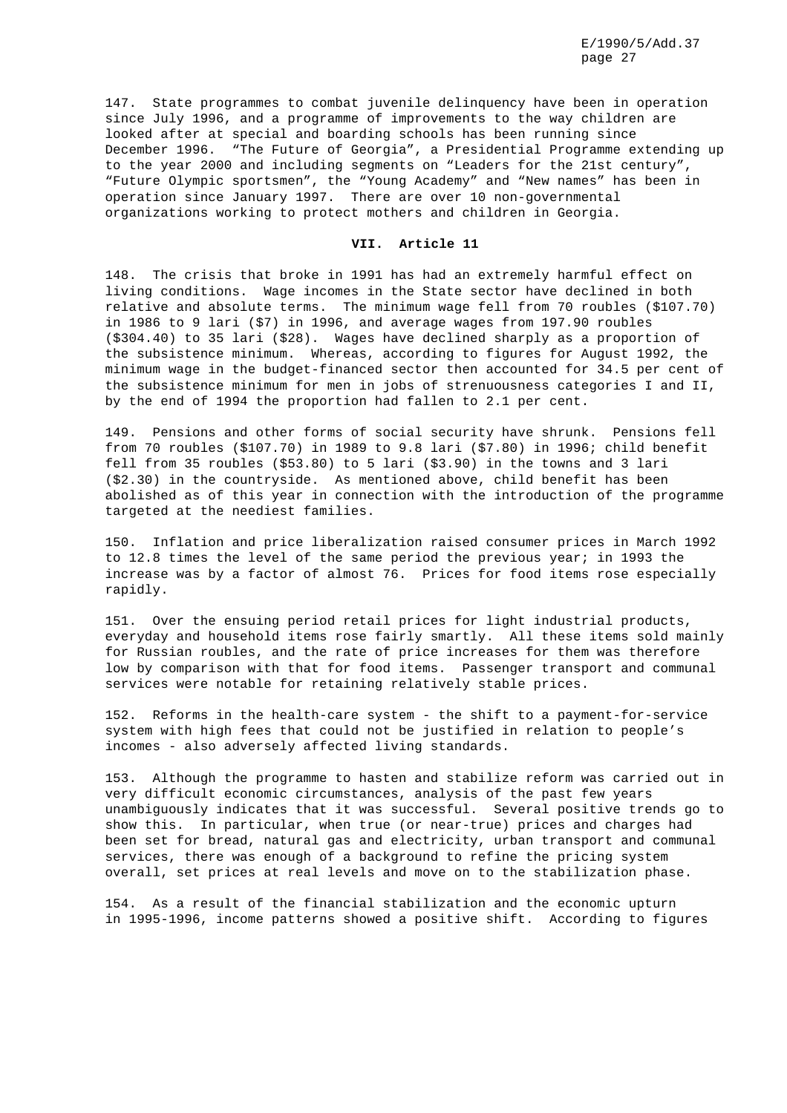147. State programmes to combat juvenile delinquency have been in operation since July 1996, and a programme of improvements to the way children are looked after at special and boarding schools has been running since December 1996. "The Future of Georgia", a Presidential Programme extending up to the year 2000 and including segments on "Leaders for the 21st century", "Future Olympic sportsmen", the "Young Academy" and "New names" has been in operation since January 1997. There are over 10 non-governmental organizations working to protect mothers and children in Georgia.

# **VII. Article 11**

148. The crisis that broke in 1991 has had an extremely harmful effect on living conditions. Wage incomes in the State sector have declined in both relative and absolute terms. The minimum wage fell from 70 roubles (\$107.70) in 1986 to 9 lari (\$7) in 1996, and average wages from 197.90 roubles (\$304.40) to 35 lari (\$28). Wages have declined sharply as a proportion of the subsistence minimum. Whereas, according to figures for August 1992, the minimum wage in the budget-financed sector then accounted for 34.5 per cent of the subsistence minimum for men in jobs of strenuousness categories I and II, by the end of 1994 the proportion had fallen to 2.1 per cent.

149. Pensions and other forms of social security have shrunk. Pensions fell from 70 roubles (\$107.70) in 1989 to 9.8 lari (\$7.80) in 1996; child benefit fell from 35 roubles (\$53.80) to 5 lari (\$3.90) in the towns and 3 lari (\$2.30) in the countryside. As mentioned above, child benefit has been abolished as of this year in connection with the introduction of the programme targeted at the neediest families.

150. Inflation and price liberalization raised consumer prices in March 1992 to 12.8 times the level of the same period the previous year; in 1993 the increase was by a factor of almost 76. Prices for food items rose especially rapidly.

151. Over the ensuing period retail prices for light industrial products, everyday and household items rose fairly smartly. All these items sold mainly for Russian roubles, and the rate of price increases for them was therefore low by comparison with that for food items. Passenger transport and communal services were notable for retaining relatively stable prices.

152. Reforms in the health-care system - the shift to a payment-for-service system with high fees that could not be justified in relation to people's incomes - also adversely affected living standards.

153. Although the programme to hasten and stabilize reform was carried out in very difficult economic circumstances, analysis of the past few years unambiguously indicates that it was successful. Several positive trends go to show this. In particular, when true (or near-true) prices and charges had been set for bread, natural gas and electricity, urban transport and communal services, there was enough of a background to refine the pricing system overall, set prices at real levels and move on to the stabilization phase.

154. As a result of the financial stabilization and the economic upturn in 1995-1996, income patterns showed a positive shift. According to figures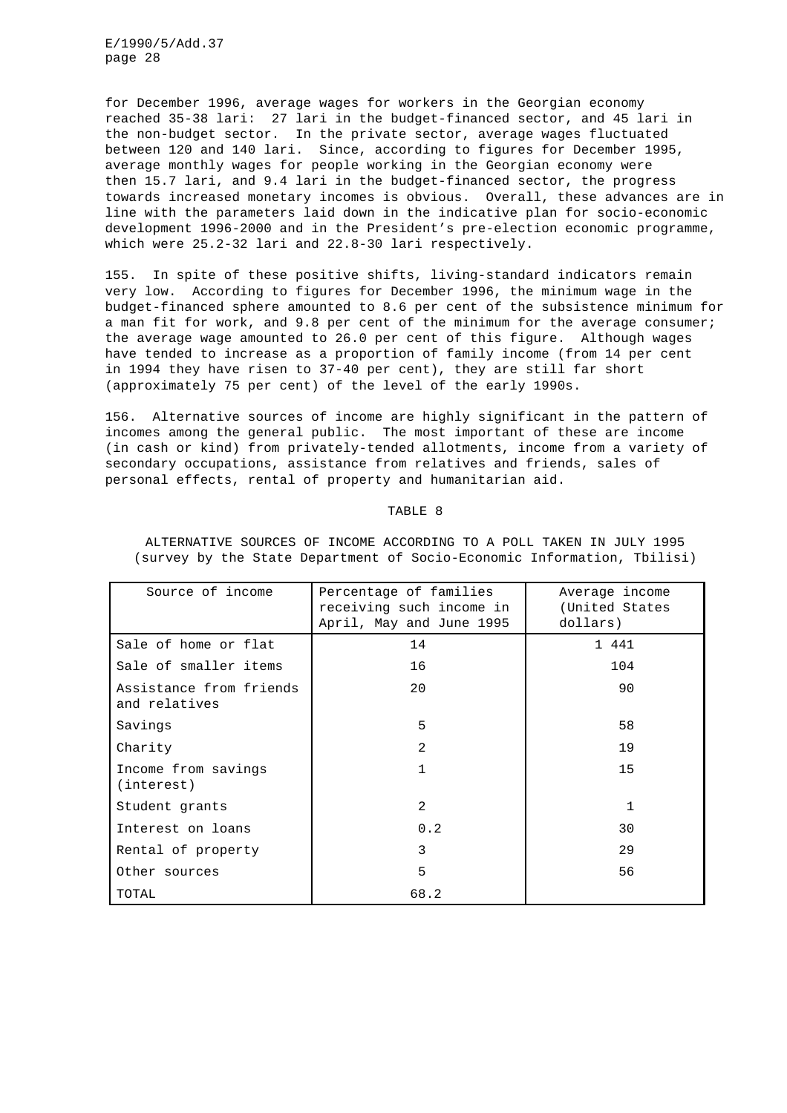for December 1996, average wages for workers in the Georgian economy reached 35-38 lari: 27 lari in the budget-financed sector, and 45 lari in the non-budget sector. In the private sector, average wages fluctuated between 120 and 140 lari. Since, according to figures for December 1995, average monthly wages for people working in the Georgian economy were then 15.7 lari, and 9.4 lari in the budget-financed sector, the progress towards increased monetary incomes is obvious. Overall, these advances are in line with the parameters laid down in the indicative plan for socio-economic development 1996-2000 and in the President's pre-election economic programme, which were 25.2-32 lari and 22.8-30 lari respectively.

155. In spite of these positive shifts, living-standard indicators remain very low. According to figures for December 1996, the minimum wage in the budget-financed sphere amounted to 8.6 per cent of the subsistence minimum for a man fit for work, and 9.8 per cent of the minimum for the average consumer; the average wage amounted to 26.0 per cent of this figure. Although wages have tended to increase as a proportion of family income (from 14 per cent in 1994 they have risen to 37-40 per cent), they are still far short (approximately 75 per cent) of the level of the early 1990s.

156. Alternative sources of income are highly significant in the pattern of incomes among the general public. The most important of these are income (in cash or kind) from privately-tended allotments, income from a variety of secondary occupations, assistance from relatives and friends, sales of personal effects, rental of property and humanitarian aid.

#### TABLE 8

| Source of income                         | Percentage of families<br>receiving such income in<br>April, May and June 1995 | Average income<br>(United States<br>dollars) |
|------------------------------------------|--------------------------------------------------------------------------------|----------------------------------------------|
| Sale of home or flat                     | 14                                                                             | 1 441                                        |
| Sale of smaller items                    | 16                                                                             | 104                                          |
| Assistance from friends<br>and relatives | 20                                                                             | 90                                           |
| Savings                                  | 5                                                                              | 58                                           |
| Charity                                  | $\mathfrak{D}$                                                                 | 19                                           |
| Income from savings<br>(interest)        | 1                                                                              | 15                                           |
| Student grants                           | 2                                                                              | 1                                            |
| Interest on loans                        | 0.2                                                                            | 30                                           |
| Rental of property                       | 3                                                                              | 29                                           |
| Other sources                            | 5                                                                              | 56                                           |
| TOTAL                                    | 68.2                                                                           |                                              |

ALTERNATIVE SOURCES OF INCOME ACCORDING TO A POLL TAKEN IN JULY 1995 (survey by the State Department of Socio-Economic Information, Tbilisi)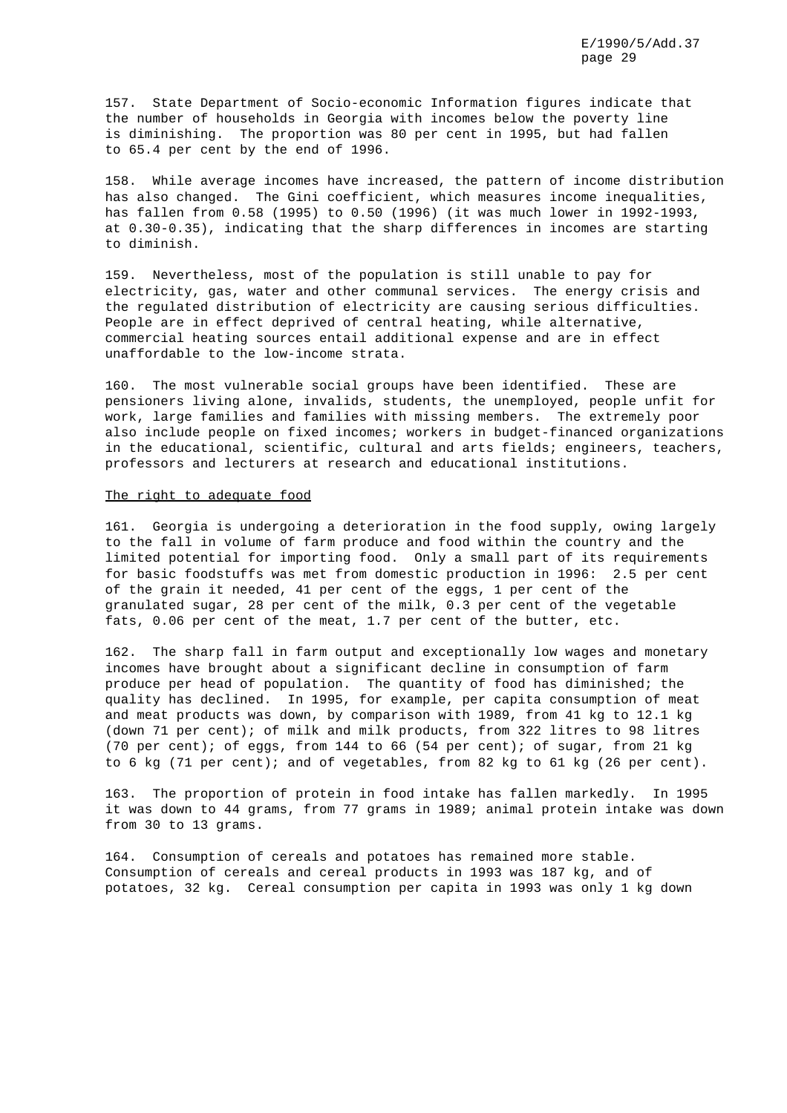157. State Department of Socio-economic Information figures indicate that the number of households in Georgia with incomes below the poverty line is diminishing. The proportion was 80 per cent in 1995, but had fallen to 65.4 per cent by the end of 1996.

158. While average incomes have increased, the pattern of income distribution has also changed. The Gini coefficient, which measures income inequalities, has fallen from 0.58 (1995) to 0.50 (1996) (it was much lower in 1992-1993, at 0.30-0.35), indicating that the sharp differences in incomes are starting to diminish.

159. Nevertheless, most of the population is still unable to pay for electricity, gas, water and other communal services. The energy crisis and the regulated distribution of electricity are causing serious difficulties. People are in effect deprived of central heating, while alternative, commercial heating sources entail additional expense and are in effect unaffordable to the low-income strata.

160. The most vulnerable social groups have been identified. These are pensioners living alone, invalids, students, the unemployed, people unfit for work, large families and families with missing members. The extremely poor also include people on fixed incomes; workers in budget-financed organizations in the educational, scientific, cultural and arts fields; engineers, teachers, professors and lecturers at research and educational institutions.

#### The right to adequate food

161. Georgia is undergoing a deterioration in the food supply, owing largely to the fall in volume of farm produce and food within the country and the limited potential for importing food. Only a small part of its requirements for basic foodstuffs was met from domestic production in 1996: 2.5 per cent of the grain it needed, 41 per cent of the eggs, 1 per cent of the granulated sugar, 28 per cent of the milk, 0.3 per cent of the vegetable fats, 0.06 per cent of the meat, 1.7 per cent of the butter, etc.

162. The sharp fall in farm output and exceptionally low wages and monetary incomes have brought about a significant decline in consumption of farm produce per head of population. The quantity of food has diminished; the quality has declined. In 1995, for example, per capita consumption of meat and meat products was down, by comparison with 1989, from 41 kg to 12.1 kg (down 71 per cent); of milk and milk products, from 322 litres to 98 litres (70 per cent); of eggs, from 144 to 66 (54 per cent); of sugar, from 21 kg to 6 kg (71 per cent); and of vegetables, from 82 kg to 61 kg (26 per cent).

163. The proportion of protein in food intake has fallen markedly. In 1995 it was down to 44 grams, from 77 grams in 1989; animal protein intake was down from 30 to 13 grams.

164. Consumption of cereals and potatoes has remained more stable. Consumption of cereals and cereal products in 1993 was 187 kg, and of potatoes, 32 kg. Cereal consumption per capita in 1993 was only 1 kg down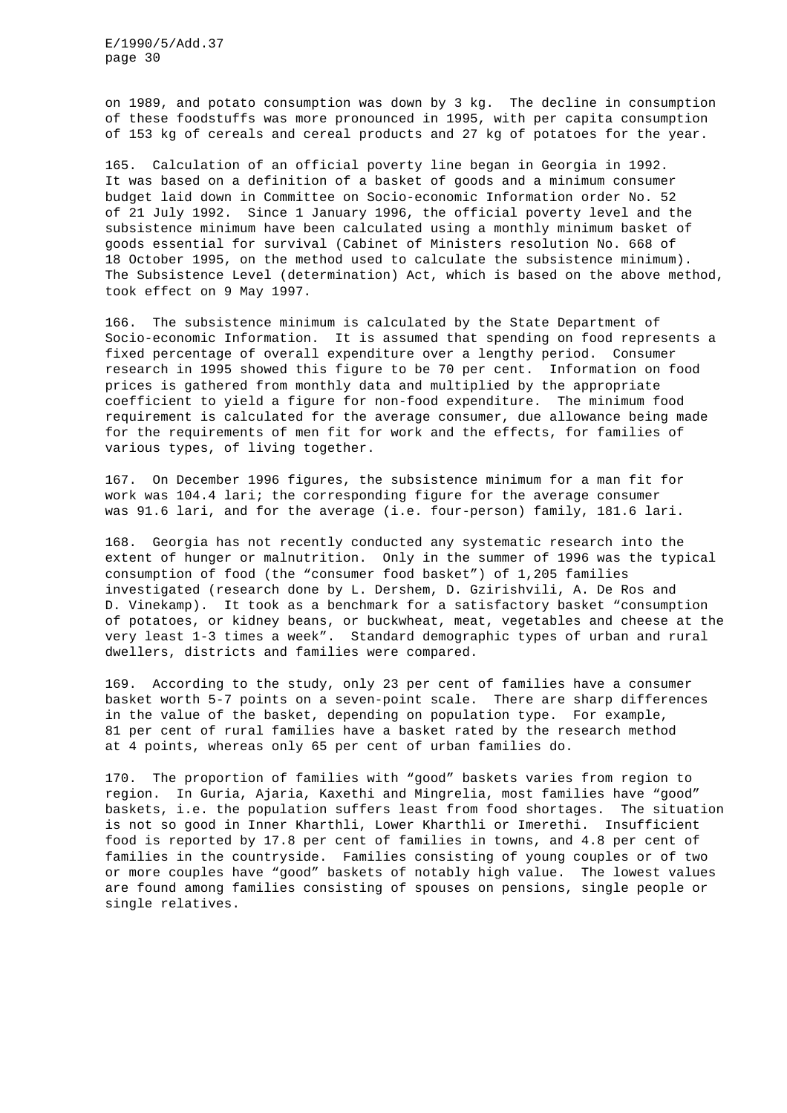on 1989, and potato consumption was down by 3 kg. The decline in consumption of these foodstuffs was more pronounced in 1995, with per capita consumption of 153 kg of cereals and cereal products and 27 kg of potatoes for the year.

165. Calculation of an official poverty line began in Georgia in 1992. It was based on a definition of a basket of goods and a minimum consumer budget laid down in Committee on Socio-economic Information order No. 52 of 21 July 1992. Since 1 January 1996, the official poverty level and the subsistence minimum have been calculated using a monthly minimum basket of goods essential for survival (Cabinet of Ministers resolution No. 668 of 18 October 1995, on the method used to calculate the subsistence minimum). The Subsistence Level (determination) Act, which is based on the above method, took effect on 9 May 1997.

166. The subsistence minimum is calculated by the State Department of Socio-economic Information. It is assumed that spending on food represents a fixed percentage of overall expenditure over a lengthy period. Consumer research in 1995 showed this figure to be 70 per cent. Information on food prices is gathered from monthly data and multiplied by the appropriate coefficient to yield a figure for non-food expenditure. The minimum food requirement is calculated for the average consumer, due allowance being made for the requirements of men fit for work and the effects, for families of various types, of living together.

167. On December 1996 figures, the subsistence minimum for a man fit for work was 104.4 lari; the corresponding figure for the average consumer was 91.6 lari, and for the average (i.e. four-person) family, 181.6 lari.

168. Georgia has not recently conducted any systematic research into the extent of hunger or malnutrition. Only in the summer of 1996 was the typical consumption of food (the "consumer food basket") of 1,205 families investigated (research done by L. Dershem, D. Gzirishvili, A. De Ros and D. Vinekamp). It took as a benchmark for a satisfactory basket "consumption of potatoes, or kidney beans, or buckwheat, meat, vegetables and cheese at the very least 1-3 times a week". Standard demographic types of urban and rural dwellers, districts and families were compared.

169. According to the study, only 23 per cent of families have a consumer basket worth 5-7 points on a seven-point scale. There are sharp differences in the value of the basket, depending on population type. For example, 81 per cent of rural families have a basket rated by the research method at 4 points, whereas only 65 per cent of urban families do.

170. The proportion of families with "good" baskets varies from region to region. In Guria, Ajaria, Kaxethi and Mingrelia, most families have "good" baskets, i.e. the population suffers least from food shortages. The situation is not so good in Inner Kharthli, Lower Kharthli or Imerethi. Insufficient food is reported by 17.8 per cent of families in towns, and 4.8 per cent of families in the countryside. Families consisting of young couples or of two or more couples have "good" baskets of notably high value. The lowest values are found among families consisting of spouses on pensions, single people or single relatives.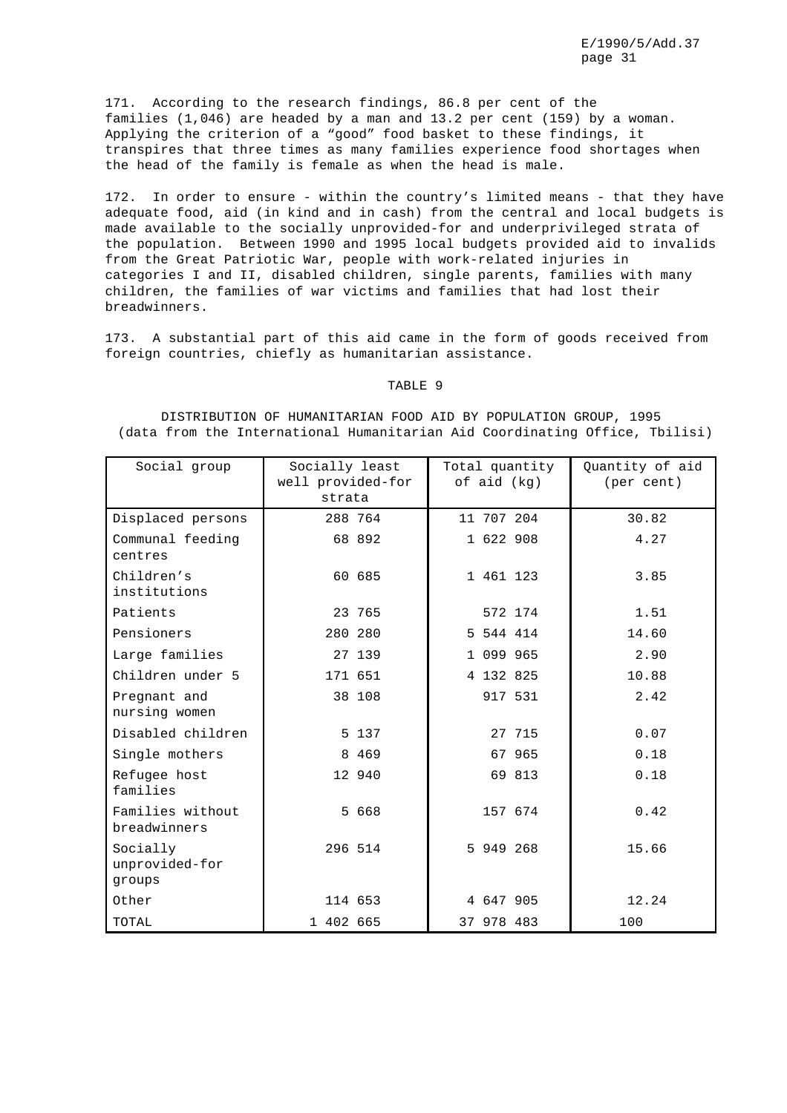171. According to the research findings, 86.8 per cent of the families (1,046) are headed by a man and 13.2 per cent (159) by a woman. Applying the criterion of a "good" food basket to these findings, it transpires that three times as many families experience food shortages when the head of the family is female as when the head is male.

172. In order to ensure - within the country's limited means - that they have adequate food, aid (in kind and in cash) from the central and local budgets is made available to the socially unprovided-for and underprivileged strata of the population. Between 1990 and 1995 local budgets provided aid to invalids from the Great Patriotic War, people with work-related injuries in categories I and II, disabled children, single parents, families with many children, the families of war victims and families that had lost their breadwinners.

173. A substantial part of this aid came in the form of goods received from foreign countries, chiefly as humanitarian assistance.

## TABLE 9

DISTRIBUTION OF HUMANITARIAN FOOD AID BY POPULATION GROUP, 1995 (data from the International Humanitarian Aid Coordinating Office, Tbilisi)

| Social group                         | Socially least<br>well provided-for<br>strata | Total quantity<br>of aid (kg) |  |            | Quantity of aid<br>(per cent) |       |  |
|--------------------------------------|-----------------------------------------------|-------------------------------|--|------------|-------------------------------|-------|--|
| Displaced persons                    | 288 764                                       |                               |  | 11 707 204 |                               | 30.82 |  |
| Communal feeding<br>centres          | 68 892                                        |                               |  | 1 622 908  |                               | 4.27  |  |
| Children's<br>institutions           | 60 685                                        |                               |  | 1 461 123  |                               | 3.85  |  |
| Patients                             | 23 765                                        |                               |  |            | 572 174                       | 1.51  |  |
| Pensioners                           | 280 280                                       |                               |  | 5 544 414  |                               | 14.60 |  |
| Large families                       | 27 139                                        |                               |  | 1 099 965  |                               | 2.90  |  |
| Children under 5                     | 171 651                                       |                               |  | 4 132 825  |                               | 10.88 |  |
| Pregnant and<br>nursing women        | 38 108                                        |                               |  |            | 917 531                       | 2.42  |  |
| Disabled children                    |                                               | 5 137                         |  |            | 27 715                        | 0.07  |  |
| Single mothers                       |                                               | 8 4 6 9                       |  |            | 67 965                        | 0.18  |  |
| Refugee host<br>families             | 12 940                                        |                               |  |            | 69 813                        | 0.18  |  |
| Families without<br>breadwinners     |                                               | 5 668                         |  |            | 157 674                       | 0.42  |  |
| Socially<br>unprovided-for<br>groups | 296 514                                       |                               |  | 5 949 268  |                               | 15.66 |  |
| Other                                | 114 653                                       |                               |  | 4 647 905  |                               | 12.24 |  |
| TOTAL                                | 1 402 665                                     |                               |  | 37 978 483 |                               | 100   |  |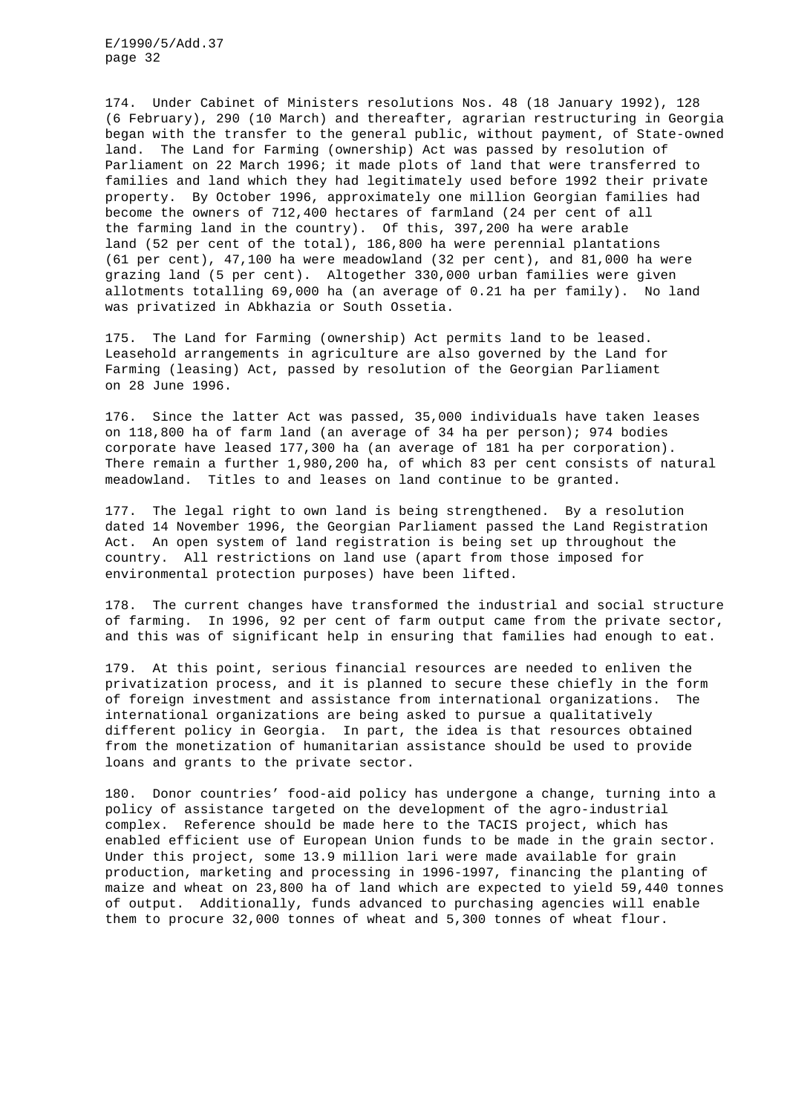174. Under Cabinet of Ministers resolutions Nos. 48 (18 January 1992), 128 (6 February), 290 (10 March) and thereafter, agrarian restructuring in Georgia began with the transfer to the general public, without payment, of State-owned land. The Land for Farming (ownership) Act was passed by resolution of Parliament on 22 March 1996; it made plots of land that were transferred to families and land which they had legitimately used before 1992 their private property. By October 1996, approximately one million Georgian families had become the owners of 712,400 hectares of farmland (24 per cent of all the farming land in the country). Of this, 397,200 ha were arable land (52 per cent of the total), 186,800 ha were perennial plantations (61 per cent), 47,100 ha were meadowland (32 per cent), and 81,000 ha were grazing land (5 per cent). Altogether 330,000 urban families were given allotments totalling 69,000 ha (an average of 0.21 ha per family). No land was privatized in Abkhazia or South Ossetia.

175. The Land for Farming (ownership) Act permits land to be leased. Leasehold arrangements in agriculture are also governed by the Land for Farming (leasing) Act, passed by resolution of the Georgian Parliament on 28 June 1996.

176. Since the latter Act was passed, 35,000 individuals have taken leases on 118,800 ha of farm land (an average of 34 ha per person); 974 bodies corporate have leased 177,300 ha (an average of 181 ha per corporation). There remain a further 1,980,200 ha, of which 83 per cent consists of natural meadowland. Titles to and leases on land continue to be granted.

177. The legal right to own land is being strengthened. By a resolution dated 14 November 1996, the Georgian Parliament passed the Land Registration Act. An open system of land registration is being set up throughout the country. All restrictions on land use (apart from those imposed for environmental protection purposes) have been lifted.

178. The current changes have transformed the industrial and social structure of farming. In 1996, 92 per cent of farm output came from the private sector, and this was of significant help in ensuring that families had enough to eat.

179. At this point, serious financial resources are needed to enliven the privatization process, and it is planned to secure these chiefly in the form of foreign investment and assistance from international organizations. The international organizations are being asked to pursue a qualitatively different policy in Georgia. In part, the idea is that resources obtained from the monetization of humanitarian assistance should be used to provide loans and grants to the private sector.

180. Donor countries' food-aid policy has undergone a change, turning into a policy of assistance targeted on the development of the agro-industrial complex. Reference should be made here to the TACIS project, which has enabled efficient use of European Union funds to be made in the grain sector. Under this project, some 13.9 million lari were made available for grain production, marketing and processing in 1996-1997, financing the planting of maize and wheat on 23,800 ha of land which are expected to yield 59,440 tonnes of output. Additionally, funds advanced to purchasing agencies will enable them to procure 32,000 tonnes of wheat and 5,300 tonnes of wheat flour.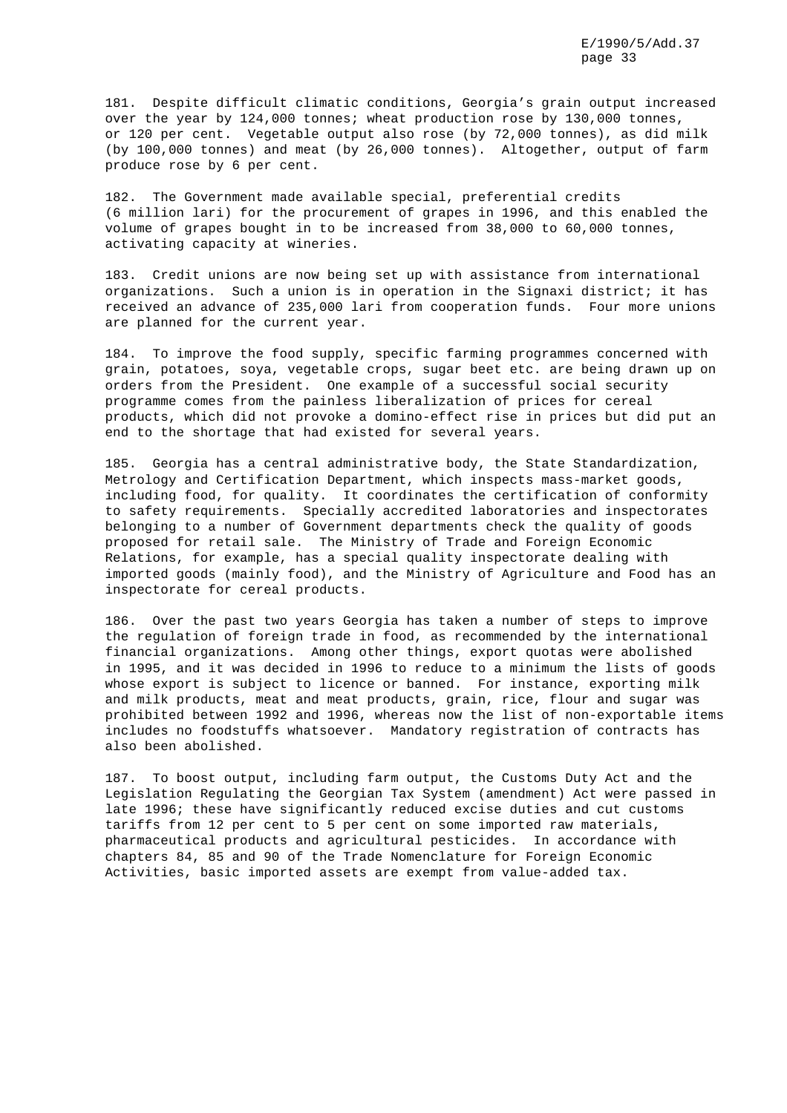181. Despite difficult climatic conditions, Georgia's grain output increased over the year by 124,000 tonnes; wheat production rose by 130,000 tonnes, or 120 per cent. Vegetable output also rose (by 72,000 tonnes), as did milk (by 100,000 tonnes) and meat (by 26,000 tonnes). Altogether, output of farm produce rose by 6 per cent.

182. The Government made available special, preferential credits (6 million lari) for the procurement of grapes in 1996, and this enabled the volume of grapes bought in to be increased from 38,000 to 60,000 tonnes, activating capacity at wineries.

183. Credit unions are now being set up with assistance from international organizations. Such a union is in operation in the Signaxi district; it has received an advance of 235,000 lari from cooperation funds. Four more unions are planned for the current year.

184. To improve the food supply, specific farming programmes concerned with grain, potatoes, soya, vegetable crops, sugar beet etc. are being drawn up on orders from the President. One example of a successful social security programme comes from the painless liberalization of prices for cereal products, which did not provoke a domino-effect rise in prices but did put an end to the shortage that had existed for several years.

185. Georgia has a central administrative body, the State Standardization, Metrology and Certification Department, which inspects mass-market goods, including food, for quality. It coordinates the certification of conformity to safety requirements. Specially accredited laboratories and inspectorates belonging to a number of Government departments check the quality of goods proposed for retail sale. The Ministry of Trade and Foreign Economic Relations, for example, has a special quality inspectorate dealing with imported goods (mainly food), and the Ministry of Agriculture and Food has an inspectorate for cereal products.

186. Over the past two years Georgia has taken a number of steps to improve the regulation of foreign trade in food, as recommended by the international financial organizations. Among other things, export quotas were abolished in 1995, and it was decided in 1996 to reduce to a minimum the lists of goods whose export is subject to licence or banned. For instance, exporting milk and milk products, meat and meat products, grain, rice, flour and sugar was prohibited between 1992 and 1996, whereas now the list of non-exportable items includes no foodstuffs whatsoever. Mandatory registration of contracts has also been abolished.

187. To boost output, including farm output, the Customs Duty Act and the Legislation Regulating the Georgian Tax System (amendment) Act were passed in late 1996; these have significantly reduced excise duties and cut customs tariffs from 12 per cent to 5 per cent on some imported raw materials, pharmaceutical products and agricultural pesticides. In accordance with chapters 84, 85 and 90 of the Trade Nomenclature for Foreign Economic Activities, basic imported assets are exempt from value-added tax.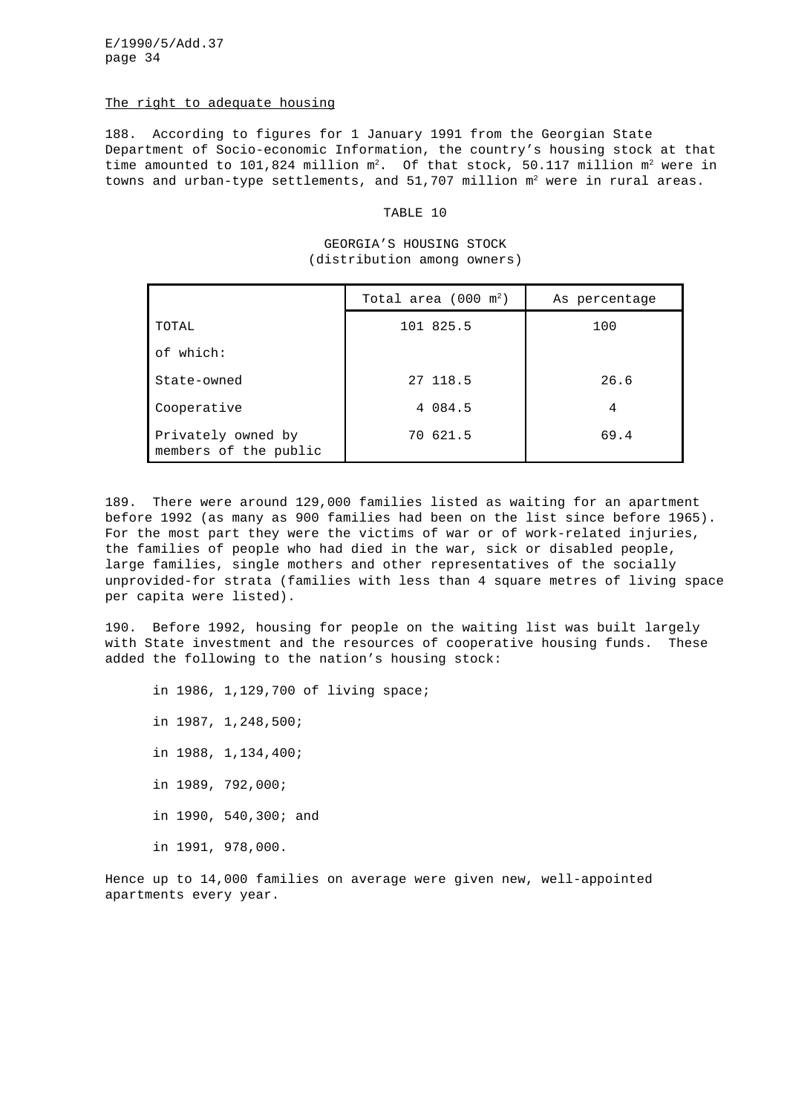#### The right to adequate housing

188. According to figures for 1 January 1991 from the Georgian State Department of Socio-economic Information, the country's housing stock at that time amounted to 101,824 million  $m^2$ . Of that stock, 50.117 million  $m^2$  were in towns and urban-type settlements, and  $51,707$  million  $m^2$  were in rural areas.

# TABLE 10

## GEORGIA'S HOUSING STOCK (distribution among owners)

|                                             | Total area $(000 \text{ m}^2)$ | As percentage |  |  |
|---------------------------------------------|--------------------------------|---------------|--|--|
| TOTAL                                       | 101 825.5                      | 100           |  |  |
| of which:                                   |                                |               |  |  |
| State-owned                                 | 27 118.5                       | 26.6          |  |  |
| Cooperative                                 | 4 084.5                        | 4             |  |  |
| Privately owned by<br>members of the public | 70 621.5                       | 69.4          |  |  |

189. There were around 129,000 families listed as waiting for an apartment before 1992 (as many as 900 families had been on the list since before 1965). For the most part they were the victims of war or of work-related injuries, the families of people who had died in the war, sick or disabled people, large families, single mothers and other representatives of the socially unprovided-for strata (families with less than 4 square metres of living space per capita were listed).

190. Before 1992, housing for people on the waiting list was built largely with State investment and the resources of cooperative housing funds. These added the following to the nation's housing stock:

in 1986, 1,129,700 of living space; in 1987, 1,248,500; in 1988, 1,134,400; in 1989, 792,000; in 1990, 540,300; and in 1991, 978,000.

Hence up to 14,000 families on average were given new, well-appointed apartments every year.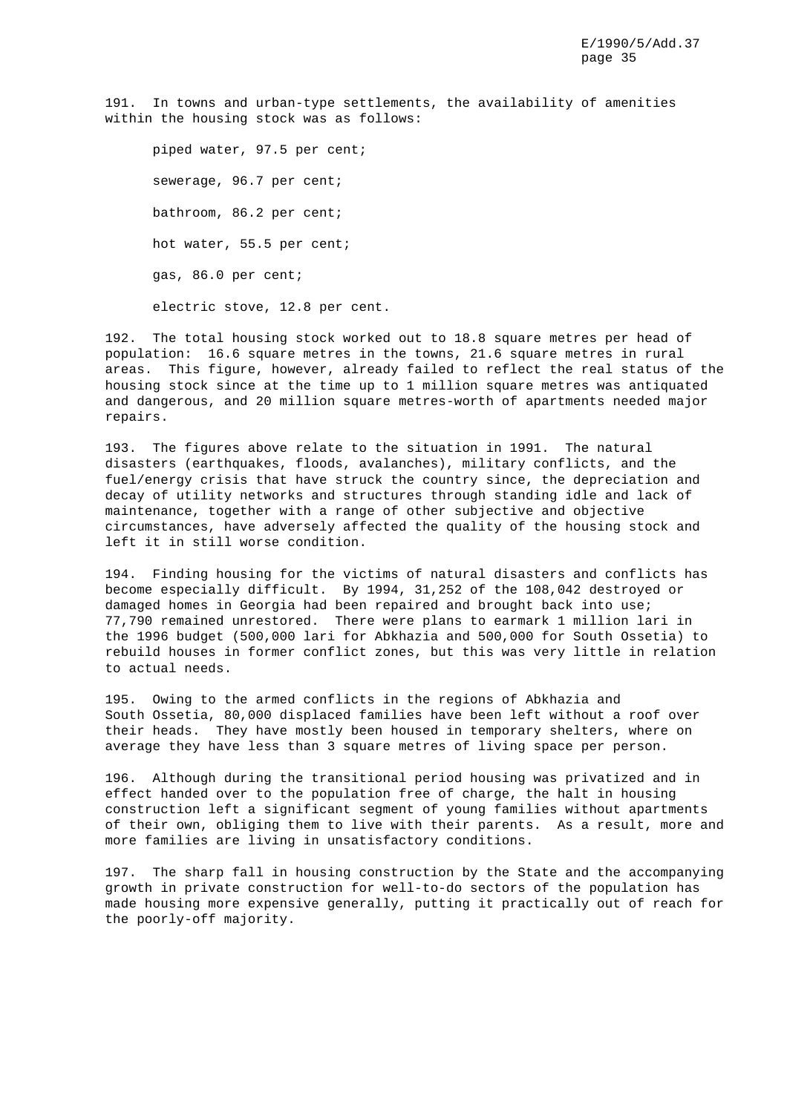191. In towns and urban-type settlements, the availability of amenities within the housing stock was as follows:

piped water, 97.5 per cent; sewerage, 96.7 per cent; bathroom, 86.2 per cent; hot water, 55.5 per cent; gas, 86.0 per cent; electric stove, 12.8 per cent.

192. The total housing stock worked out to 18.8 square metres per head of population: 16.6 square metres in the towns, 21.6 square metres in rural areas. This figure, however, already failed to reflect the real status of the housing stock since at the time up to 1 million square metres was antiquated and dangerous, and 20 million square metres-worth of apartments needed major repairs.

193. The figures above relate to the situation in 1991. The natural disasters (earthquakes, floods, avalanches), military conflicts, and the fuel/energy crisis that have struck the country since, the depreciation and decay of utility networks and structures through standing idle and lack of maintenance, together with a range of other subjective and objective circumstances, have adversely affected the quality of the housing stock and left it in still worse condition.

194. Finding housing for the victims of natural disasters and conflicts has become especially difficult. By 1994, 31,252 of the 108,042 destroyed or damaged homes in Georgia had been repaired and brought back into use; 77,790 remained unrestored. There were plans to earmark 1 million lari in the 1996 budget (500,000 lari for Abkhazia and 500,000 for South Ossetia) to rebuild houses in former conflict zones, but this was very little in relation to actual needs.

195. Owing to the armed conflicts in the regions of Abkhazia and South Ossetia, 80,000 displaced families have been left without a roof over their heads. They have mostly been housed in temporary shelters, where on average they have less than 3 square metres of living space per person.

196. Although during the transitional period housing was privatized and in effect handed over to the population free of charge, the halt in housing construction left a significant segment of young families without apartments of their own, obliging them to live with their parents. As a result, more and more families are living in unsatisfactory conditions.

197. The sharp fall in housing construction by the State and the accompanying growth in private construction for well-to-do sectors of the population has made housing more expensive generally, putting it practically out of reach for the poorly-off majority.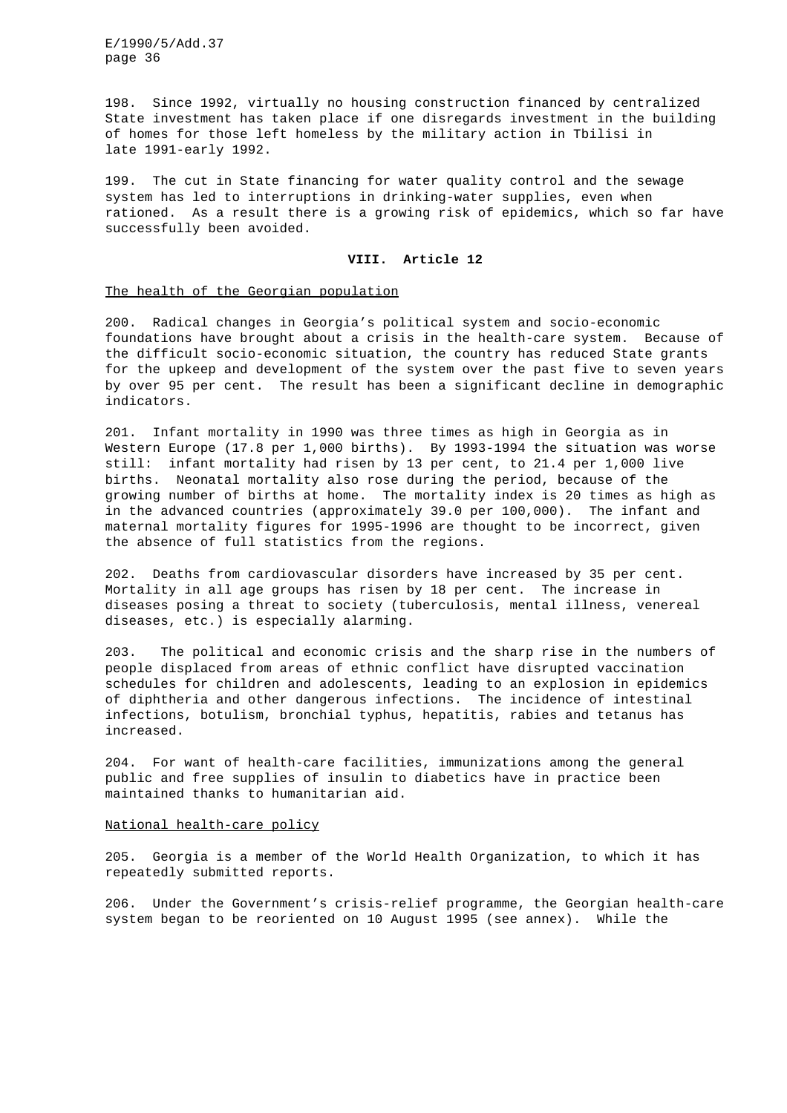198. Since 1992, virtually no housing construction financed by centralized State investment has taken place if one disregards investment in the building of homes for those left homeless by the military action in Tbilisi in late 1991-early 1992.

199. The cut in State financing for water quality control and the sewage system has led to interruptions in drinking-water supplies, even when rationed. As a result there is a growing risk of epidemics, which so far have successfully been avoided.

## **VIII. Article 12**

## The health of the Georgian population

200. Radical changes in Georgia's political system and socio-economic foundations have brought about a crisis in the health-care system. Because of the difficult socio-economic situation, the country has reduced State grants for the upkeep and development of the system over the past five to seven years by over 95 per cent. The result has been a significant decline in demographic indicators.

201. Infant mortality in 1990 was three times as high in Georgia as in Western Europe (17.8 per 1,000 births). By 1993-1994 the situation was worse still: infant mortality had risen by 13 per cent, to 21.4 per 1,000 live births. Neonatal mortality also rose during the period, because of the growing number of births at home. The mortality index is 20 times as high as in the advanced countries (approximately 39.0 per 100,000). The infant and maternal mortality figures for 1995-1996 are thought to be incorrect, given the absence of full statistics from the regions.

202. Deaths from cardiovascular disorders have increased by 35 per cent. Mortality in all age groups has risen by 18 per cent. The increase in diseases posing a threat to society (tuberculosis, mental illness, venereal diseases, etc.) is especially alarming.

203. The political and economic crisis and the sharp rise in the numbers of people displaced from areas of ethnic conflict have disrupted vaccination schedules for children and adolescents, leading to an explosion in epidemics of diphtheria and other dangerous infections. The incidence of intestinal infections, botulism, bronchial typhus, hepatitis, rabies and tetanus has increased.

204. For want of health-care facilities, immunizations among the general public and free supplies of insulin to diabetics have in practice been maintained thanks to humanitarian aid.

### National health-care policy

205. Georgia is a member of the World Health Organization, to which it has repeatedly submitted reports.

206. Under the Government's crisis-relief programme, the Georgian health-care system began to be reoriented on 10 August 1995 (see annex). While the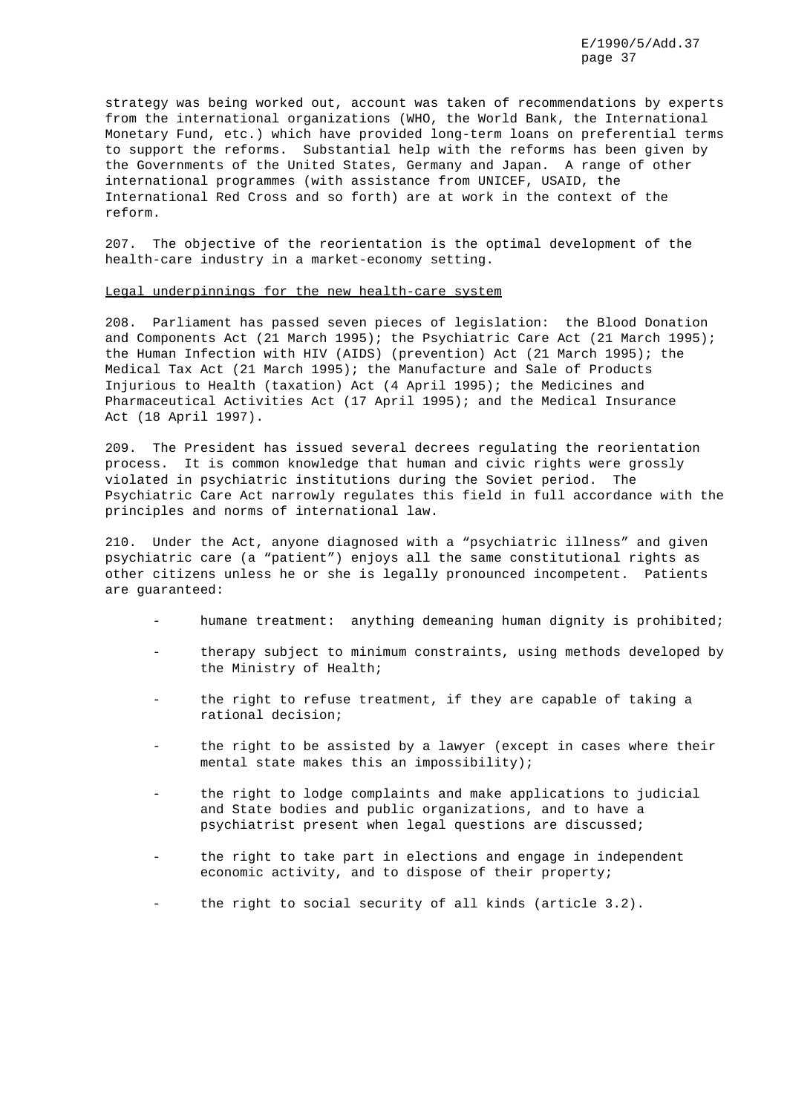strategy was being worked out, account was taken of recommendations by experts from the international organizations (WHO, the World Bank, the International Monetary Fund, etc.) which have provided long-term loans on preferential terms to support the reforms. Substantial help with the reforms has been given by the Governments of the United States, Germany and Japan. A range of other international programmes (with assistance from UNICEF, USAID, the International Red Cross and so forth) are at work in the context of the reform.

207. The objective of the reorientation is the optimal development of the health-care industry in a market-economy setting.

#### Legal underpinnings for the new health-care system

208. Parliament has passed seven pieces of legislation: the Blood Donation and Components Act (21 March 1995); the Psychiatric Care Act (21 March 1995); the Human Infection with HIV (AIDS) (prevention) Act (21 March 1995); the Medical Tax Act (21 March 1995); the Manufacture and Sale of Products Injurious to Health (taxation) Act (4 April 1995); the Medicines and Pharmaceutical Activities Act (17 April 1995); and the Medical Insurance Act (18 April 1997).

209. The President has issued several decrees regulating the reorientation process. It is common knowledge that human and civic rights were grossly violated in psychiatric institutions during the Soviet period. The Psychiatric Care Act narrowly regulates this field in full accordance with the principles and norms of international law.

210. Under the Act, anyone diagnosed with a "psychiatric illness" and given psychiatric care (a "patient") enjoys all the same constitutional rights as other citizens unless he or she is legally pronounced incompetent. Patients are guaranteed:

- humane treatment: anything demeaning human dignity is prohibited;
- therapy subject to minimum constraints, using methods developed by the Ministry of Health;
- the right to refuse treatment, if they are capable of taking a rational decision;
- the right to be assisted by a lawyer (except in cases where their mental state makes this an impossibility);
- the right to lodge complaints and make applications to judicial and State bodies and public organizations, and to have a psychiatrist present when legal questions are discussed;
- the right to take part in elections and engage in independent economic activity, and to dispose of their property;
- the right to social security of all kinds (article 3.2).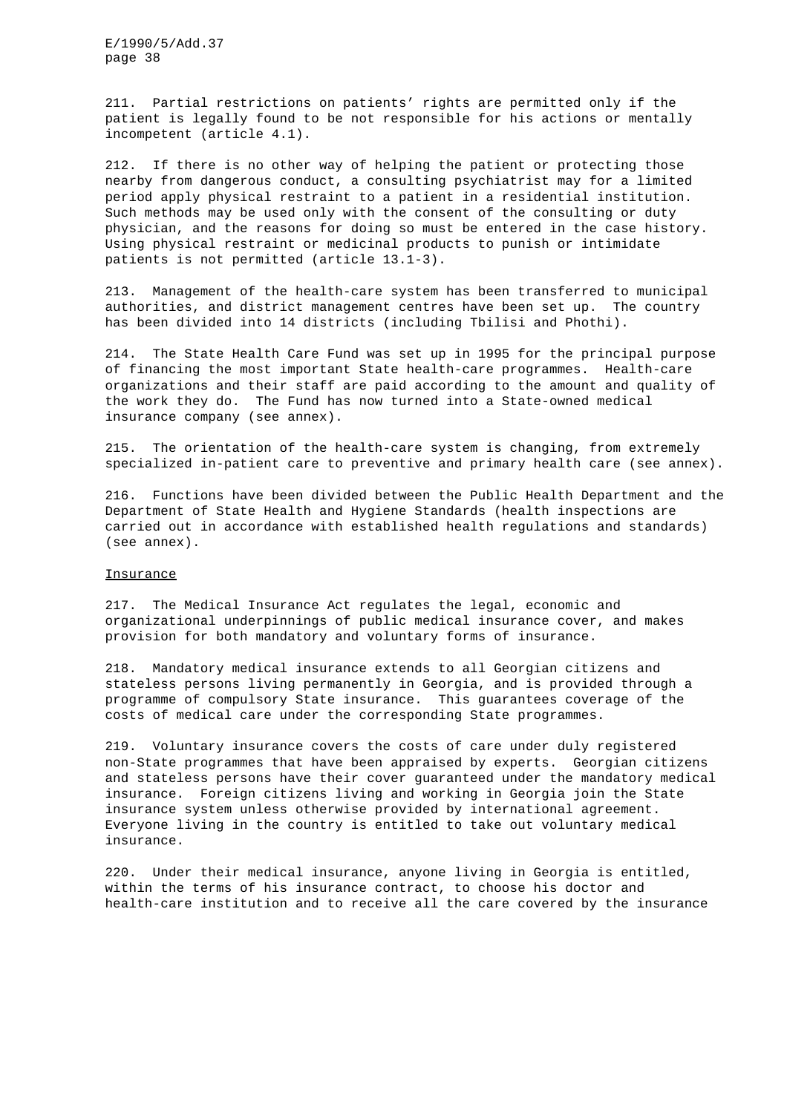211. Partial restrictions on patients' rights are permitted only if the patient is legally found to be not responsible for his actions or mentally incompetent (article 4.1).

212. If there is no other way of helping the patient or protecting those nearby from dangerous conduct, a consulting psychiatrist may for a limited period apply physical restraint to a patient in a residential institution. Such methods may be used only with the consent of the consulting or duty physician, and the reasons for doing so must be entered in the case history. Using physical restraint or medicinal products to punish or intimidate patients is not permitted (article 13.1-3).

213. Management of the health-care system has been transferred to municipal authorities, and district management centres have been set up. The country has been divided into 14 districts (including Tbilisi and Phothi).

214. The State Health Care Fund was set up in 1995 for the principal purpose of financing the most important State health-care programmes. Health-care organizations and their staff are paid according to the amount and quality of the work they do. The Fund has now turned into a State-owned medical insurance company (see annex).

215. The orientation of the health-care system is changing, from extremely specialized in-patient care to preventive and primary health care (see annex).

216. Functions have been divided between the Public Health Department and the Department of State Health and Hygiene Standards (health inspections are carried out in accordance with established health regulations and standards) (see annex).

#### Insurance

217. The Medical Insurance Act regulates the legal, economic and organizational underpinnings of public medical insurance cover, and makes provision for both mandatory and voluntary forms of insurance.

218. Mandatory medical insurance extends to all Georgian citizens and stateless persons living permanently in Georgia, and is provided through a programme of compulsory State insurance. This guarantees coverage of the costs of medical care under the corresponding State programmes.

219. Voluntary insurance covers the costs of care under duly registered non-State programmes that have been appraised by experts. Georgian citizens and stateless persons have their cover guaranteed under the mandatory medical insurance. Foreign citizens living and working in Georgia join the State insurance system unless otherwise provided by international agreement. Everyone living in the country is entitled to take out voluntary medical insurance.

220. Under their medical insurance, anyone living in Georgia is entitled, within the terms of his insurance contract, to choose his doctor and health-care institution and to receive all the care covered by the insurance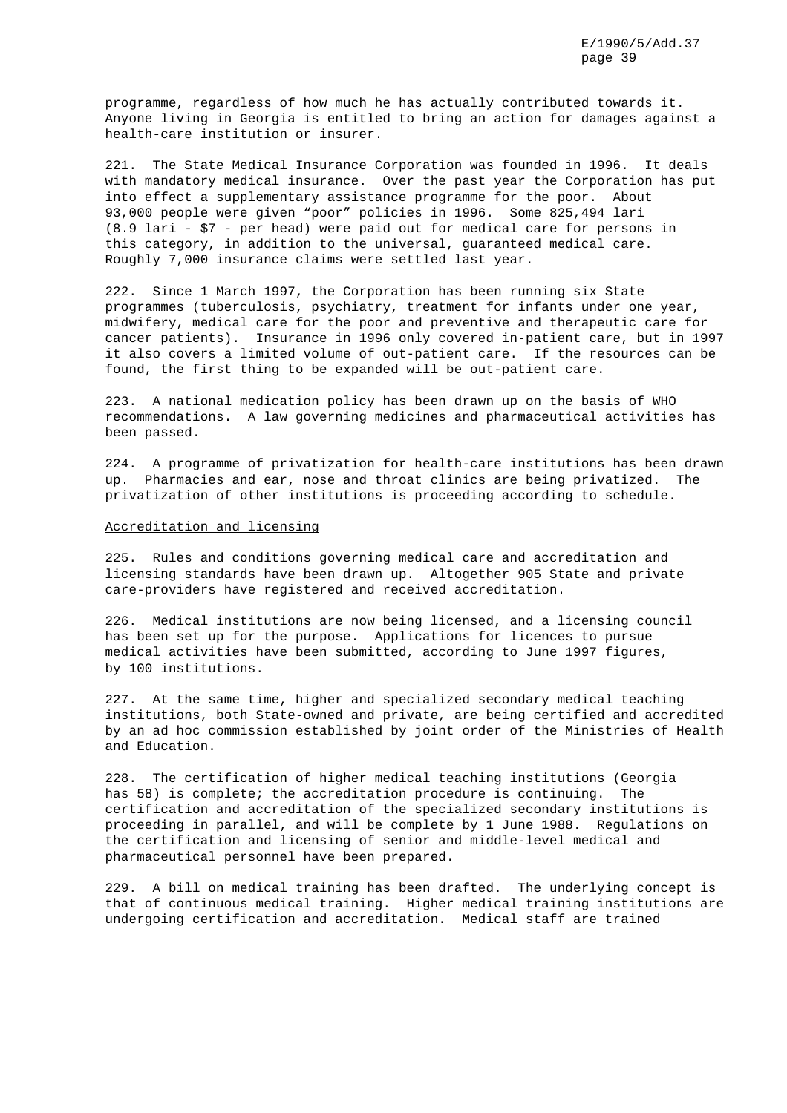programme, regardless of how much he has actually contributed towards it. Anyone living in Georgia is entitled to bring an action for damages against a health-care institution or insurer.

221. The State Medical Insurance Corporation was founded in 1996. It deals with mandatory medical insurance. Over the past year the Corporation has put into effect a supplementary assistance programme for the poor. About 93,000 people were given "poor" policies in 1996. Some 825,494 lari (8.9 lari - \$7 - per head) were paid out for medical care for persons in this category, in addition to the universal, guaranteed medical care. Roughly 7,000 insurance claims were settled last year.

222. Since 1 March 1997, the Corporation has been running six State programmes (tuberculosis, psychiatry, treatment for infants under one year, midwifery, medical care for the poor and preventive and therapeutic care for cancer patients). Insurance in 1996 only covered in-patient care, but in 1997 it also covers a limited volume of out-patient care. If the resources can be found, the first thing to be expanded will be out-patient care.

223. A national medication policy has been drawn up on the basis of WHO recommendations. A law governing medicines and pharmaceutical activities has been passed.

224. A programme of privatization for health-care institutions has been drawn up. Pharmacies and ear, nose and throat clinics are being privatized. The privatization of other institutions is proceeding according to schedule.

## Accreditation and licensing

225. Rules and conditions governing medical care and accreditation and licensing standards have been drawn up. Altogether 905 State and private care-providers have registered and received accreditation.

226. Medical institutions are now being licensed, and a licensing council has been set up for the purpose. Applications for licences to pursue medical activities have been submitted, according to June 1997 figures, by 100 institutions.

227. At the same time, higher and specialized secondary medical teaching institutions, both State-owned and private, are being certified and accredited by an ad hoc commission established by joint order of the Ministries of Health and Education.

228. The certification of higher medical teaching institutions (Georgia has 58) is complete; the accreditation procedure is continuing. The certification and accreditation of the specialized secondary institutions is proceeding in parallel, and will be complete by 1 June 1988. Regulations on the certification and licensing of senior and middle-level medical and pharmaceutical personnel have been prepared.

229. A bill on medical training has been drafted. The underlying concept is that of continuous medical training. Higher medical training institutions are undergoing certification and accreditation. Medical staff are trained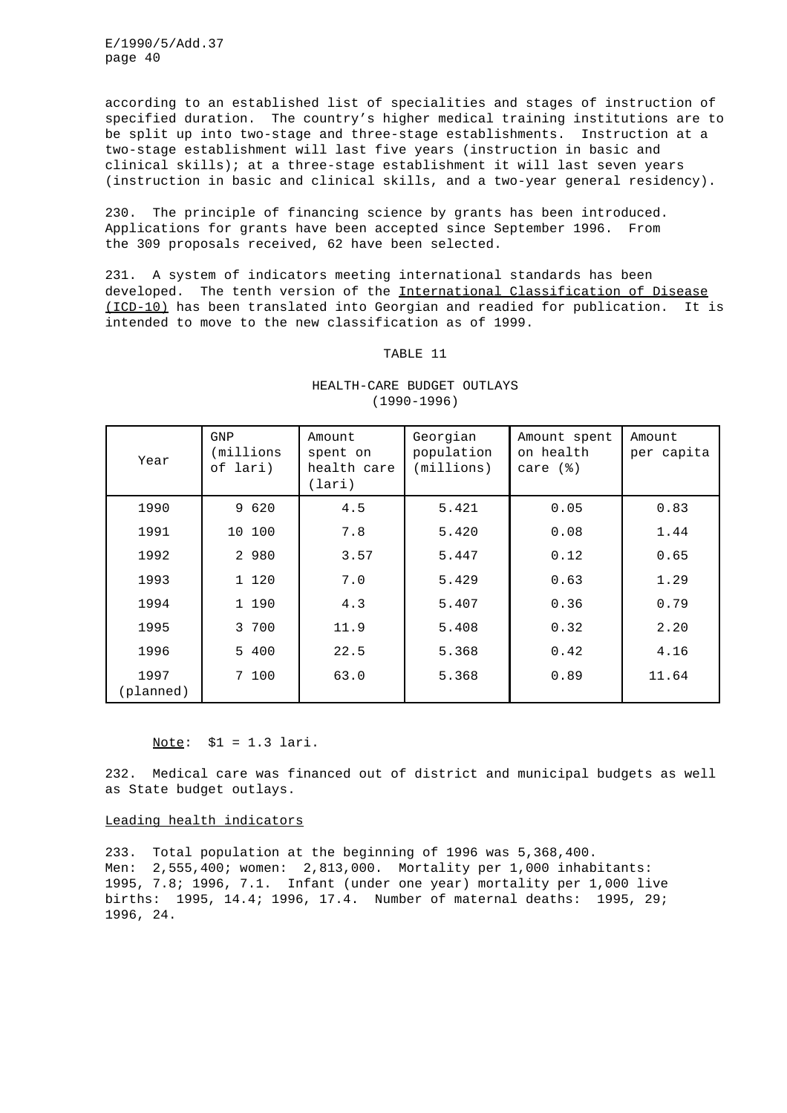according to an established list of specialities and stages of instruction of specified duration. The country's higher medical training institutions are to be split up into two-stage and three-stage establishments. Instruction at a two-stage establishment will last five years (instruction in basic and clinical skills); at a three-stage establishment it will last seven years (instruction in basic and clinical skills, and a two-year general residency).

230. The principle of financing science by grants has been introduced. Applications for grants have been accepted since September 1996. From the 309 proposals received, 62 have been selected.

231. A system of indicators meeting international standards has been developed. The tenth version of the International Classification of Disease (ICD-10) has been translated into Georgian and readied for publication. It is intended to move to the new classification as of 1999.

## TABLE 11

| Year              | <b>GNP</b><br>(millions<br>of lari) | Amount<br>spent on<br>health care<br>(lari) | Georgian<br>population<br>(millions) | Amount spent<br>on health<br>care $(%)$ | Amount<br>per capita |
|-------------------|-------------------------------------|---------------------------------------------|--------------------------------------|-----------------------------------------|----------------------|
| 1990              | 9 620                               | 4.5                                         | 5.421                                | 0.05                                    | 0.83                 |
| 1991              | 10 100                              | 7.8                                         | 5.420                                | 0.08                                    | 1.44                 |
| 1992              | 2 980                               | 3.57                                        | 5.447                                | 0.12                                    | 0.65                 |
| 1993              | 1 120                               | 7.0                                         | 5.429                                | 0.63                                    | 1.29                 |
| 1994              | 1 190                               | 4.3                                         | 5.407                                | 0.36                                    | 0.79                 |
| 1995              | 3 700                               | 11.9                                        | 5.408                                | 0.32                                    | 2.20                 |
| 1996              | 5 400                               | 22.5                                        | 5.368                                | 0.42                                    | 4.16                 |
| 1997<br>(planned) | 7 100                               | 63.0                                        | 5.368                                | 0.89                                    | 11.64                |

# HEALTH-CARE BUDGET OUTLAYS (1990-1996)

Note: \$1 = 1.3 lari.

232. Medical care was financed out of district and municipal budgets as well as State budget outlays.

# Leading health indicators

233. Total population at the beginning of 1996 was 5,368,400. Men: 2,555,400; women: 2,813,000. Mortality per 1,000 inhabitants: 1995, 7.8; 1996, 7.1. Infant (under one year) mortality per 1,000 live births: 1995, 14.4; 1996, 17.4. Number of maternal deaths: 1995, 29; 1996, 24.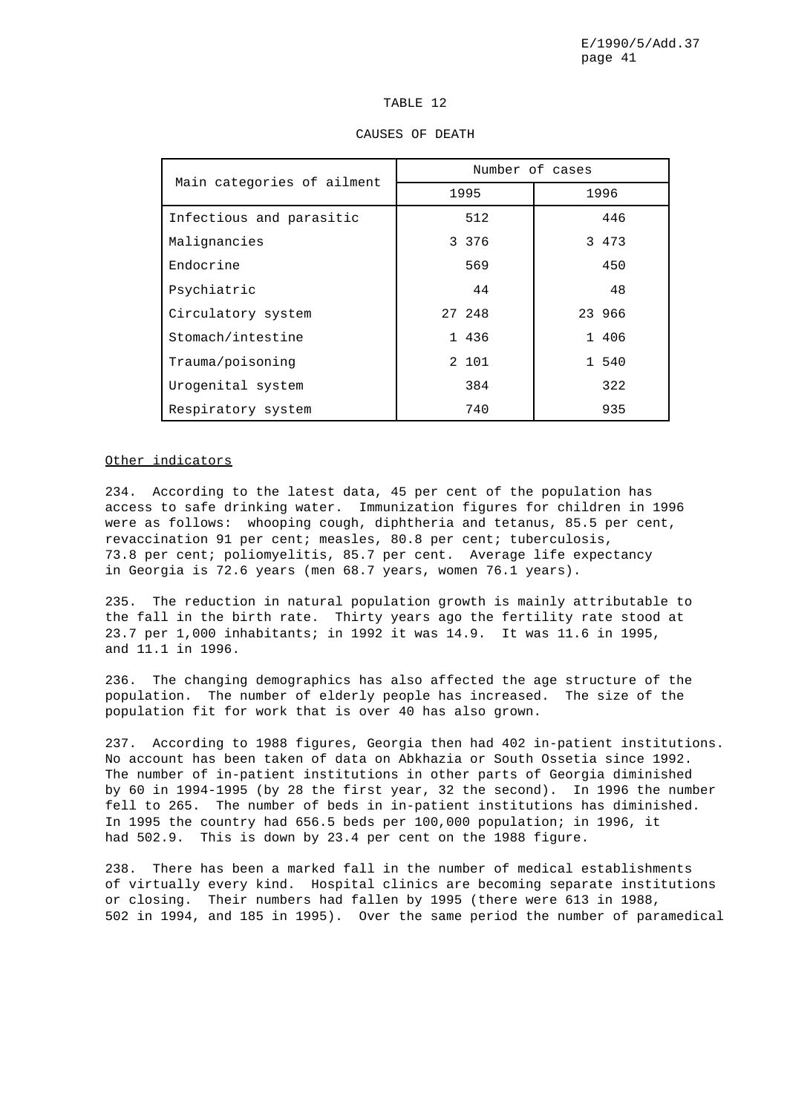|--|--|

| Main categories of ailment | Number of cases |         |  |        |  |  |
|----------------------------|-----------------|---------|--|--------|--|--|
|                            |                 | 1995    |  | 1996   |  |  |
| Infectious and parasitic   |                 | 512     |  | 446    |  |  |
| Malignancies               |                 | 3 3 7 6 |  | 3 473  |  |  |
| Endocrine                  |                 | 569     |  | 450    |  |  |
| Psychiatric                |                 | 44      |  | 48     |  |  |
| Circulatory system         |                 | 27 248  |  | 23 966 |  |  |
| Stomach/intestine          |                 | 1 436   |  | 1 406  |  |  |
| Trauma/poisoning           |                 | 2 101   |  | 1 540  |  |  |
| Urogenital system          |                 | 384     |  | 322    |  |  |
| Respiratory system         |                 | 740     |  | 935    |  |  |

#### CAUSES OF DEATH

## Other indicators

234. According to the latest data, 45 per cent of the population has access to safe drinking water. Immunization figures for children in 1996 were as follows: whooping cough, diphtheria and tetanus, 85.5 per cent, revaccination 91 per cent; measles, 80.8 per cent; tuberculosis, 73.8 per cent; poliomyelitis, 85.7 per cent. Average life expectancy in Georgia is 72.6 years (men 68.7 years, women 76.1 years).

235. The reduction in natural population growth is mainly attributable to the fall in the birth rate. Thirty years ago the fertility rate stood at 23.7 per 1,000 inhabitants; in 1992 it was 14.9. It was 11.6 in 1995, and 11.1 in 1996.

236. The changing demographics has also affected the age structure of the population. The number of elderly people has increased. The size of the population fit for work that is over 40 has also grown.

237. According to 1988 figures, Georgia then had 402 in-patient institutions. No account has been taken of data on Abkhazia or South Ossetia since 1992. The number of in-patient institutions in other parts of Georgia diminished by 60 in 1994-1995 (by 28 the first year, 32 the second). In 1996 the number fell to 265. The number of beds in in-patient institutions has diminished. In 1995 the country had 656.5 beds per 100,000 population; in 1996, it had 502.9. This is down by 23.4 per cent on the 1988 figure.

238. There has been a marked fall in the number of medical establishments of virtually every kind. Hospital clinics are becoming separate institutions or closing. Their numbers had fallen by 1995 (there were 613 in 1988, 502 in 1994, and 185 in 1995). Over the same period the number of paramedical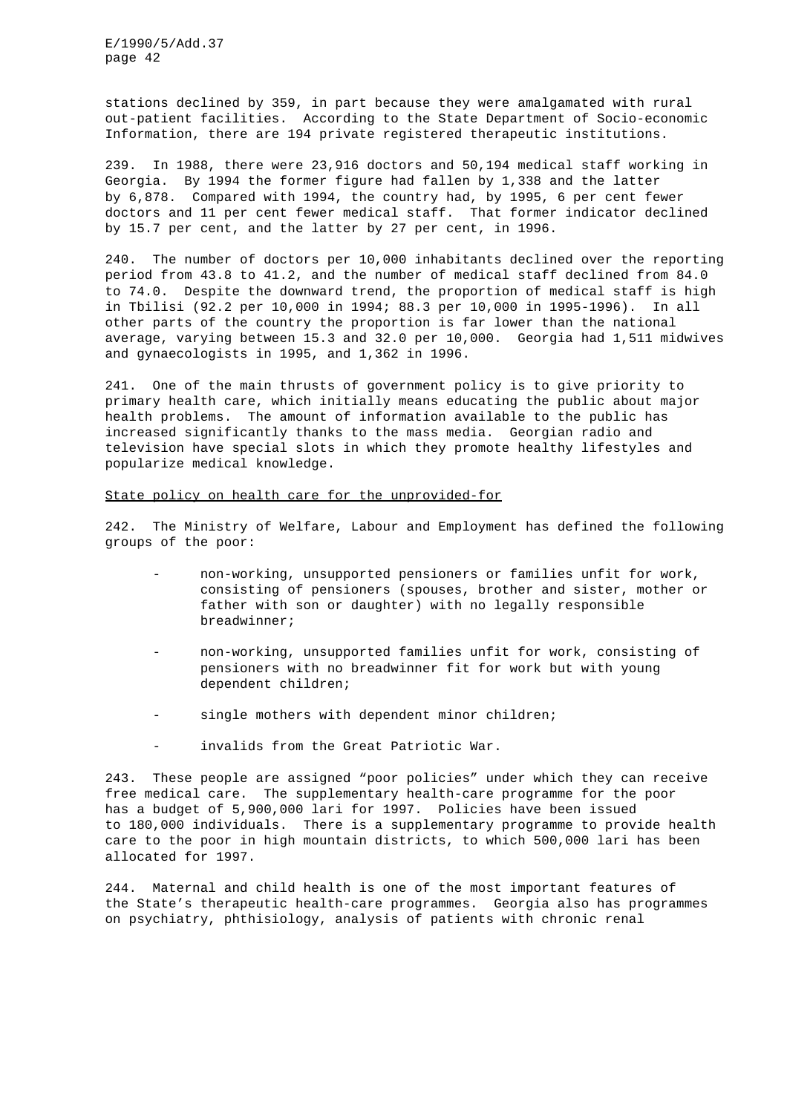stations declined by 359, in part because they were amalgamated with rural out-patient facilities. According to the State Department of Socio-economic Information, there are 194 private registered therapeutic institutions.

239. In 1988, there were 23,916 doctors and 50,194 medical staff working in Georgia. By 1994 the former figure had fallen by 1,338 and the latter by 6,878. Compared with 1994, the country had, by 1995, 6 per cent fewer doctors and 11 per cent fewer medical staff. That former indicator declined by 15.7 per cent, and the latter by 27 per cent, in 1996.

240. The number of doctors per 10,000 inhabitants declined over the reporting period from 43.8 to 41.2, and the number of medical staff declined from 84.0 to 74.0. Despite the downward trend, the proportion of medical staff is high in Tbilisi (92.2 per 10,000 in 1994; 88.3 per 10,000 in 1995-1996). In all other parts of the country the proportion is far lower than the national average, varying between 15.3 and 32.0 per 10,000. Georgia had 1,511 midwives and gynaecologists in 1995, and 1,362 in 1996.

241. One of the main thrusts of government policy is to give priority to primary health care, which initially means educating the public about major health problems. The amount of information available to the public has increased significantly thanks to the mass media. Georgian radio and television have special slots in which they promote healthy lifestyles and popularize medical knowledge.

State policy on health care for the unprovided-for

242. The Ministry of Welfare, Labour and Employment has defined the following groups of the poor:

- non-working, unsupported pensioners or families unfit for work, consisting of pensioners (spouses, brother and sister, mother or father with son or daughter) with no legally responsible breadwinner;
- non-working, unsupported families unfit for work, consisting of pensioners with no breadwinner fit for work but with young dependent children;
- single mothers with dependent minor children;
- invalids from the Great Patriotic War.

243. These people are assigned "poor policies" under which they can receive free medical care. The supplementary health-care programme for the poor has a budget of 5,900,000 lari for 1997. Policies have been issued to 180,000 individuals. There is a supplementary programme to provide health care to the poor in high mountain districts, to which 500,000 lari has been allocated for 1997.

244. Maternal and child health is one of the most important features of the State's therapeutic health-care programmes. Georgia also has programmes on psychiatry, phthisiology, analysis of patients with chronic renal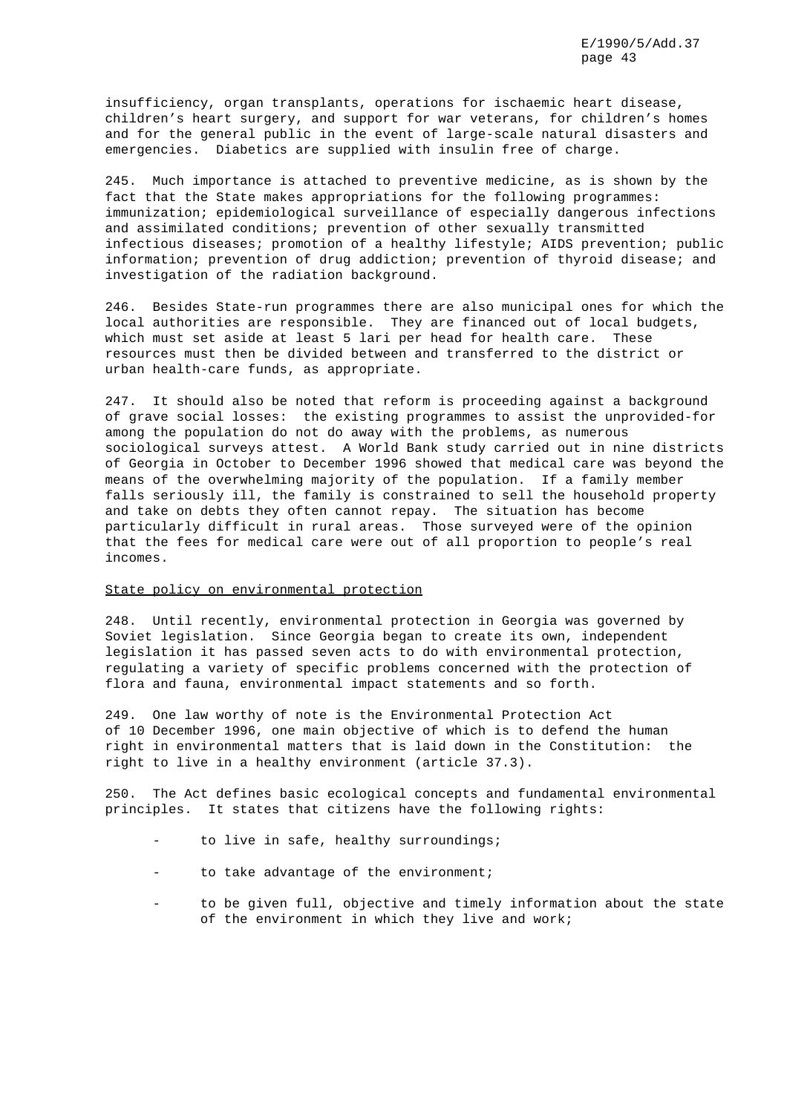insufficiency, organ transplants, operations for ischaemic heart disease, children's heart surgery, and support for war veterans, for children's homes and for the general public in the event of large-scale natural disasters and emergencies. Diabetics are supplied with insulin free of charge.

245. Much importance is attached to preventive medicine, as is shown by the fact that the State makes appropriations for the following programmes: immunization; epidemiological surveillance of especially dangerous infections and assimilated conditions; prevention of other sexually transmitted infectious diseases; promotion of a healthy lifestyle; AIDS prevention; public information; prevention of drug addiction; prevention of thyroid disease; and investigation of the radiation background.

246. Besides State-run programmes there are also municipal ones for which the local authorities are responsible. They are financed out of local budgets, which must set aside at least 5 lari per head for health care. These resources must then be divided between and transferred to the district or urban health-care funds, as appropriate.

247. It should also be noted that reform is proceeding against a background of grave social losses: the existing programmes to assist the unprovided-for among the population do not do away with the problems, as numerous sociological surveys attest. A World Bank study carried out in nine districts of Georgia in October to December 1996 showed that medical care was beyond the means of the overwhelming majority of the population. If a family member falls seriously ill, the family is constrained to sell the household property and take on debts they often cannot repay. The situation has become particularly difficult in rural areas. Those surveyed were of the opinion that the fees for medical care were out of all proportion to people's real incomes.

#### State policy on environmental protection

248. Until recently, environmental protection in Georgia was governed by Soviet legislation. Since Georgia began to create its own, independent legislation it has passed seven acts to do with environmental protection, regulating a variety of specific problems concerned with the protection of flora and fauna, environmental impact statements and so forth.

249. One law worthy of note is the Environmental Protection Act of 10 December 1996, one main objective of which is to defend the human right in environmental matters that is laid down in the Constitution: the right to live in a healthy environment (article 37.3).

250. The Act defines basic ecological concepts and fundamental environmental principles. It states that citizens have the following rights:

- to live in safe, healthy surroundings;
- to take advantage of the environment;
- to be given full, objective and timely information about the state of the environment in which they live and work;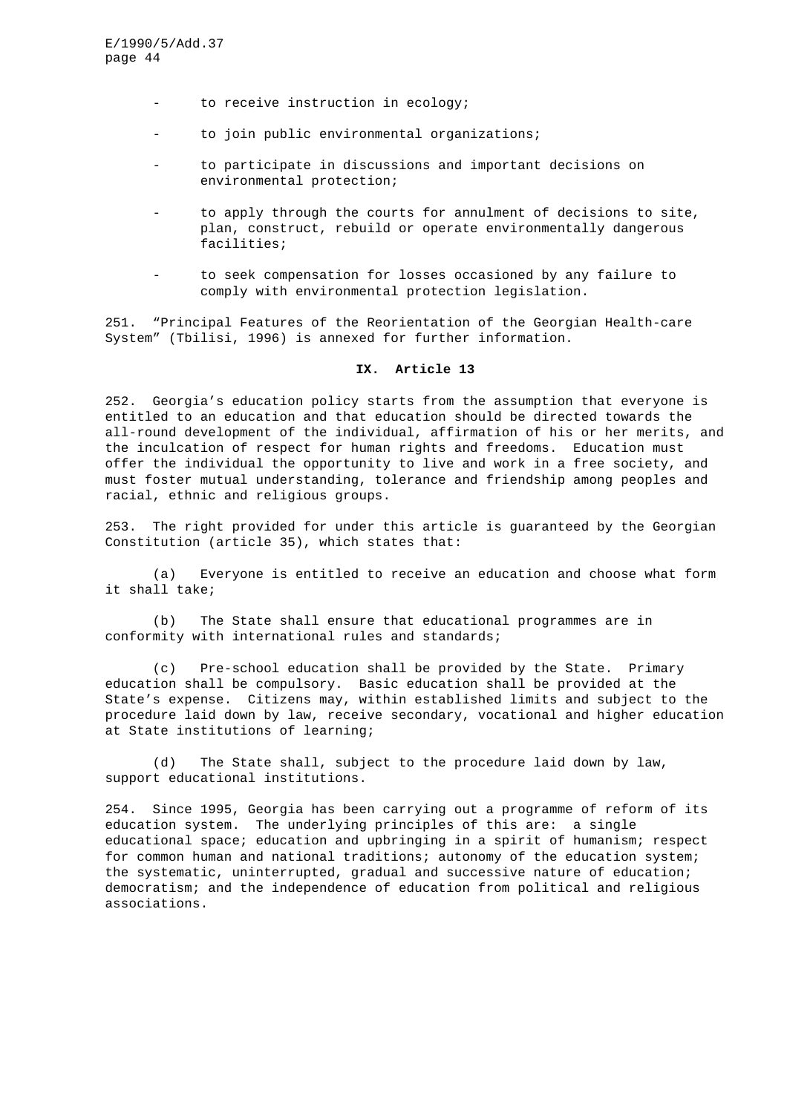- to receive instruction in ecology;
- to join public environmental organizations;
- to participate in discussions and important decisions on environmental protection;
- to apply through the courts for annulment of decisions to site, plan, construct, rebuild or operate environmentally dangerous facilities;
- to seek compensation for losses occasioned by any failure to comply with environmental protection legislation.

251. "Principal Features of the Reorientation of the Georgian Health-care System" (Tbilisi, 1996) is annexed for further information.

# **IX. Article 13**

252. Georgia's education policy starts from the assumption that everyone is entitled to an education and that education should be directed towards the all-round development of the individual, affirmation of his or her merits, and the inculcation of respect for human rights and freedoms. Education must offer the individual the opportunity to live and work in a free society, and must foster mutual understanding, tolerance and friendship among peoples and racial, ethnic and religious groups.

253. The right provided for under this article is guaranteed by the Georgian Constitution (article 35), which states that:

(a) Everyone is entitled to receive an education and choose what form it shall take;

(b) The State shall ensure that educational programmes are in conformity with international rules and standards;

(c) Pre-school education shall be provided by the State. Primary education shall be compulsory. Basic education shall be provided at the State's expense. Citizens may, within established limits and subject to the procedure laid down by law, receive secondary, vocational and higher education at State institutions of learning;

(d) The State shall, subject to the procedure laid down by law, support educational institutions.

254. Since 1995, Georgia has been carrying out a programme of reform of its education system. The underlying principles of this are: a single educational space; education and upbringing in a spirit of humanism; respect for common human and national traditions; autonomy of the education system; the systematic, uninterrupted, gradual and successive nature of education; democratism; and the independence of education from political and religious associations.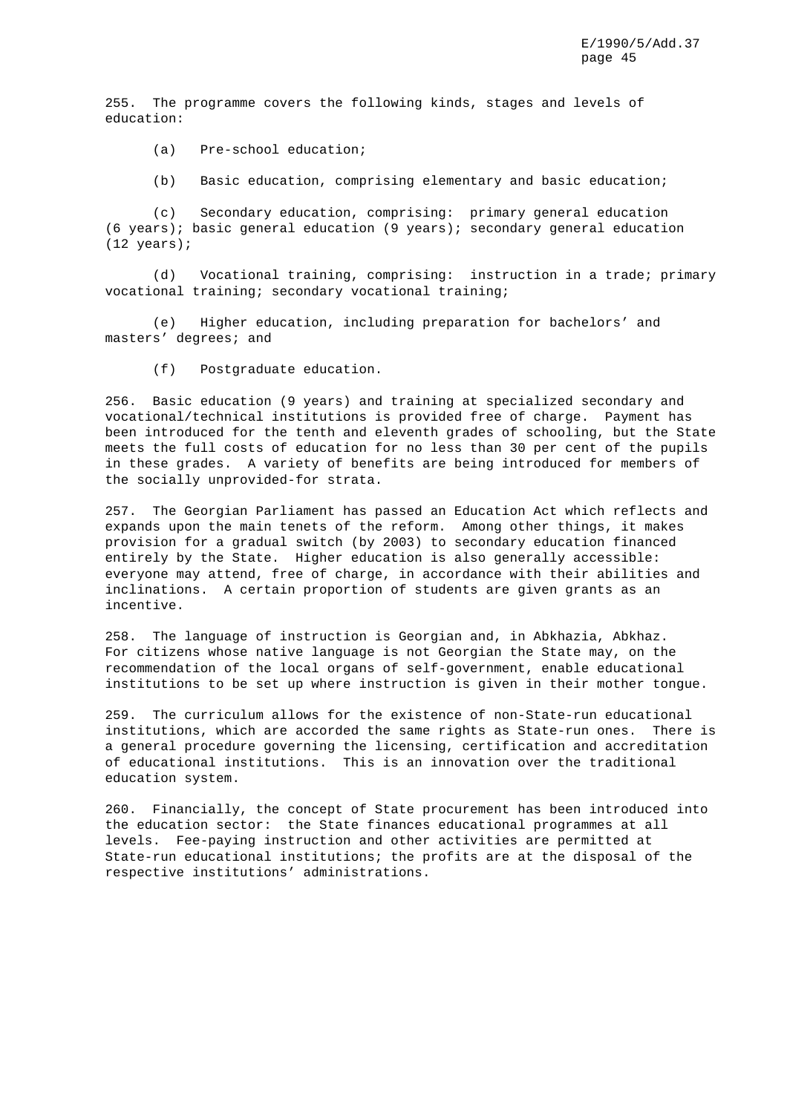255. The programme covers the following kinds, stages and levels of education:

- (a) Pre-school education;
- (b) Basic education, comprising elementary and basic education;

(c) Secondary education, comprising: primary general education (6 years); basic general education (9 years); secondary general education (12 years);

(d) Vocational training, comprising: instruction in a trade; primary vocational training; secondary vocational training;

(e) Higher education, including preparation for bachelors' and masters' degrees; and

(f) Postgraduate education.

256. Basic education (9 years) and training at specialized secondary and vocational/technical institutions is provided free of charge. Payment has been introduced for the tenth and eleventh grades of schooling, but the State meets the full costs of education for no less than 30 per cent of the pupils in these grades. A variety of benefits are being introduced for members of the socially unprovided-for strata.

257. The Georgian Parliament has passed an Education Act which reflects and expands upon the main tenets of the reform. Among other things, it makes provision for a gradual switch (by 2003) to secondary education financed entirely by the State. Higher education is also generally accessible: everyone may attend, free of charge, in accordance with their abilities and inclinations. A certain proportion of students are given grants as an incentive.

258. The language of instruction is Georgian and, in Abkhazia, Abkhaz. For citizens whose native language is not Georgian the State may, on the recommendation of the local organs of self-government, enable educational institutions to be set up where instruction is given in their mother tongue.

259. The curriculum allows for the existence of non-State-run educational institutions, which are accorded the same rights as State-run ones. There is a general procedure governing the licensing, certification and accreditation of educational institutions. This is an innovation over the traditional education system.

260. Financially, the concept of State procurement has been introduced into the education sector: the State finances educational programmes at all levels. Fee-paying instruction and other activities are permitted at State-run educational institutions; the profits are at the disposal of the respective institutions' administrations.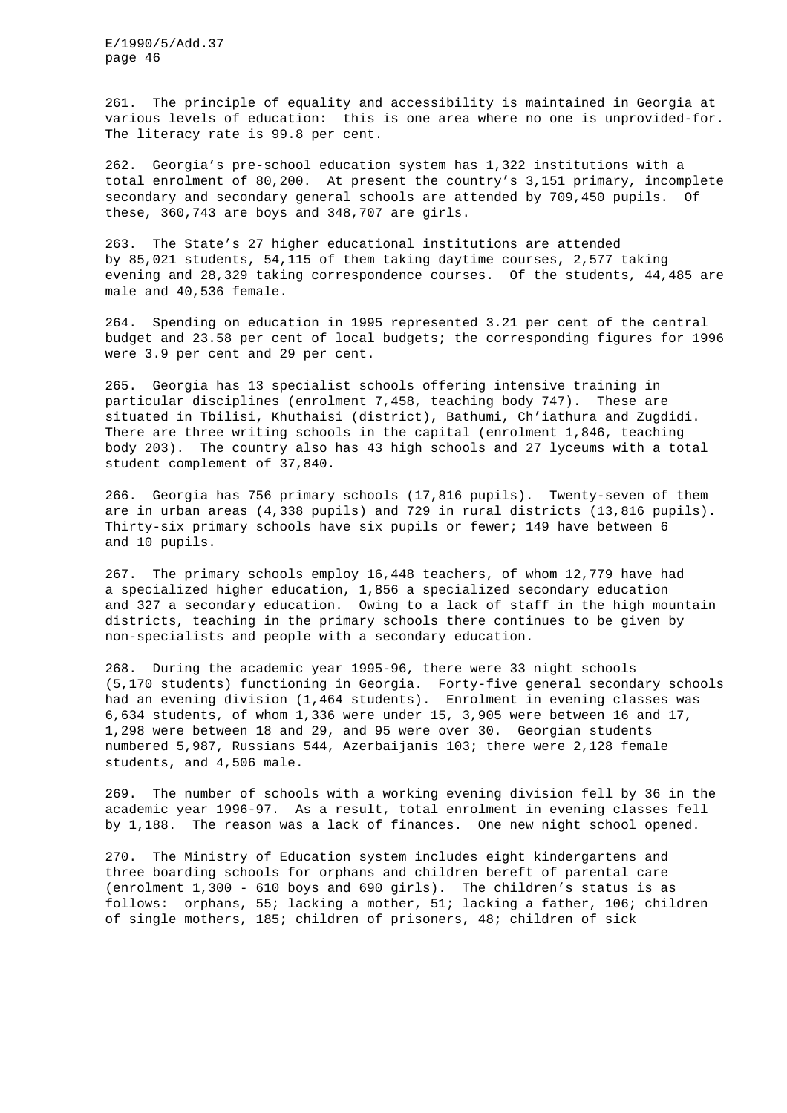261. The principle of equality and accessibility is maintained in Georgia at various levels of education: this is one area where no one is unprovided-for. The literacy rate is 99.8 per cent.

262. Georgia's pre-school education system has 1,322 institutions with a total enrolment of 80,200. At present the country's 3,151 primary, incomplete secondary and secondary general schools are attended by 709,450 pupils. Of these, 360,743 are boys and 348,707 are girls.

263. The State's 27 higher educational institutions are attended by 85,021 students, 54,115 of them taking daytime courses, 2,577 taking evening and 28,329 taking correspondence courses. Of the students, 44,485 are male and 40,536 female.

264. Spending on education in 1995 represented 3.21 per cent of the central budget and 23.58 per cent of local budgets; the corresponding figures for 1996 were 3.9 per cent and 29 per cent.

265. Georgia has 13 specialist schools offering intensive training in particular disciplines (enrolment 7,458, teaching body 747). These are situated in Tbilisi, Khuthaisi (district), Bathumi, Ch'iathura and Zugdidi. There are three writing schools in the capital (enrolment 1,846, teaching body 203). The country also has 43 high schools and 27 lyceums with a total student complement of 37,840.

266. Georgia has 756 primary schools (17,816 pupils). Twenty-seven of them are in urban areas (4,338 pupils) and 729 in rural districts (13,816 pupils). Thirty-six primary schools have six pupils or fewer; 149 have between 6 and 10 pupils.

267. The primary schools employ 16,448 teachers, of whom 12,779 have had a specialized higher education, 1,856 a specialized secondary education and 327 a secondary education. Owing to a lack of staff in the high mountain districts, teaching in the primary schools there continues to be given by non-specialists and people with a secondary education.

268. During the academic year 1995-96, there were 33 night schools (5,170 students) functioning in Georgia. Forty-five general secondary schools had an evening division (1,464 students). Enrolment in evening classes was 6,634 students, of whom 1,336 were under 15, 3,905 were between 16 and 17, 1,298 were between 18 and 29, and 95 were over 30. Georgian students numbered 5,987, Russians 544, Azerbaijanis 103; there were 2,128 female students, and 4,506 male.

269. The number of schools with a working evening division fell by 36 in the academic year 1996-97. As a result, total enrolment in evening classes fell by 1,188. The reason was a lack of finances. One new night school opened.

270. The Ministry of Education system includes eight kindergartens and three boarding schools for orphans and children bereft of parental care (enrolment 1,300 - 610 boys and 690 girls). The children's status is as follows: orphans, 55; lacking a mother, 51; lacking a father, 106; children of single mothers, 185; children of prisoners, 48; children of sick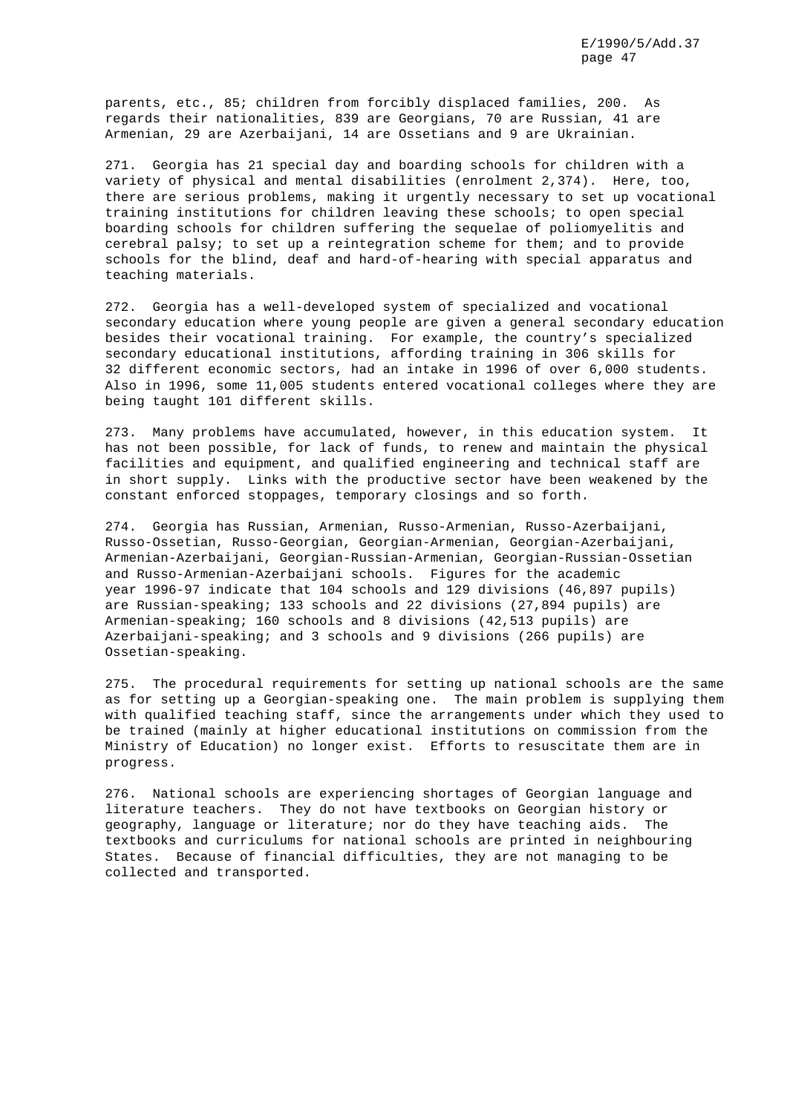parents, etc., 85; children from forcibly displaced families, 200. As regards their nationalities, 839 are Georgians, 70 are Russian, 41 are Armenian, 29 are Azerbaijani, 14 are Ossetians and 9 are Ukrainian.

271. Georgia has 21 special day and boarding schools for children with a variety of physical and mental disabilities (enrolment 2,374). Here, too, there are serious problems, making it urgently necessary to set up vocational training institutions for children leaving these schools; to open special boarding schools for children suffering the sequelae of poliomyelitis and cerebral palsy; to set up a reintegration scheme for them; and to provide schools for the blind, deaf and hard-of-hearing with special apparatus and teaching materials.

272. Georgia has a well-developed system of specialized and vocational secondary education where young people are given a general secondary education besides their vocational training. For example, the country's specialized secondary educational institutions, affording training in 306 skills for 32 different economic sectors, had an intake in 1996 of over 6,000 students. Also in 1996, some 11,005 students entered vocational colleges where they are being taught 101 different skills.

273. Many problems have accumulated, however, in this education system. It has not been possible, for lack of funds, to renew and maintain the physical facilities and equipment, and qualified engineering and technical staff are in short supply. Links with the productive sector have been weakened by the constant enforced stoppages, temporary closings and so forth.

274. Georgia has Russian, Armenian, Russo-Armenian, Russo-Azerbaijani, Russo-Ossetian, Russo-Georgian, Georgian-Armenian, Georgian-Azerbaijani, Armenian-Azerbaijani, Georgian-Russian-Armenian, Georgian-Russian-Ossetian and Russo-Armenian-Azerbaijani schools. Figures for the academic year 1996-97 indicate that 104 schools and 129 divisions (46,897 pupils) are Russian-speaking; 133 schools and 22 divisions (27,894 pupils) are Armenian-speaking; 160 schools and 8 divisions (42,513 pupils) are Azerbaijani-speaking; and 3 schools and 9 divisions (266 pupils) are Ossetian-speaking.

275. The procedural requirements for setting up national schools are the same as for setting up a Georgian-speaking one. The main problem is supplying them with qualified teaching staff, since the arrangements under which they used to be trained (mainly at higher educational institutions on commission from the Ministry of Education) no longer exist. Efforts to resuscitate them are in progress.

276. National schools are experiencing shortages of Georgian language and literature teachers. They do not have textbooks on Georgian history or geography, language or literature; nor do they have teaching aids. The textbooks and curriculums for national schools are printed in neighbouring States. Because of financial difficulties, they are not managing to be collected and transported.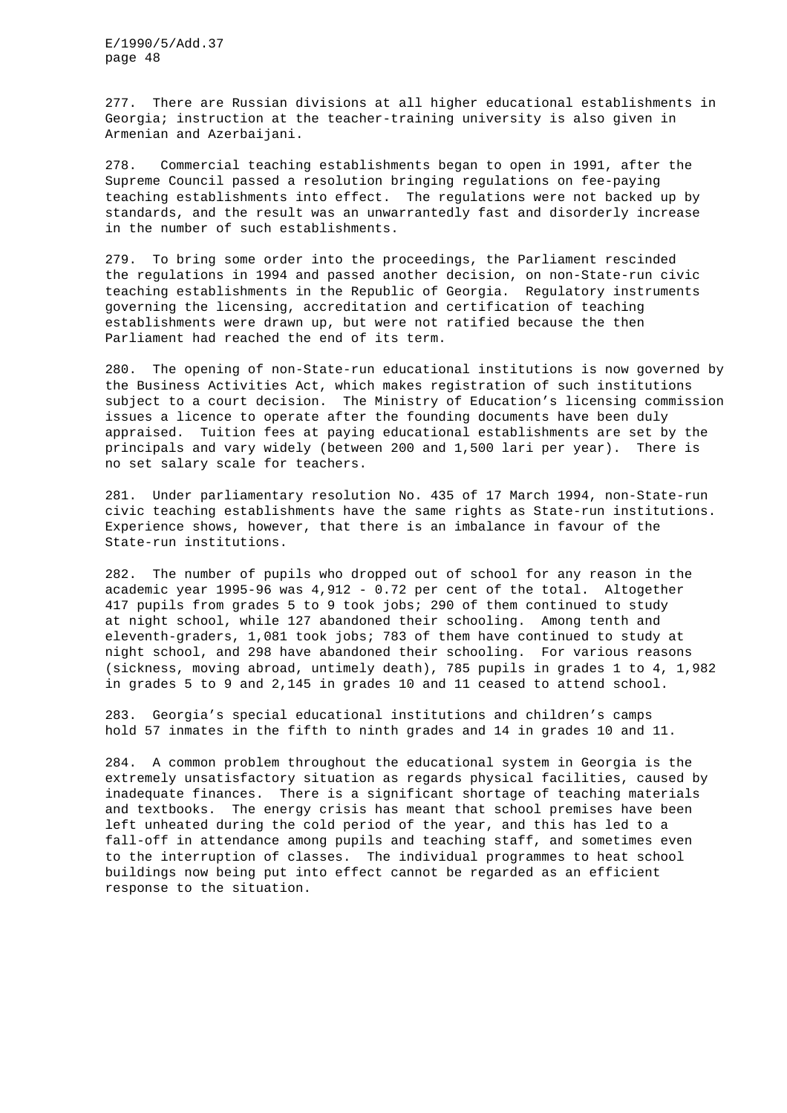277. There are Russian divisions at all higher educational establishments in Georgia; instruction at the teacher-training university is also given in Armenian and Azerbaijani.

278. Commercial teaching establishments began to open in 1991, after the Supreme Council passed a resolution bringing regulations on fee-paying teaching establishments into effect. The regulations were not backed up by standards, and the result was an unwarrantedly fast and disorderly increase in the number of such establishments.

279. To bring some order into the proceedings, the Parliament rescinded the regulations in 1994 and passed another decision, on non-State-run civic teaching establishments in the Republic of Georgia. Regulatory instruments governing the licensing, accreditation and certification of teaching establishments were drawn up, but were not ratified because the then Parliament had reached the end of its term.

280. The opening of non-State-run educational institutions is now governed by the Business Activities Act, which makes registration of such institutions subject to a court decision. The Ministry of Education's licensing commission issues a licence to operate after the founding documents have been duly appraised. Tuition fees at paying educational establishments are set by the principals and vary widely (between 200 and 1,500 lari per year). There is no set salary scale for teachers.

281. Under parliamentary resolution No. 435 of 17 March 1994, non-State-run civic teaching establishments have the same rights as State-run institutions. Experience shows, however, that there is an imbalance in favour of the State-run institutions.

282. The number of pupils who dropped out of school for any reason in the academic year 1995-96 was 4,912 - 0.72 per cent of the total. Altogether 417 pupils from grades 5 to 9 took jobs; 290 of them continued to study at night school, while 127 abandoned their schooling. Among tenth and eleventh-graders, 1,081 took jobs; 783 of them have continued to study at night school, and 298 have abandoned their schooling. For various reasons (sickness, moving abroad, untimely death), 785 pupils in grades 1 to 4, 1,982 in grades 5 to 9 and 2,145 in grades 10 and 11 ceased to attend school.

283. Georgia's special educational institutions and children's camps hold 57 inmates in the fifth to ninth grades and 14 in grades 10 and 11.

284. A common problem throughout the educational system in Georgia is the extremely unsatisfactory situation as regards physical facilities, caused by inadequate finances. There is a significant shortage of teaching materials and textbooks. The energy crisis has meant that school premises have been left unheated during the cold period of the year, and this has led to a fall-off in attendance among pupils and teaching staff, and sometimes even to the interruption of classes. The individual programmes to heat school buildings now being put into effect cannot be regarded as an efficient response to the situation.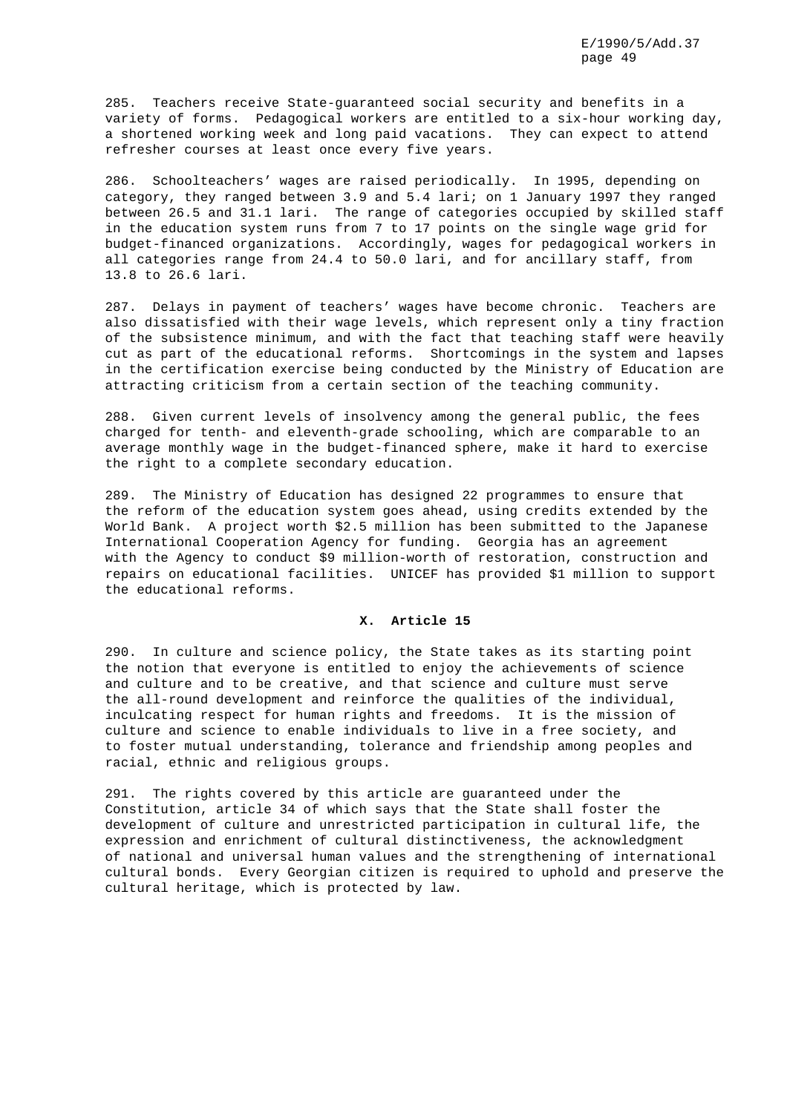285. Teachers receive State-guaranteed social security and benefits in a variety of forms. Pedagogical workers are entitled to a six-hour working day, a shortened working week and long paid vacations. They can expect to attend refresher courses at least once every five years.

286. Schoolteachers' wages are raised periodically. In 1995, depending on category, they ranged between 3.9 and 5.4 lari; on 1 January 1997 they ranged between 26.5 and 31.1 lari. The range of categories occupied by skilled staff in the education system runs from 7 to 17 points on the single wage grid for budget-financed organizations. Accordingly, wages for pedagogical workers in all categories range from 24.4 to 50.0 lari, and for ancillary staff, from 13.8 to 26.6 lari.

287. Delays in payment of teachers' wages have become chronic. Teachers are also dissatisfied with their wage levels, which represent only a tiny fraction of the subsistence minimum, and with the fact that teaching staff were heavily cut as part of the educational reforms. Shortcomings in the system and lapses in the certification exercise being conducted by the Ministry of Education are attracting criticism from a certain section of the teaching community.

288. Given current levels of insolvency among the general public, the fees charged for tenth- and eleventh-grade schooling, which are comparable to an average monthly wage in the budget-financed sphere, make it hard to exercise the right to a complete secondary education.

289. The Ministry of Education has designed 22 programmes to ensure that the reform of the education system goes ahead, using credits extended by the World Bank. A project worth \$2.5 million has been submitted to the Japanese International Cooperation Agency for funding. Georgia has an agreement with the Agency to conduct \$9 million-worth of restoration, construction and repairs on educational facilities. UNICEF has provided \$1 million to support the educational reforms.

## **X. Article 15**

290. In culture and science policy, the State takes as its starting point the notion that everyone is entitled to enjoy the achievements of science and culture and to be creative, and that science and culture must serve the all-round development and reinforce the qualities of the individual, inculcating respect for human rights and freedoms. It is the mission of culture and science to enable individuals to live in a free society, and to foster mutual understanding, tolerance and friendship among peoples and racial, ethnic and religious groups.

291. The rights covered by this article are guaranteed under the Constitution, article 34 of which says that the State shall foster the development of culture and unrestricted participation in cultural life, the expression and enrichment of cultural distinctiveness, the acknowledgment of national and universal human values and the strengthening of international cultural bonds. Every Georgian citizen is required to uphold and preserve the cultural heritage, which is protected by law.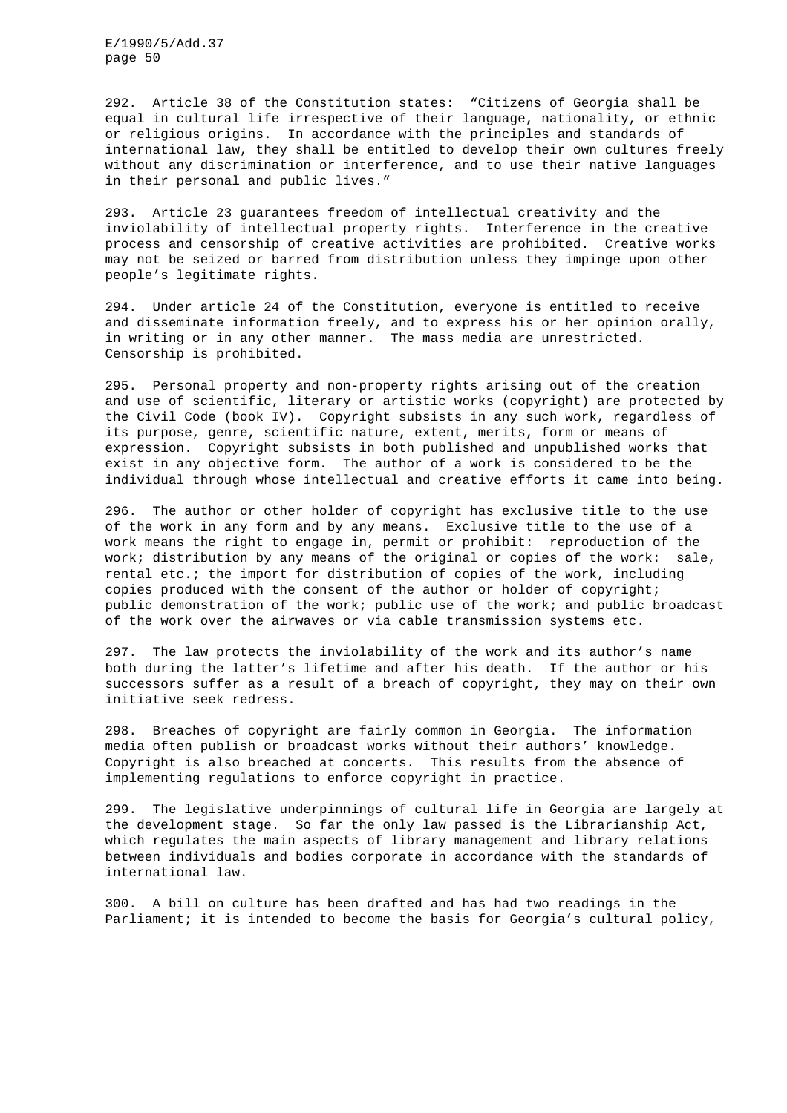292. Article 38 of the Constitution states: "Citizens of Georgia shall be equal in cultural life irrespective of their language, nationality, or ethnic or religious origins. In accordance with the principles and standards of international law, they shall be entitled to develop their own cultures freely without any discrimination or interference, and to use their native languages in their personal and public lives."

293. Article 23 guarantees freedom of intellectual creativity and the inviolability of intellectual property rights. Interference in the creative process and censorship of creative activities are prohibited. Creative works may not be seized or barred from distribution unless they impinge upon other people's legitimate rights.

294. Under article 24 of the Constitution, everyone is entitled to receive and disseminate information freely, and to express his or her opinion orally, in writing or in any other manner. The mass media are unrestricted. Censorship is prohibited.

295. Personal property and non-property rights arising out of the creation and use of scientific, literary or artistic works (copyright) are protected by the Civil Code (book IV). Copyright subsists in any such work, regardless of its purpose, genre, scientific nature, extent, merits, form or means of expression. Copyright subsists in both published and unpublished works that exist in any objective form. The author of a work is considered to be the individual through whose intellectual and creative efforts it came into being.

296. The author or other holder of copyright has exclusive title to the use of the work in any form and by any means. Exclusive title to the use of a work means the right to engage in, permit or prohibit: reproduction of the work; distribution by any means of the original or copies of the work: sale, rental etc.; the import for distribution of copies of the work, including copies produced with the consent of the author or holder of copyright; public demonstration of the work; public use of the work; and public broadcast of the work over the airwaves or via cable transmission systems etc.

297. The law protects the inviolability of the work and its author's name both during the latter's lifetime and after his death. If the author or his successors suffer as a result of a breach of copyright, they may on their own initiative seek redress.

298. Breaches of copyright are fairly common in Georgia. The information media often publish or broadcast works without their authors' knowledge. Copyright is also breached at concerts. This results from the absence of implementing regulations to enforce copyright in practice.

299. The legislative underpinnings of cultural life in Georgia are largely at the development stage. So far the only law passed is the Librarianship Act, which regulates the main aspects of library management and library relations between individuals and bodies corporate in accordance with the standards of international law.

300. A bill on culture has been drafted and has had two readings in the Parliament; it is intended to become the basis for Georgia's cultural policy,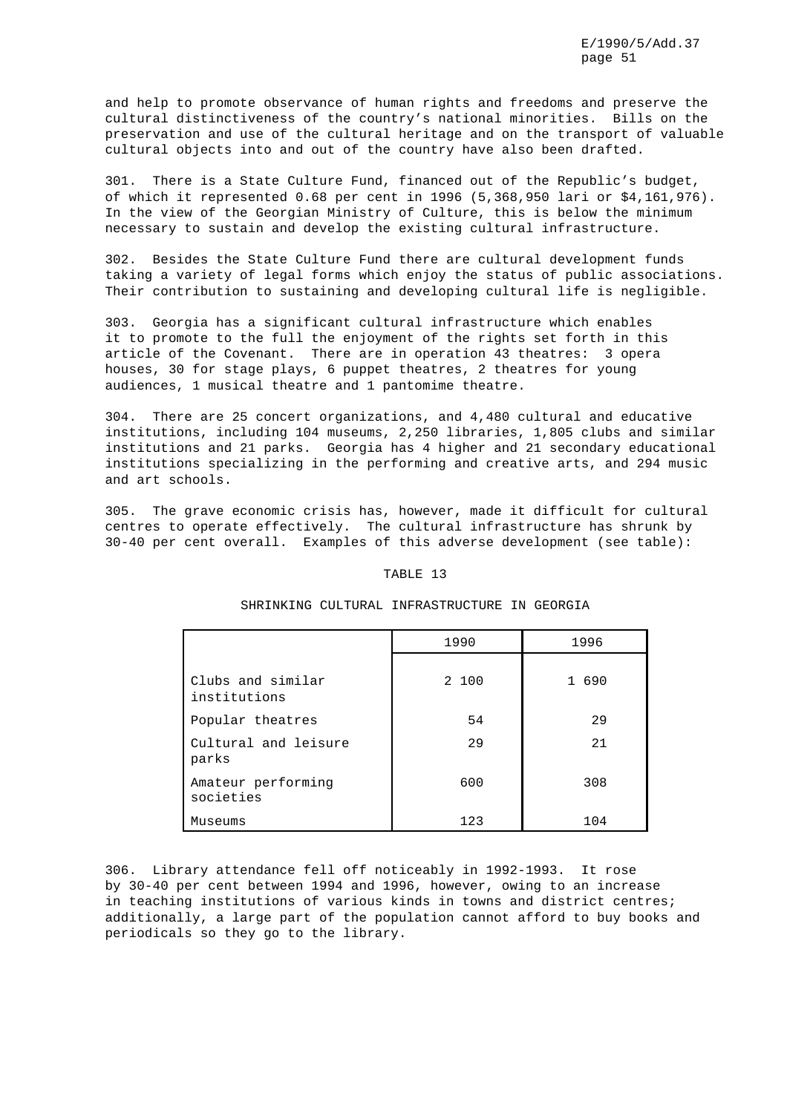and help to promote observance of human rights and freedoms and preserve the cultural distinctiveness of the country's national minorities. Bills on the preservation and use of the cultural heritage and on the transport of valuable cultural objects into and out of the country have also been drafted.

301. There is a State Culture Fund, financed out of the Republic's budget, of which it represented 0.68 per cent in 1996 (5,368,950 lari or \$4,161,976). In the view of the Georgian Ministry of Culture, this is below the minimum necessary to sustain and develop the existing cultural infrastructure.

302. Besides the State Culture Fund there are cultural development funds taking a variety of legal forms which enjoy the status of public associations. Their contribution to sustaining and developing cultural life is negligible.

303. Georgia has a significant cultural infrastructure which enables it to promote to the full the enjoyment of the rights set forth in this article of the Covenant. There are in operation 43 theatres: 3 opera houses, 30 for stage plays, 6 puppet theatres, 2 theatres for young audiences, 1 musical theatre and 1 pantomime theatre.

304. There are 25 concert organizations, and 4,480 cultural and educative institutions, including 104 museums, 2,250 libraries, 1,805 clubs and similar institutions and 21 parks. Georgia has 4 higher and 21 secondary educational institutions specializing in the performing and creative arts, and 294 music and art schools.

305. The grave economic crisis has, however, made it difficult for cultural centres to operate effectively. The cultural infrastructure has shrunk by 30-40 per cent overall. Examples of this adverse development (see table):

## TABLE 13

|                                   | 1990  | 1996  |
|-----------------------------------|-------|-------|
| Clubs and similar<br>institutions | 2 100 | 1 690 |
| Popular theatres                  | 54    | 29    |
| Cultural and leisure<br>parks     | 29    | 2.1   |
| Amateur performing<br>societies   | 600   | 308   |
| Museums                           | 123   | 104   |

## SHRINKING CULTURAL INFRASTRUCTURE IN GEORGIA

306. Library attendance fell off noticeably in 1992-1993. It rose by 30-40 per cent between 1994 and 1996, however, owing to an increase in teaching institutions of various kinds in towns and district centres; additionally, a large part of the population cannot afford to buy books and periodicals so they go to the library.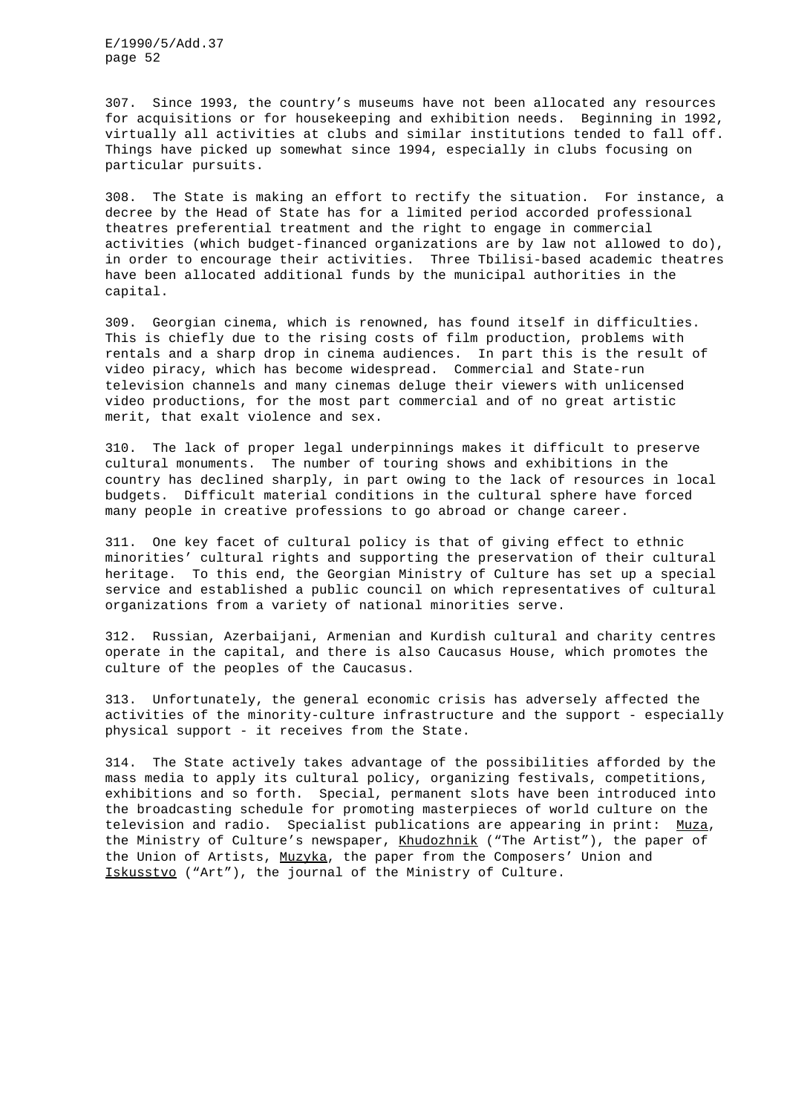307. Since 1993, the country's museums have not been allocated any resources for acquisitions or for housekeeping and exhibition needs. Beginning in 1992, virtually all activities at clubs and similar institutions tended to fall off. Things have picked up somewhat since 1994, especially in clubs focusing on particular pursuits.

308. The State is making an effort to rectify the situation. For instance, a decree by the Head of State has for a limited period accorded professional theatres preferential treatment and the right to engage in commercial activities (which budget-financed organizations are by law not allowed to do), in order to encourage their activities. Three Tbilisi-based academic theatres have been allocated additional funds by the municipal authorities in the capital.

309. Georgian cinema, which is renowned, has found itself in difficulties. This is chiefly due to the rising costs of film production, problems with rentals and a sharp drop in cinema audiences. In part this is the result of video piracy, which has become widespread. Commercial and State-run television channels and many cinemas deluge their viewers with unlicensed video productions, for the most part commercial and of no great artistic merit, that exalt violence and sex.

310. The lack of proper legal underpinnings makes it difficult to preserve cultural monuments. The number of touring shows and exhibitions in the country has declined sharply, in part owing to the lack of resources in local budgets. Difficult material conditions in the cultural sphere have forced many people in creative professions to go abroad or change career.

311. One key facet of cultural policy is that of giving effect to ethnic minorities' cultural rights and supporting the preservation of their cultural heritage. To this end, the Georgian Ministry of Culture has set up a special service and established a public council on which representatives of cultural organizations from a variety of national minorities serve.

312. Russian, Azerbaijani, Armenian and Kurdish cultural and charity centres operate in the capital, and there is also Caucasus House, which promotes the culture of the peoples of the Caucasus.

313. Unfortunately, the general economic crisis has adversely affected the activities of the minority-culture infrastructure and the support - especially physical support - it receives from the State.

314. The State actively takes advantage of the possibilities afforded by the mass media to apply its cultural policy, organizing festivals, competitions, exhibitions and so forth. Special, permanent slots have been introduced into the broadcasting schedule for promoting masterpieces of world culture on the television and radio. Specialist publications are appearing in print: Muza, the Ministry of Culture's newspaper, Khudozhnik ("The Artist"), the paper of the Union of Artists, Muzyka, the paper from the Composers' Union and Iskusstvo ("Art"), the journal of the Ministry of Culture.